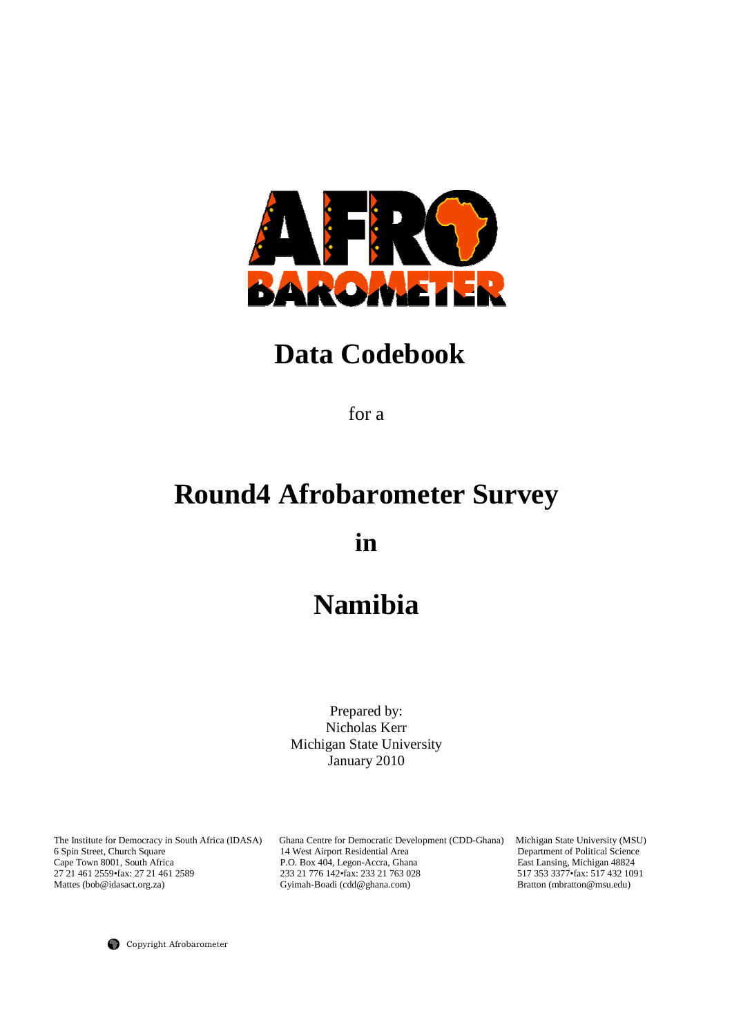

# **Data Codebook**

for a

# **Round4 Afrobarometer Survey**

**in** 

# **Namibia**

Prepared by: Nicholas Kerr Michigan State University January 2010

The Institute for Democracy in South Africa (IDASA) Ghana Centre for Democratic Development (CDD-Ghana) Michigan State University (MSU) 6 Spin Street, Church Square 14 West Airport Residential Area Department of Political 6 Spin Street, Church Square 14 West Airport Residential Area Department of Political Science Cape Town 8001, South Africa 2010 P.O. Box 404, Legon-Accra, Ghana 2012 East Lansing, Michigan 48824<br>27 21 461 2559 fax: 27 21 461 2589 233 21 776 142 fax: 233 21 763 028 517 353 3377 · fax: 517 432 1091 27 21 461 2559•fax: 27 21 461 2589 233 21 776 142•fax: 233 21 763 028 517 353 3377•fax: 517 432 10<br>Mattes (bob@idasact.org.za) Gyimah-Boadi (cdd@ghana.com) Bratton (mbratton@msu.edu) Gyimah-Boadi (cdd@ghana.com)

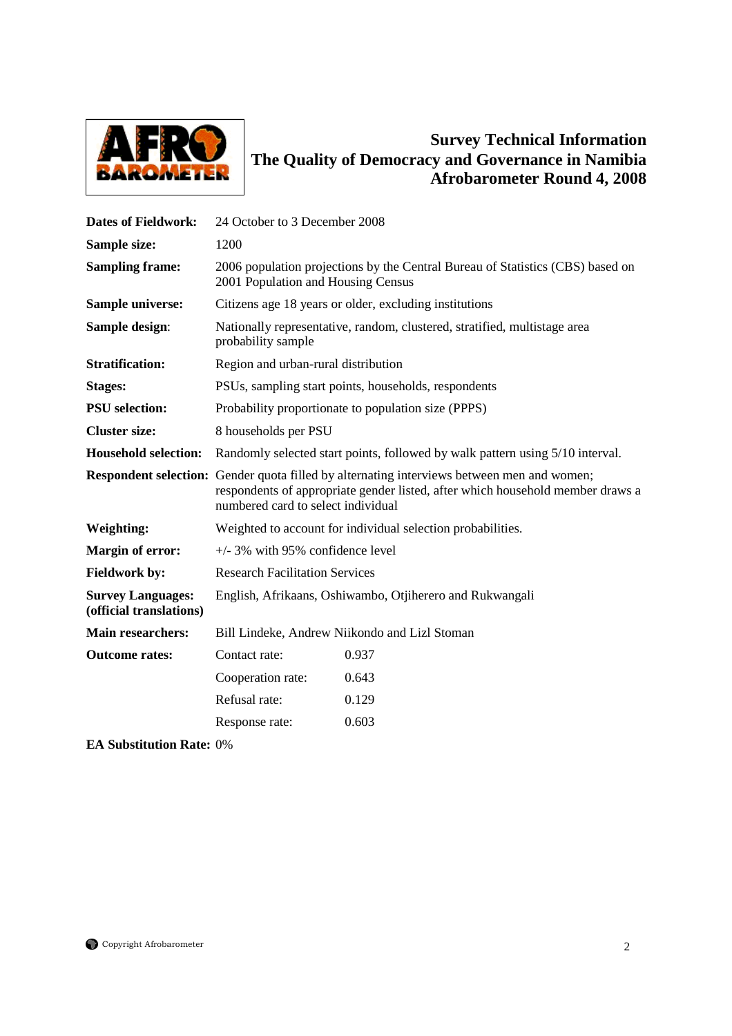

# **Survey Technical Information The Quality of Democracy and Governance in Namibia Afrobarometer Round 4, 2008**

| <b>Dates of Fieldwork:</b>                          | 24 October to 3 December 2008                                                                                                                                                                                      |                                                                           |  |  |
|-----------------------------------------------------|--------------------------------------------------------------------------------------------------------------------------------------------------------------------------------------------------------------------|---------------------------------------------------------------------------|--|--|
| Sample size:                                        | 1200                                                                                                                                                                                                               |                                                                           |  |  |
| <b>Sampling frame:</b>                              | 2006 population projections by the Central Bureau of Statistics (CBS) based on<br>2001 Population and Housing Census                                                                                               |                                                                           |  |  |
| <b>Sample universe:</b>                             |                                                                                                                                                                                                                    | Citizens age 18 years or older, excluding institutions                    |  |  |
| Sample design:                                      | probability sample                                                                                                                                                                                                 | Nationally representative, random, clustered, stratified, multistage area |  |  |
| <b>Stratification:</b>                              | Region and urban-rural distribution                                                                                                                                                                                |                                                                           |  |  |
| <b>Stages:</b>                                      | PSUs, sampling start points, households, respondents                                                                                                                                                               |                                                                           |  |  |
| <b>PSU</b> selection:                               | Probability proportionate to population size (PPPS)                                                                                                                                                                |                                                                           |  |  |
| <b>Cluster size:</b>                                | 8 households per PSU                                                                                                                                                                                               |                                                                           |  |  |
| <b>Household selection:</b>                         | Randomly selected start points, followed by walk pattern using 5/10 interval.                                                                                                                                      |                                                                           |  |  |
|                                                     | Respondent selection: Gender quota filled by alternating interviews between men and women;<br>respondents of appropriate gender listed, after which household member draws a<br>numbered card to select individual |                                                                           |  |  |
| Weighting:                                          | Weighted to account for individual selection probabilities.                                                                                                                                                        |                                                                           |  |  |
| <b>Margin of error:</b>                             | $+/-$ 3% with 95% confidence level                                                                                                                                                                                 |                                                                           |  |  |
| <b>Fieldwork by:</b>                                | <b>Research Facilitation Services</b>                                                                                                                                                                              |                                                                           |  |  |
| <b>Survey Languages:</b><br>(official translations) | English, Afrikaans, Oshiwambo, Otjiherero and Rukwangali                                                                                                                                                           |                                                                           |  |  |
| <b>Main researchers:</b>                            | Bill Lindeke, Andrew Niikondo and Lizl Stoman                                                                                                                                                                      |                                                                           |  |  |
| <b>Outcome rates:</b>                               | Contact rate:                                                                                                                                                                                                      | 0.937                                                                     |  |  |
|                                                     | Cooperation rate:                                                                                                                                                                                                  | 0.643                                                                     |  |  |
|                                                     | Refusal rate:                                                                                                                                                                                                      | 0.129                                                                     |  |  |
|                                                     | Response rate:                                                                                                                                                                                                     | 0.603                                                                     |  |  |

**EA Substitution Rate:** 0%

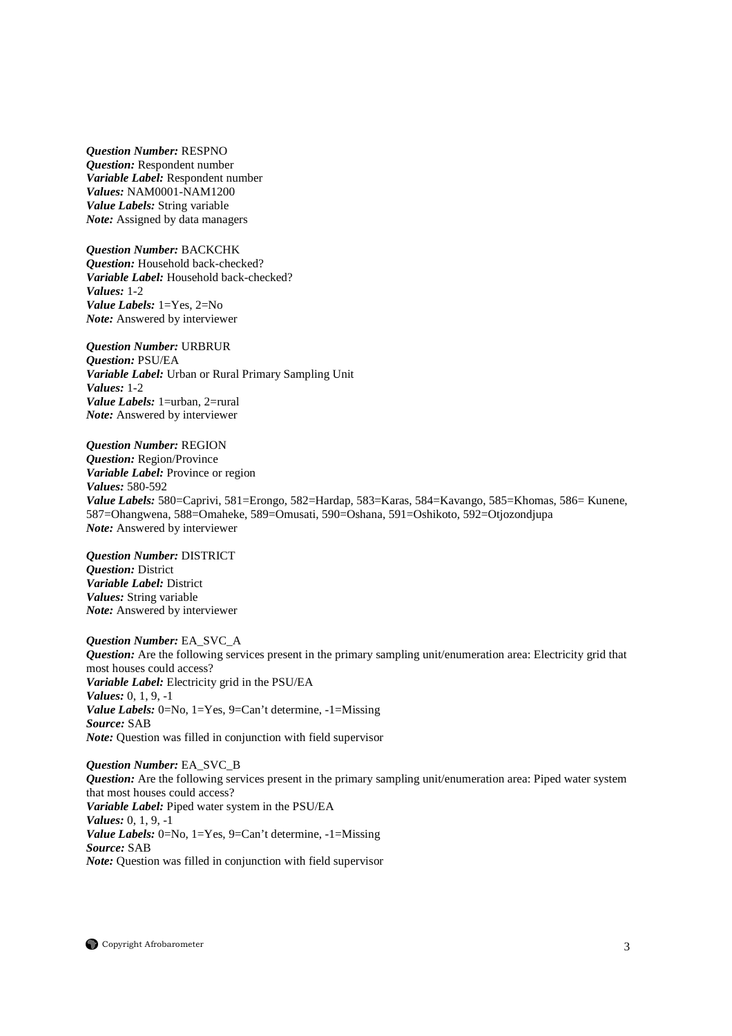*Question Number:* RESPNO *Question:* Respondent number *Variable Label:* Respondent number *Values:* NAM0001-NAM1200 *Value Labels:* String variable *Note:* Assigned by data managers

*Question Number:* BACKCHK *Question:* Household back-checked? *Variable Label:* Household back-checked? *Values:* 1-2 *Value Labels:* 1=Yes, 2=No *Note:* Answered by interviewer

*Question Number:* URBRUR *Question:* PSU/EA *Variable Label:* Urban or Rural Primary Sampling Unit *Values:* 1-2 *Value Labels:* 1=urban, 2=rural *Note:* Answered by interviewer

*Question Number:* REGION *Question:* Region/Province *Variable Label:* Province or region *Values:* 580-592 *Value Labels:* 580=Caprivi, 581=Erongo, 582=Hardap, 583=Karas, 584=Kavango, 585=Khomas, 586= Kunene, 587=Ohangwena, 588=Omaheke, 589=Omusati, 590=Oshana, 591=Oshikoto, 592=Otjozondjupa *Note:* Answered by interviewer

*Question Number:* DISTRICT *Question:* District *Variable Label:* District *Values:* String variable *Note:* Answered by interviewer

*Question Number:* EA\_SVC\_A *Question:* Are the following services present in the primary sampling unit/enumeration area: Electricity grid that most houses could access? *Variable Label:* Electricity grid in the PSU/EA *Values:* 0, 1, 9, -1 *Value Labels:* 0=No, 1=Yes, 9=Can't determine, -1=Missing *Source:* SAB *Note:* Question was filled in conjunction with field supervisor

*Question Number:* EA\_SVC\_B *Question:* Are the following services present in the primary sampling unit/enumeration area: Piped water system that most houses could access? *Variable Label:* Piped water system in the PSU/EA *Values:* 0, 1, 9, -1 *Value Labels:* 0=No, 1=Yes, 9=Can't determine, -1=Missing *Source:* SAB *Note:* Question was filled in conjunction with field supervisor

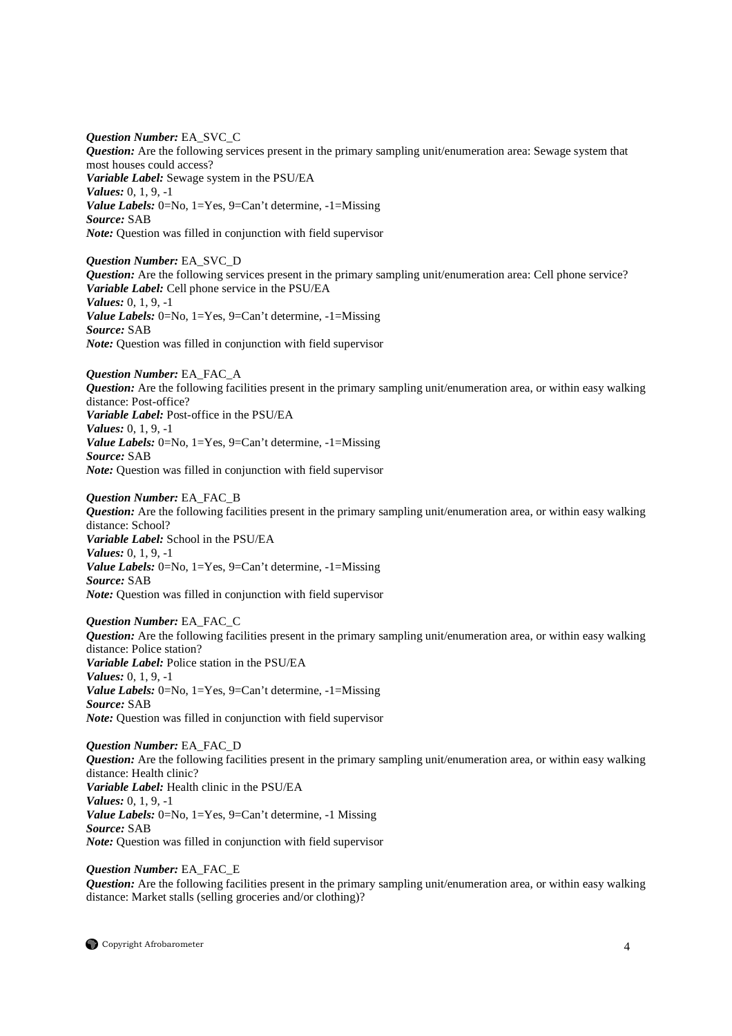*Question Number:* EA\_SVC\_C *Question:* Are the following services present in the primary sampling unit/enumeration area: Sewage system that most houses could access? *Variable Label:* Sewage system in the PSU/EA *Values:* 0, 1, 9, -1 *Value Labels:* 0=No, 1=Yes, 9=Can't determine, -1=Missing *Source:* SAB *Note:* Question was filled in conjunction with field supervisor

*Question Number:* EA\_SVC\_D *Question:* Are the following services present in the primary sampling unit/enumeration area: Cell phone service? *Variable Label:* Cell phone service in the PSU/EA *Values:* 0, 1, 9, -1 *Value Labels:* 0=No, 1=Yes, 9=Can't determine, -1=Missing *Source:* SAB *Note:* Question was filled in conjunction with field supervisor

*Question Number:* EA\_FAC\_A *Question:* Are the following facilities present in the primary sampling unit/enumeration area, or within easy walking distance: Post-office? *Variable Label:* Post-office in the PSU/EA *Values:* 0, 1, 9, -1 *Value Labels:* 0=No, 1=Yes, 9=Can't determine, -1=Missing *Source:* SAB *Note:* Question was filled in conjunction with field supervisor

*Question Number:* EA\_FAC\_B *Question:* Are the following facilities present in the primary sampling unit/enumeration area, or within easy walking distance: School? *Variable Label:* School in the PSU/EA *Values:* 0, 1, 9, -1 *Value Labels:* 0=No, 1=Yes, 9=Can't determine, -1=Missing *Source:* SAB *Note:* Question was filled in conjunction with field supervisor

*Question Number:* EA\_FAC\_C *Question:* Are the following facilities present in the primary sampling unit/enumeration area, or within easy walking distance: Police station? *Variable Label:* Police station in the PSU/EA *Values:* 0, 1, 9, -1 *Value Labels:* 0=No, 1=Yes, 9=Can't determine, -1=Missing *Source:* SAB *Note:* Question was filled in conjunction with field supervisor

*Question Number:* EA\_FAC\_D *Question:* Are the following facilities present in the primary sampling unit/enumeration area, or within easy walking distance: Health clinic? *Variable Label:* Health clinic in the PSU/EA *Values:* 0, 1, 9, -1 *Value Labels:* 0=No, 1=Yes, 9=Can't determine, -1 Missing *Source:* SAB *Note:* Question was filled in conjunction with field supervisor

*Question Number:* EA\_FAC\_E *Question:* Are the following facilities present in the primary sampling unit/enumeration area, or within easy walking distance: Market stalls (selling groceries and/or clothing)?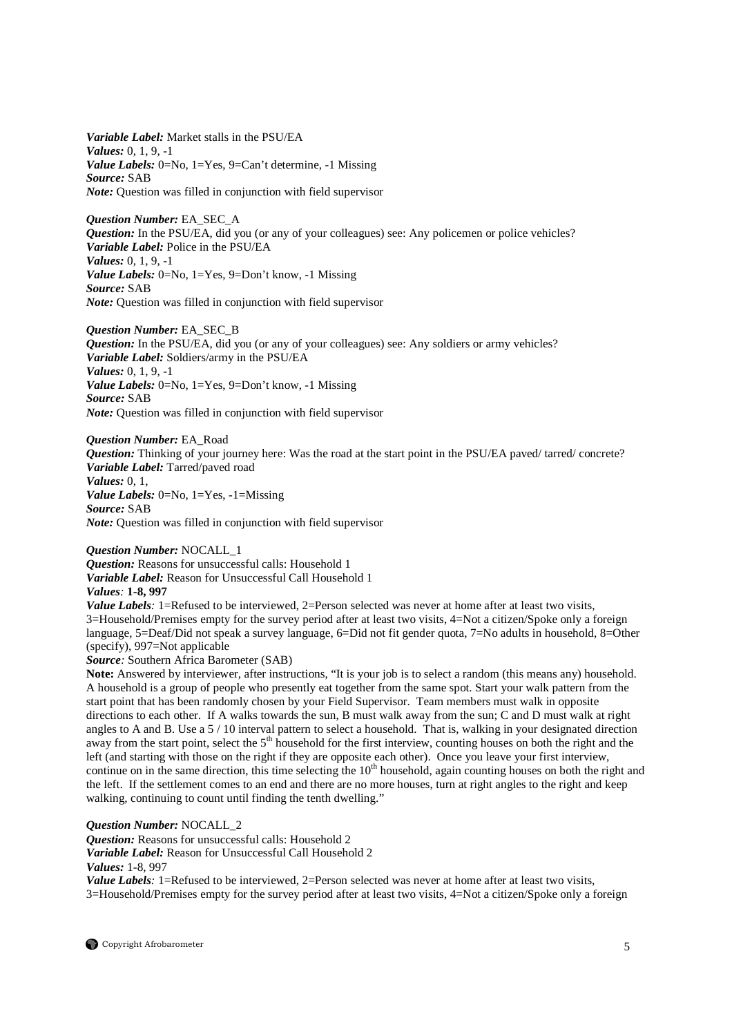*Variable Label:* Market stalls in the PSU/EA *Values:* 0, 1, 9, -1 *Value Labels:* 0=No, 1=Yes, 9=Can't determine, -1 Missing *Source:* SAB *Note:* Question was filled in conjunction with field supervisor

*Question Number:* EA\_SEC\_A *Question:* In the PSU/EA, did you (or any of your colleagues) see: Any policemen or police vehicles? *Variable Label:* Police in the PSU/EA *Values:* 0, 1, 9, -1 *Value Labels:* 0=No, 1=Yes, 9=Don't know, -1 Missing *Source:* SAB *Note:* Question was filled in conjunction with field supervisor

*Question Number:* EA\_SEC\_B *Question:* In the PSU/EA, did you (or any of your colleagues) see: Any soldiers or army vehicles? *Variable Label:* Soldiers/army in the PSU/EA *Values:* 0, 1, 9, -1 *Value Labels:* 0=No, 1=Yes, 9=Don't know, -1 Missing *Source:* SAB *Note:* Question was filled in conjunction with field supervisor

*Question Number:* EA\_Road *Question:* Thinking of your journey here: Was the road at the start point in the PSU/EA paved/ tarred/ concrete? *Variable Label:* Tarred/paved road *Values:* 0, 1, *Value Labels:* 0=No, 1=Yes, -1=Missing *Source:* SAB *Note:* Question was filled in conjunction with field supervisor

*Question Number:* NOCALL\_1 *Question:* Reasons for unsuccessful calls: Household 1 *Variable Label:* Reason for Unsuccessful Call Household 1 *Values:* **1-8, 997**

*Value Labels*: 1=Refused to be interviewed, 2=Person selected was never at home after at least two visits, 3=Household/Premises empty for the survey period after at least two visits, 4=Not a citizen/Spoke only a foreign language, 5=Deaf/Did not speak a survey language, 6=Did not fit gender quota, 7=No adults in household, 8=Other (specify), 997=Not applicable

*Source:* Southern Africa Barometer (SAB)

Note: Answered by interviewer, after instructions, "It is your job is to select a random (this means any) household. A household is a group of people who presently eat together from the same spot. Start your walk pattern from the start point that has been randomly chosen by your Field Supervisor. Team members must walk in opposite directions to each other. If A walks towards the sun, B must walk away from the sun; C and D must walk at right angles to A and B. Use a 5 / 10 interval pattern to select a household. That is, walking in your designated direction away from the start point, select the  $5<sup>th</sup>$  household for the first interview, counting houses on both the right and the left (and starting with those on the right if they are opposite each other). Once you leave your first interview, continue on in the same direction, this time selecting the  $10<sup>th</sup>$  household, again counting houses on both the right and the left. If the settlement comes to an end and there are no more houses, turn at right angles to the right and keep walking, continuing to count until finding the tenth dwelling."

*Question Number:* NOCALL\_2

*Question:* Reasons for unsuccessful calls: Household 2 *Variable Label:* Reason for Unsuccessful Call Household 2

*Values:* 1-8, 997

*Value Labels*: 1=Refused to be interviewed, 2=Person selected was never at home after at least two visits, 3=Household/Premises empty for the survey period after at least two visits, 4=Not a citizen/Spoke only a foreign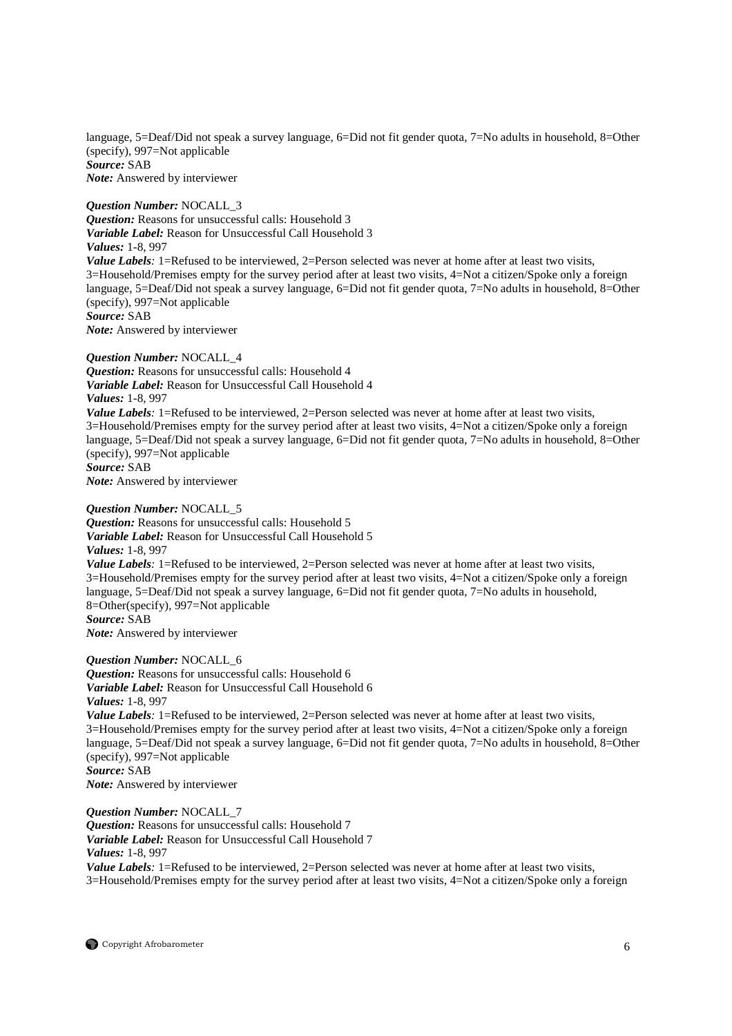language, 5=Deaf/Did not speak a survey language, 6=Did not fit gender quota, 7=No adults in household, 8=Other (specify), 997=Not applicable *Source:* SAB *Note:* Answered by interviewer

*Question Number:* NOCALL\_3 *Question:* Reasons for unsuccessful calls: Household 3 *Variable Label:* Reason for Unsuccessful Call Household 3 *Values:* 1-8, 997 *Value Labels*: 1=Refused to be interviewed, 2=Person selected was never at home after at least two visits, 3=Household/Premises empty for the survey period after at least two visits, 4=Not a citizen/Spoke only a foreign language, 5=Deaf/Did not speak a survey language, 6=Did not fit gender quota, 7=No adults in household, 8=Other (specify), 997=Not applicable *Source:* SAB *Note:* Answered by interviewer

# *Question Number:* NOCALL\_4

*Question:* Reasons for unsuccessful calls: Household 4 *Variable Label:* Reason for Unsuccessful Call Household 4 *Values:* 1-8, 997 *Value Labels*: 1=Refused to be interviewed, 2=Person selected was never at home after at least two visits, 3=Household/Premises empty for the survey period after at least two visits, 4=Not a citizen/Spoke only a foreign language, 5=Deaf/Did not speak a survey language, 6=Did not fit gender quota, 7=No adults in household, 8=Other (specify), 997=Not applicable *Source:* SAB *Note:* Answered by interviewer

# *Question Number:* NOCALL\_5

*Question:* Reasons for unsuccessful calls: Household 5 *Variable Label:* Reason for Unsuccessful Call Household 5 *Values:* 1-8, 997 *Value Labels*: 1=Refused to be interviewed, 2=Person selected was never at home after at least two visits, 3=Household/Premises empty for the survey period after at least two visits, 4=Not a citizen/Spoke only a foreign language, 5=Deaf/Did not speak a survey language, 6=Did not fit gender quota, 7=No adults in household, 8=Other(specify), 997=Not applicable *Source:* SAB

*Note:* Answered by interviewer

*Question Number:* NOCALL\_6 *Question:* Reasons for unsuccessful calls: Household 6 *Variable Label:* Reason for Unsuccessful Call Household 6 *Values:* 1-8, 997 *Value Labels*: 1=Refused to be interviewed, 2=Person selected was never at home after at least two visits, 3=Household/Premises empty for the survey period after at least two visits, 4=Not a citizen/Spoke only a foreign language, 5=Deaf/Did not speak a survey language, 6=Did not fit gender quota, 7=No adults in household, 8=Other (specify), 997=Not applicable *Source:* SAB

*Note:* Answered by interviewer

*Question Number:* NOCALL\_7 *Question:* Reasons for unsuccessful calls: Household 7 *Variable Label:* Reason for Unsuccessful Call Household 7 *Values:* 1-8, 997

*Value Labels*: 1=Refused to be interviewed, 2=Person selected was never at home after at least two visits, 3=Household/Premises empty for the survey period after at least two visits, 4=Not a citizen/Spoke only a foreign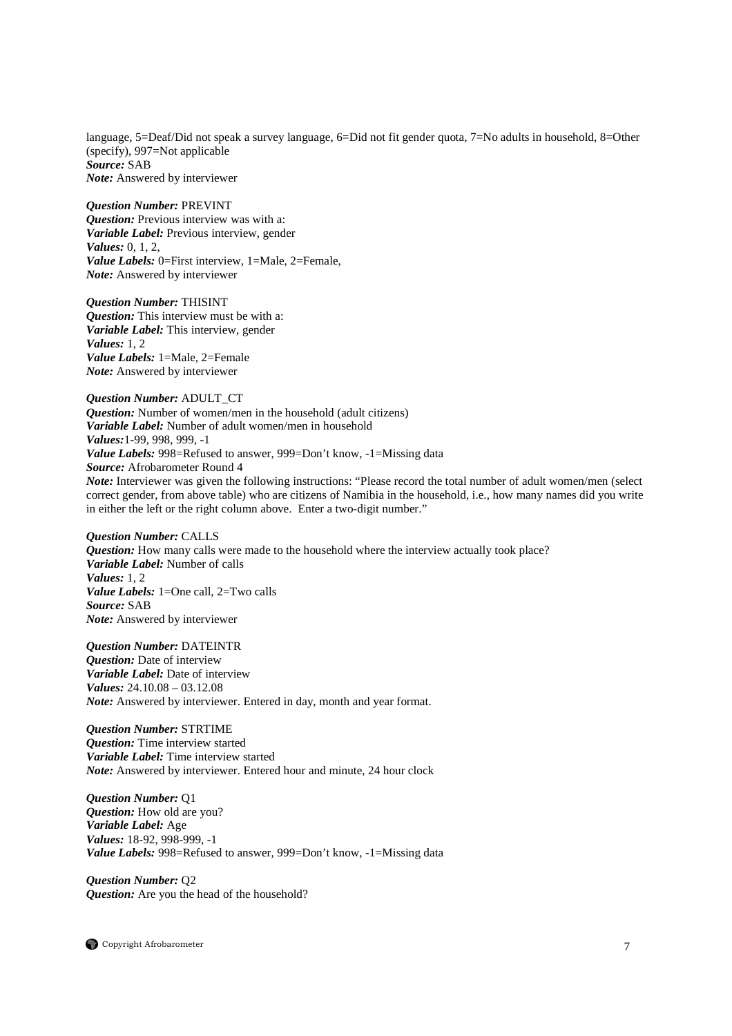language, 5=Deaf/Did not speak a survey language, 6=Did not fit gender quota, 7=No adults in household, 8=Other (specify), 997=Not applicable *Source:* SAB *Note:* Answered by interviewer

#### *Question Number:* PREVINT

*Question:* Previous interview was with a: *Variable Label:* Previous interview, gender *Values:* 0, 1, 2, *Value Labels:* 0=First interview, 1=Male, 2=Female, *Note:* Answered by interviewer

*Question Number:* THISINT *Question:* This interview must be with a: *Variable Label:* This interview, gender *Values:* 1, 2 *Value Labels:* 1=Male, 2=Female *Note:* Answered by interviewer

# *Question Number:* ADULT\_CT *Question:* Number of women/men in the household (adult citizens) *Variable Label:* Number of adult women/men in household *Values:*1-99, 998, 999, -1 *Value Labels:* 998=Refused to answer, 999=Don't know, -1=Missing data *Source:* Afrobarometer Round 4 *Note:* Interviewer was given the following instructions: "Please record the total number of adult women/men (select correct gender, from above table) who are citizens of Namibia in the household, i.e., how many names did you write

in either the left or the right column above. Enter a two-digit number."

*Question Number:* CALLS *Question:* How many calls were made to the household where the interview actually took place? *Variable Label:* Number of calls *Values:* 1, 2 *Value Labels:* 1=One call, 2=Two calls *Source:* SAB *Note:* Answered by interviewer

*Question Number:* DATEINTR *Question:* Date of interview *Variable Label:* Date of interview *Values:* 24.10.08 – 03.12.08 *Note:* Answered by interviewer. Entered in day, month and year format.

*Question Number:* STRTIME *Question:* Time interview started *Variable Label:* Time interview started *Note:* Answered by interviewer. Entered hour and minute, 24 hour clock

*Question Number:* Q1 *Question:* How old are you? *Variable Label:* Age *Values:* 18-92, 998-999, -1 *Value Labels:* 998=Refused to answer, 999=Don't know, -1=Missing data

*Question Number:* Q2 *Question:* Are you the head of the household?

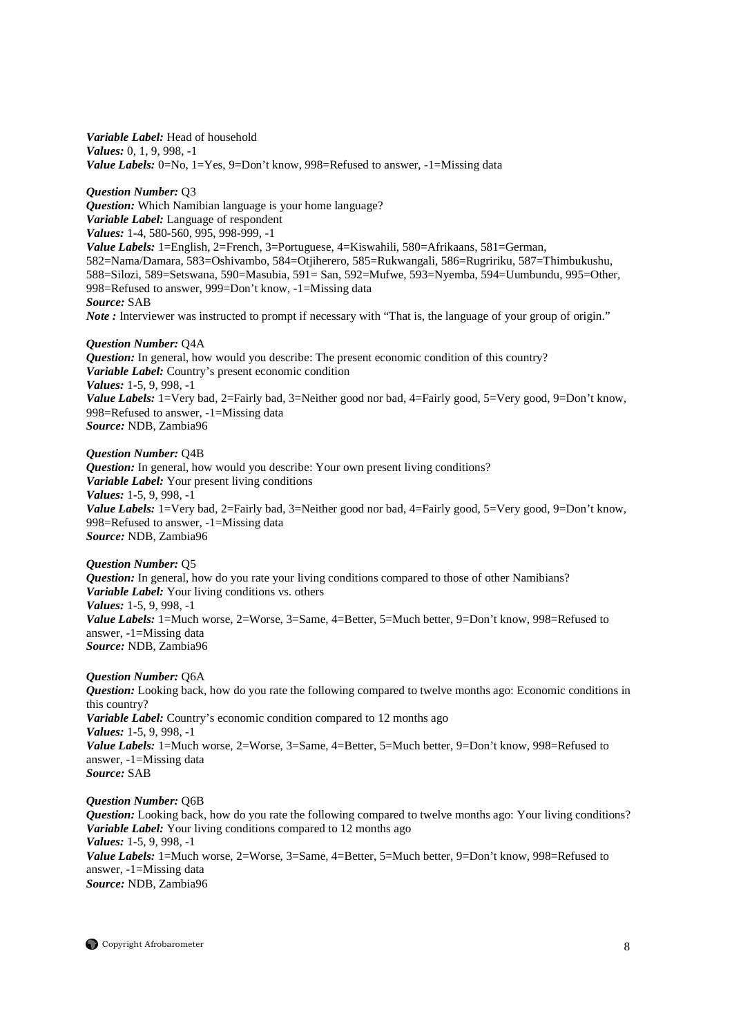*Variable Label:* Head of household *Values:* 0, 1, 9, 998, -1 *Value Labels:* 0=No, 1=Yes, 9=Don't know, 998=Refused to answer, -1=Missing data

*Question Number:* Q3 *Question:* Which Namibian language is your home language? *Variable Label:* Language of respondent *Values:* 1-4, 580-560, 995, 998-999, -1 *Value Labels:* 1=English, 2=French, 3=Portuguese, 4=Kiswahili, 580=Afrikaans, 581=German, 582=Nama/Damara, 583=Oshivambo, 584=Otjiherero, 585=Rukwangali, 586=Rugririku, 587=Thimbukushu, 588=Silozi, 589=Setswana, 590=Masubia, 591= San, 592=Mufwe, 593=Nyemba, 594=Uumbundu, 995=Other, 998=Refused to answer, 999=Don't know*,* -1=Missing data *Source:* SAB *Note* : Interviewer was instructed to prompt if necessary with "That is, the language of your group of origin."

# *Question Number:* Q4A

*Question:* In general, how would you describe: The present economic condition of this country? *Variable Label:* Country's present economic condition *Values:* 1-5, 9, 998, -1 *Value Labels:* 1=Very bad, 2=Fairly bad, 3=Neither good nor bad, 4=Fairly good, 5=Very good, 9=Don't know, 998=Refused to answer, -1=Missing data *Source:* NDB, Zambia96

# *Question Number:* Q4B

*Question:* In general, how would you describe: Your own present living conditions? *Variable Label:* Your present living conditions *Values:* 1-5, 9, 998, -1 *Value Labels:* 1=Very bad, 2=Fairly bad, 3=Neither good nor bad, 4=Fairly good, 5=Very good, 9=Don't know, 998=Refused to answer, -1=Missing data *Source:* NDB, Zambia96

*Question Number:* Q5 *Question:* In general, how do you rate your living conditions compared to those of other Namibians? *Variable Label:* Your living conditions vs. others *Values:* 1-5, 9, 998, -1 *Value Labels:* 1=Much worse, 2=Worse, 3=Same, 4=Better, 5=Much better, 9=Don't know, 998=Refused to answer, -1=Missing data *Source:* NDB, Zambia96

# *Question Number:* Q6A

*Question:* Looking back, how do you rate the following compared to twelve months ago: Economic conditions in this country? *Variable Label:* Country's economic condition compared to 12 months ago *Values:* 1-5, 9, 998, -1 Value Labels: 1=Much worse, 2=Worse, 3=Same, 4=Better, 5=Much better, 9=Don't know, 998=Refused to answer, -1=Missing data *Source:* SAB

# *Question Number:* Q6B

*Question:* Looking back, how do you rate the following compared to twelve months ago: Your living conditions? *Variable Label:* Your living conditions compared to 12 months ago *Values:* 1-5, 9, 998, -1 *Value Labels:* 1=Much worse, 2=Worse, 3=Same, 4=Better, 5=Much better, 9=Don't know, 998=Refused to answer, -1=Missing data *Source:* NDB, Zambia96

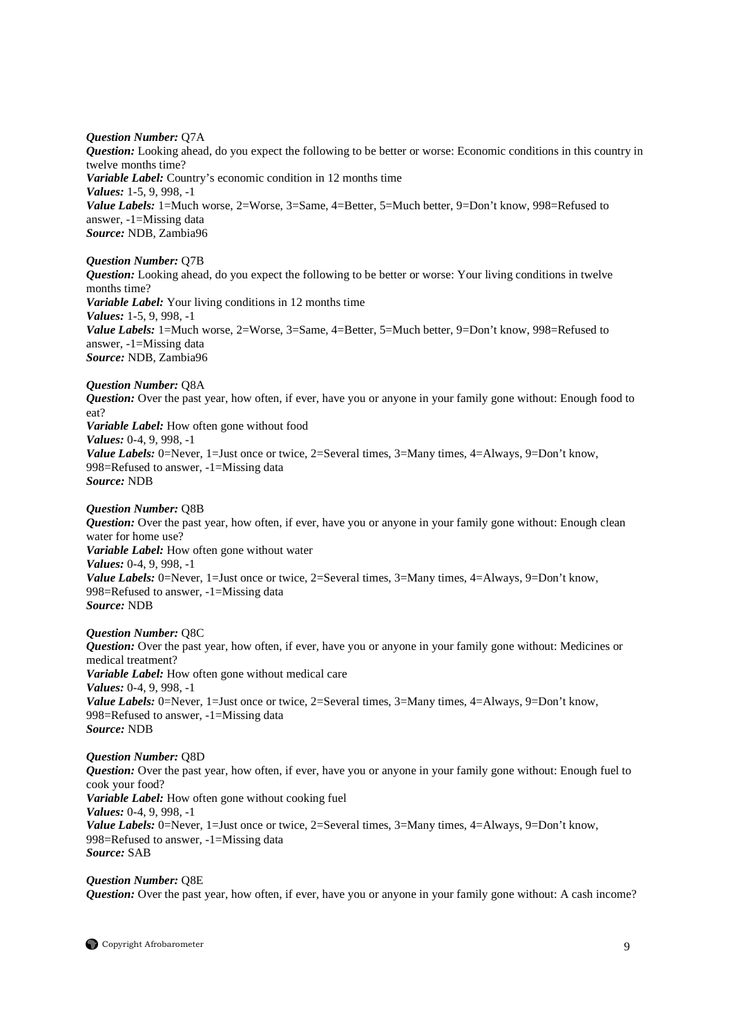*Question Number:* Q7A

*Question:* Looking ahead, do you expect the following to be better or worse: Economic conditions in this country in twelve months time? *Variable Label:* Country's economic condition in 12 months time *Values:* 1-5, 9, 998, -1 *Value Labels:* 1=Much worse, 2=Worse, 3=Same, 4=Better, 5=Much better, 9=Don't know, 998=Refused to answer, -1=Missing data *Source:* NDB, Zambia96

*Question Number:* Q7B

*Question:* Looking ahead, do you expect the following to be better or worse: Your living conditions in twelve months time? *Variable Label:* Your living conditions in 12 months time *Values:* 1-5, 9, 998, -1 *Value Labels:* 1=Much worse, 2=Worse, 3=Same, 4=Better, 5=Much better, 9=Don't know, 998=Refused to answer, -1=Missing data *Source:* NDB, Zambia96

*Question Number:* Q8A *Question:* Over the past year, how often, if ever, have you or anyone in your family gone without: Enough food to eat? *Variable Label:* How often gone without food *Values:* 0-4, 9, 998, -1 *Value Labels:* 0=Never, 1=Just once or twice, 2=Several times, 3=Many times, 4=Always, 9=Don't know, 998=Refused to answer, -1=Missing data *Source:* NDB

# *Question Number:* Q8B

*Question:* Over the past year, how often, if ever, have you or anyone in your family gone without: Enough clean water for home use? *Variable Label:* How often gone without water *Values:* 0-4, 9, 998, -1 *Value Labels:* 0=Never, 1=Just once or twice, 2=Several times, 3=Many times, 4=Always, 9=Don't know, 998=Refused to answer, -1=Missing data *Source:* NDB

*Question Number:* Q8C

*Question:* Over the past year, how often, if ever, have you or anyone in your family gone without: Medicines or medical treatment? *Variable Label:* How often gone without medical care *Values:* 0-4, 9, 998, -1 *Value Labels: 0*=Never, 1=Just once or twice, 2=Several times, 3=Many times, 4=Always, 9=Don't know, 998=Refused to answer, -1=Missing data *Source:* NDB

# *Question Number:* Q8D

*Question:* Over the past year, how often, if ever, have you or anyone in your family gone without: Enough fuel to cook your food? *Variable Label:* How often gone without cooking fuel *Values:* 0-4, 9, 998, -1 *Value Labels:* 0=Never, 1=Just once or twice, 2=Several times, 3=Many times, 4=Always, 9=Don't know, 998=Refused to answer, -1=Missing data *Source:* SAB

# *Question Number:* Q8E

*Question:* Over the past year, how often, if ever, have you or anyone in your family gone without: A cash income?

Copyright Afrobarometer 9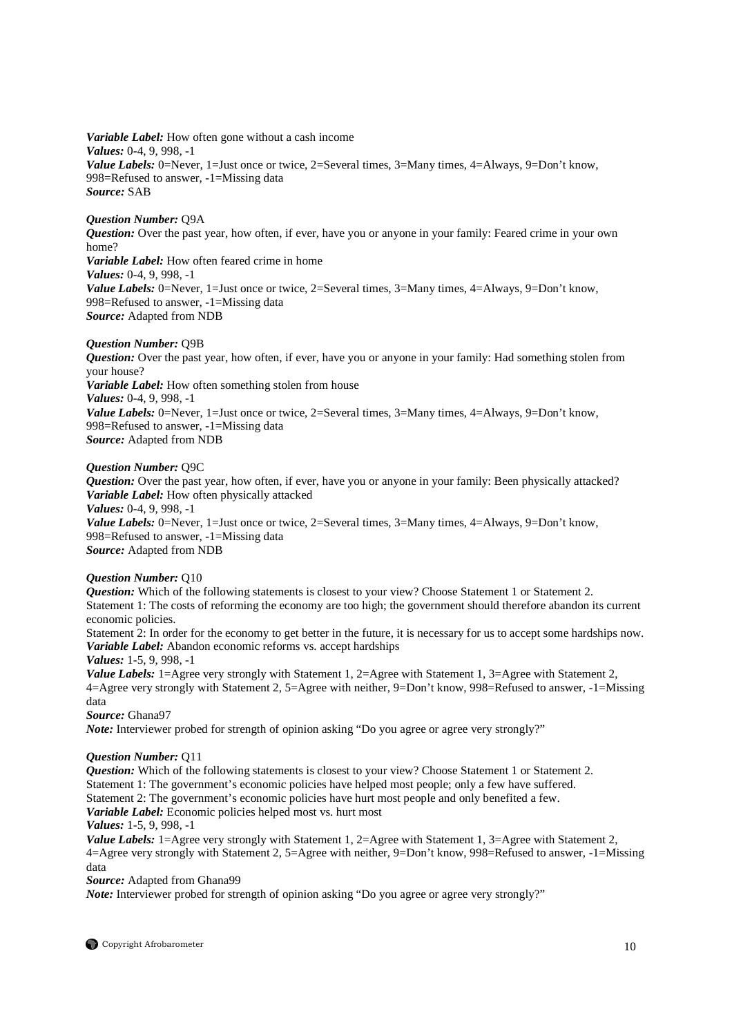*Variable Label:* How often gone without a cash income *Values:* 0-4, 9, 998, -1 *Value Labels:* 0=Never, 1=Just once or twice, 2=Several times, 3=Many times, 4=Always, 9=Don't know, 998=Refused to answer, -1=Missing data *Source:* SAB

# *Question Number:* Q9A

*Question:* Over the past year, how often, if ever, have you or anyone in your family: Feared crime in your own home? *Variable Label:* How often feared crime in home *Values:* 0-4, 9, 998, -1 *Value Labels:* 0=Never, 1=Just once or twice, 2=Several times, 3=Many times, 4=Always, 9=Don't know, 998=Refused to answer, -1=Missing data *Source:* Adapted from NDB

# *Question Number:* Q9B

*Question:* Over the past year, how often, if ever, have you or anyone in your family: Had something stolen from your house? *Variable Label:* How often something stolen from house *Values:* 0-4, 9, 998, -1 *Value Labels:* 0=Never, 1=Just once or twice, 2=Several times, 3=Many times, 4=Always, 9=Don't know, 998=Refused to answer, -1=Missing data *Source:* Adapted from NDB

# *Question Number:* Q9C

*Question:* Over the past year, how often, if ever, have you or anyone in your family: Been physically attacked? *Variable Label:* How often physically attacked *Values:* 0-4, 9, 998, -1 *Value Labels:* 0=Never, 1=Just once or twice, 2=Several times, 3=Many times, 4=Always, 9=Don't know, 998=Refused to answer, -1=Missing data *Source:* Adapted from NDB

# *Question Number:* Q10

*Question:* Which of the following statements is closest to your view? Choose Statement 1 or Statement 2. Statement 1: The costs of reforming the economy are too high; the government should therefore abandon its current economic policies.

Statement 2: In order for the economy to get better in the future, it is necessary for us to accept some hardships now. *Variable Label:* Abandon economic reforms vs. accept hardships

*Values:* 1-5, 9, 998, -1

*Value Labels:* 1=Agree very strongly with Statement 1, 2=Agree with Statement 1, 3=Agree with Statement 2, 4=Agree very strongly with Statement 2, 5=Agree with neither, 9=Don't know, 998=Refused to answer, -1=Missing data

*Source:* Ghana97

*Note:* Interviewer probed for strength of opinion asking "Do you agree or agree very strongly?"

# *Question Number:* Q11

*Question:* Which of the following statements is closest to your view? Choose Statement 1 or Statement 2. Statement 1: The government's economic policies have helped most people; only a few have suffered. Statement 2: The government's economic policies have hurt most people and only benefited a few. *Variable Label:* Economic policies helped most vs. hurt most

*Values:* 1-5, 9, 998, -1

*Value Labels:* 1=Agree very strongly with Statement 1, 2=Agree with Statement 1, 3=Agree with Statement 2, 4=Agree very strongly with Statement 2, 5=Agree with neither, 9=Don't know, 998=Refused to answer, -1=Missing data

*Source:* Adapted from Ghana99

*Note:* Interviewer probed for strength of opinion asking "Do you agree or agree very strongly?"

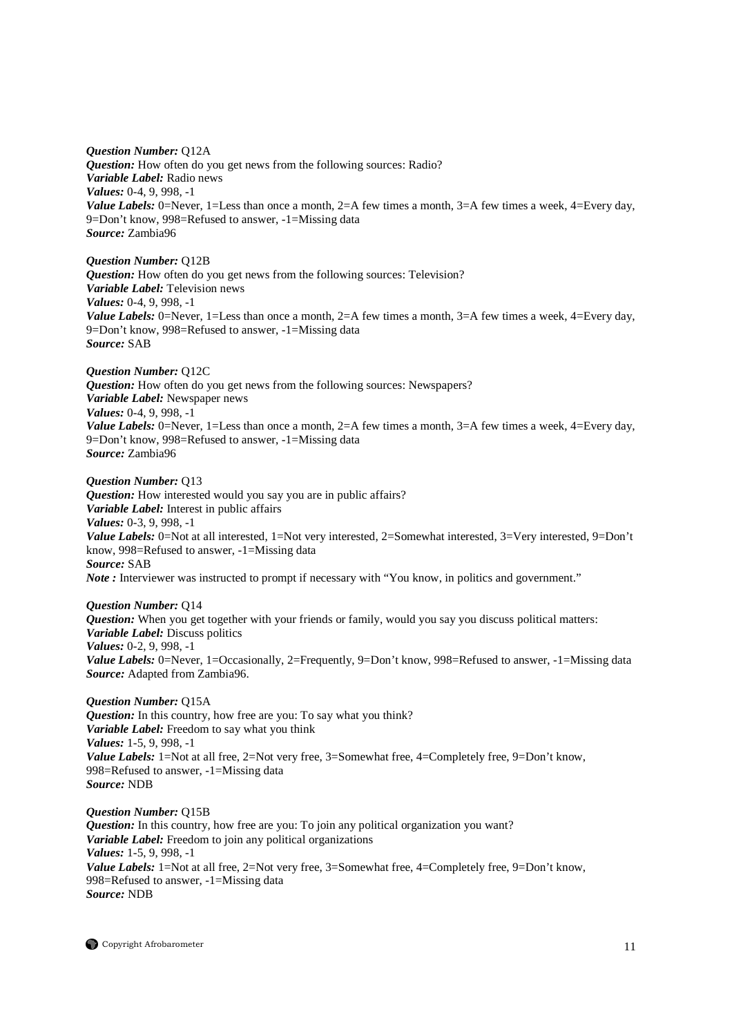*Question Number:* Q12A *Question:* How often do you get news from the following sources: Radio? *Variable Label:* Radio news *Values:* 0-4, 9, 998, -1 *Value Labels:* 0=Never, 1=Less than once a month, 2=A few times a month, 3=A few times a week, 4=Every day, 9=Don't know, 998=Refused to answer, -1=Missing data *Source:* Zambia96

*Question Number:* Q12B *Question:* How often do you get news from the following sources: Television? *Variable Label:* Television news *Values:* 0-4, 9, 998, -1 *Value Labels:* 0=Never, 1=Less than once a month, 2=A few times a month, 3=A few times a week, 4=Every day, 9=Don't know, 998=Refused to answer, -1=Missing data *Source:* SAB

*Question Number:* Q12C *Question:* How often do you get news from the following sources: Newspapers? *Variable Label:* Newspaper news *Values:* 0-4, 9, 998, -1 *Value Labels:* 0=Never, 1=Less than once a month, 2=A few times a month, 3=A few times a week, 4=Every day, 9=Don't know, 998=Refused to answer, -1=Missing data *Source:* Zambia96

*Question Number:* Q13 *Question:* How interested would you say you are in public affairs? *Variable Label:* Interest in public affairs *Values:* 0-3, 9, 998, -1 *Value Labels:* 0=Not at all interested, 1=Not very interested, 2=Somewhat interested, 3=Very interested, 9=Don't know, 998=Refused to answer, -1=Missing data *Source:* SAB *Note* : Interviewer was instructed to prompt if necessary with "You know, in politics and government."

*Question Number:* Q14 *Question:* When you get together with your friends or family, would you say you discuss political matters: *Variable Label:* Discuss politics *Values:* 0-2, 9, 998, -1 *Value Labels:* 0=Never, 1=Occasionally, 2=Frequently, 9=Don't know, 998=Refused to answer, -1=Missing data *Source:* Adapted from Zambia96.

*Question Number:* Q15A *Question:* In this country, how free are you: To say what you think? *Variable Label:* Freedom to say what you think *Values:* 1-5, 9, 998, -1 *Value Labels:* 1=Not at all free, 2=Not very free, 3=Somewhat free, 4=Completely free, 9=Don't know, 998=Refused to answer, -1=Missing data *Source:* NDB

*Question Number:* Q15B *Question:* In this country, how free are you: To join any political organization you want? *Variable Label:* Freedom to join any political organizations *Values:* 1-5, 9, 998, -1 *Value Labels:* 1=Not at all free, 2=Not very free, 3=Somewhat free, 4=Completely free, 9=Don't know, 998=Refused to answer, -1=Missing data *Source:* NDB

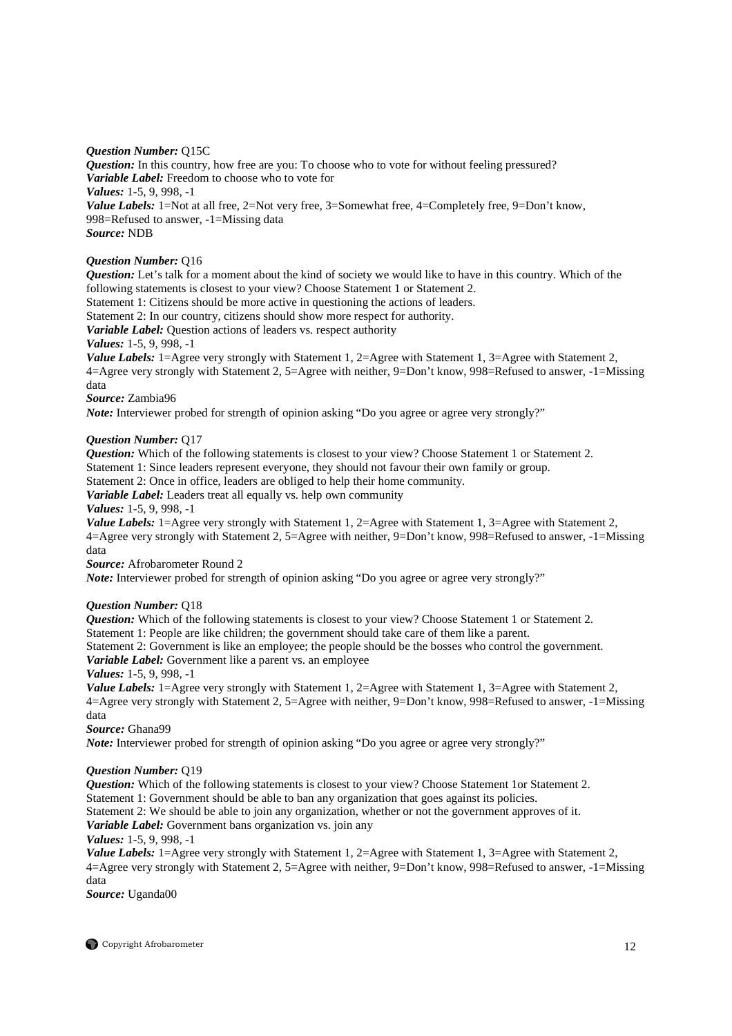# *Question Number:* Q15C

*Question:* In this country, how free are you: To choose who to vote for without feeling pressured? *Variable Label:* Freedom to choose who to vote for *Values:* 1-5, 9, 998, -1 *Value Labels:* 1=Not at all free, 2=Not very free, 3=Somewhat free, 4=Completely free, 9=Don't know, 998=Refused to answer, -1=Missing data *Source:* NDB

# *Question Number:* Q16

*Question:* Let's talk for a moment about the kind of society we would like to have in this country. Which of the following statements is closest to your view? Choose Statement 1 or Statement 2.

Statement 1: Citizens should be more active in questioning the actions of leaders.

Statement 2: In our country, citizens should show more respect for authority.

*Variable Label:* Question actions of leaders vs. respect authority

*Values:* 1-5, 9, 998, -1

*Value Labels:* 1=Agree very strongly with Statement 1, 2=Agree with Statement 1, 3=Agree with Statement 2, 4=Agree very strongly with Statement 2, 5=Agree with neither, 9=Don't know, 998=Refused to answer, -1=Missing data

# *Source:* Zambia96

*Note:* Interviewer probed for strength of opinion asking "Do you agree or agree very strongly?"

# *Question Number:* Q17

*Question:* Which of the following statements is closest to your view? Choose Statement 1 or Statement 2. Statement 1: Since leaders represent everyone, they should not favour their own family or group. Statement 2: Once in office, leaders are obliged to help their home community.

*Variable Label:* Leaders treat all equally vs. help own community

*Values:* 1-5, 9, 998, -1

*Value Labels:* 1=Agree very strongly with Statement 1, 2=Agree with Statement 1, 3=Agree with Statement 2, 4=Agree very strongly with Statement 2, 5=Agree with neither, 9=Don't know, 998=Refused to answer, -1=Missing data

*Source:* Afrobarometer Round 2

*Note:* Interviewer probed for strength of opinion asking "Do you agree or agree very strongly?"

# *Question Number:* Q18

*Question:* Which of the following statements is closest to your view? Choose Statement 1 or Statement 2. Statement 1: People are like children; the government should take care of them like a parent. Statement 2: Government is like an employee; the people should be the bosses who control the government. *Variable Label:* Government like a parent vs. an employee

*Values:* 1-5, 9, 998, -1

*Value Labels:* 1=Agree very strongly with Statement 1, 2=Agree with Statement 1, 3=Agree with Statement 2, 4=Agree very strongly with Statement 2, 5=Agree with neither, 9=Don't know, 998=Refused to answer, -1=Missing data

*Source:* Ghana99

*Note:* Interviewer probed for strength of opinion asking "Do you agree or agree very strongly?"

# *Question Number:* Q19

*Question:* Which of the following statements is closest to your view? Choose Statement 1or Statement 2. Statement 1: Government should be able to ban any organization that goes against its policies.

Statement 2: We should be able to join any organization, whether or not the government approves of it.

*Variable Label:* Government bans organization vs. join any

# *Values:* 1-5, 9, 998, -1

*Value Labels:* 1=Agree very strongly with Statement 1, 2=Agree with Statement 1, 3=Agree with Statement 2, 4=Agree very strongly with Statement 2, 5=Agree with neither, 9=Don't know, 998=Refused to answer, -1=Missing data

*Source:* Uganda00

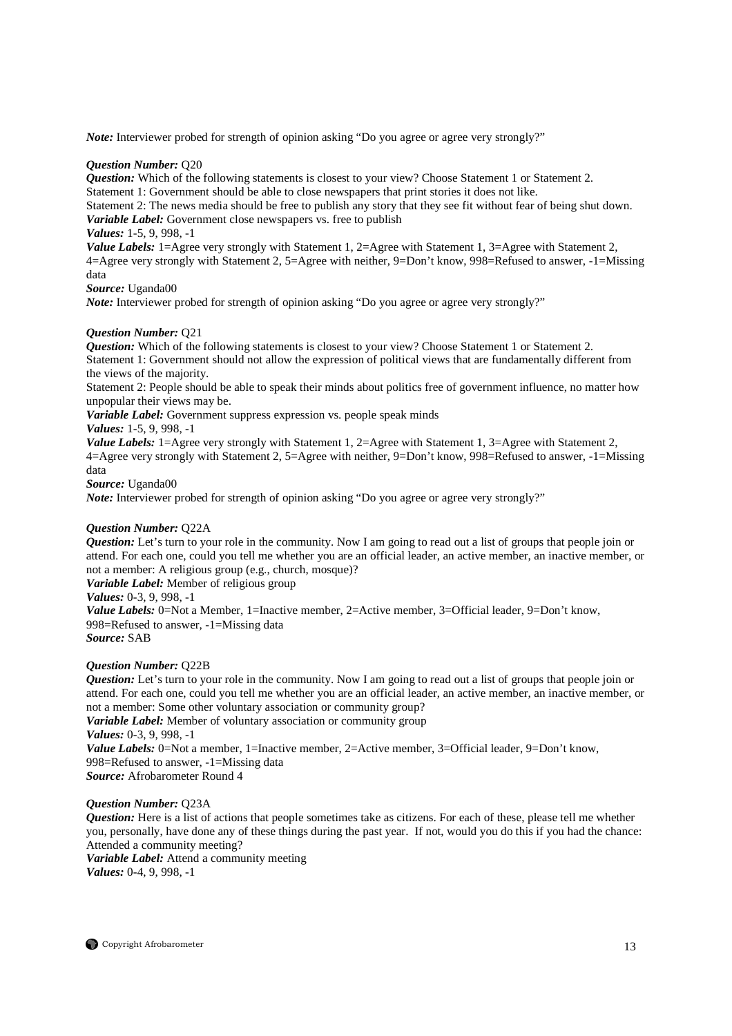*Note:* Interviewer probed for strength of opinion asking "Do you agree or agree very strongly?"

# *Question Number:* Q20

*Question:* Which of the following statements is closest to your view? Choose Statement 1 or Statement 2. Statement 1: Government should be able to close newspapers that print stories it does not like.

Statement 2: The news media should be free to publish any story that they see fit without fear of being shut down. *Variable Label:* Government close newspapers vs. free to publish

# *Values:* 1-5, 9, 998, -1

*Value Labels:* 1=Agree very strongly with Statement 1, 2=Agree with Statement 1, 3=Agree with Statement 2, 4=Agree very strongly with Statement 2, 5=Agree with neither, 9=Don't know, 998=Refused to answer, -1=Missing data

*Source:* Uganda00

*Note:* Interviewer probed for strength of opinion asking "Do you agree or agree very strongly?"

# *Question Number:* Q21

*Question:* Which of the following statements is closest to your view? Choose Statement 1 or Statement 2. Statement 1: Government should not allow the expression of political views that are fundamentally different from the views of the majority.

Statement 2: People should be able to speak their minds about politics free of government influence, no matter how unpopular their views may be.

*Variable Label:* Government suppress expression vs. people speak minds

# *Values:* 1-5, 9, 998, -1

*Value Labels:* 1=Agree very strongly with Statement 1, 2=Agree with Statement 1, 3=Agree with Statement 2, 4=Agree very strongly with Statement 2, 5=Agree with neither, 9=Don't know, 998=Refused to answer, -1=Missing data

*Source:* Uganda00

*Note:* Interviewer probed for strength of opinion asking "Do you agree or agree very strongly?"

# *Question Number:* Q22A

*Question:* Let's turn to your role in the community. Now I am going to read out a list of groups that people join or attend. For each one, could you tell me whether you are an official leader, an active member, an inactive member, or not a member: A religious group (e.g., church, mosque)?

*Variable Label:* Member of religious group

*Values:* 0-3, 9, 998, -1

*Value Labels:* 0=Not a Member, 1=Inactive member, 2=Active member, 3=Official leader, 9=Don't know, 998=Refused to answer, -1=Missing data *Source:* SAB

# *Question Number:* Q22B

*Question:* Let's turn to your role in the community. Now I am going to read out a list of groups that people join or attend. For each one, could you tell me whether you are an official leader, an active member, an inactive member, or not a member: Some other voluntary association or community group?

*Variable Label:* Member of voluntary association or community group *Values:* 0-3, 9, 998, -1 *Value Labels:* 0=Not a member, 1=Inactive member, 2=Active member, 3=Official leader, 9=Don't know, 998=Refused to answer, -1=Missing data *Source:* Afrobarometer Round 4

# *Question Number:* Q23A

*Question:* Here is a list of actions that people sometimes take as citizens. For each of these, please tell me whether you, personally, have done any of these things during the past year. If not, would you do this if you had the chance: Attended a community meeting?

*Variable Label:* Attend a community meeting *Values:* 0-4, 9, 998, -1

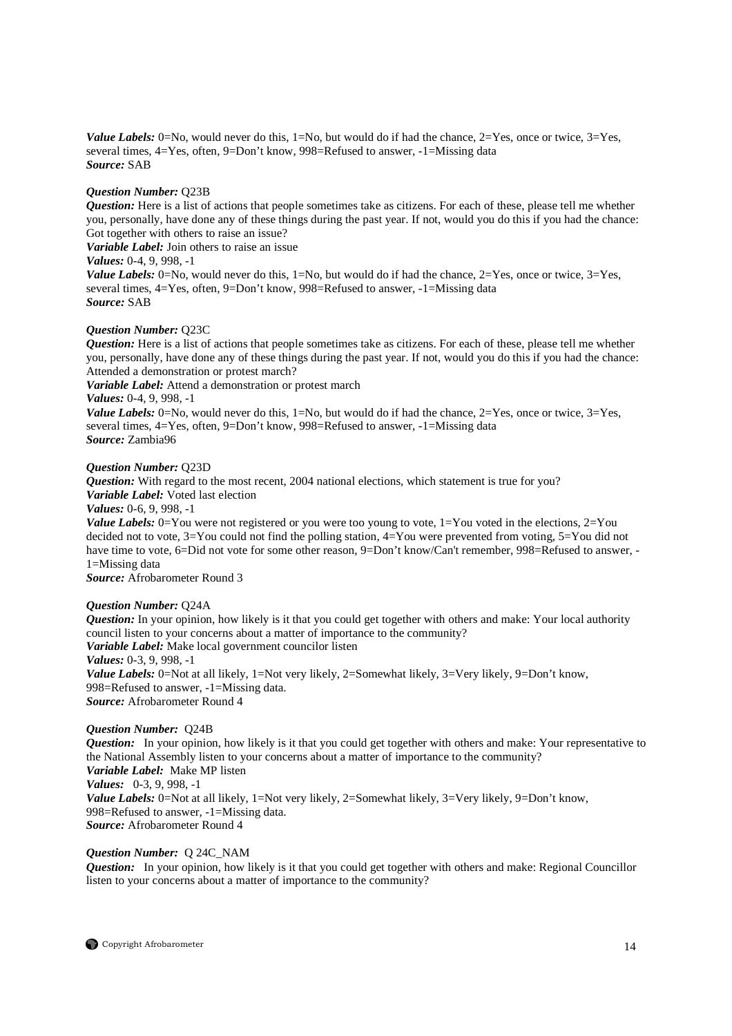*Value Labels:* 0=No, would never do this, 1=No, but would do if had the chance, 2=Yes, once or twice, 3=Yes, several times, 4=Yes, often, 9=Don't know, 998=Refused to answer, -1=Missing data *Source:* SAB

# *Question Number:* Q23B

*Question:* Here is a list of actions that people sometimes take as citizens. For each of these, please tell me whether you, personally, have done any of these things during the past year. If not, would you do this if you had the chance: Got together with others to raise an issue?

*Variable Label:* Join others to raise an issue

*Values:* 0-4, 9, 998, -1

*Value Labels:* 0=No, would never do this, 1=No, but would do if had the chance, 2=Yes, once or twice, 3=Yes, several times, 4=Yes, often, 9=Don't know, 998=Refused to answer, -1=Missing data *Source:* SAB

#### *Question Number:* Q23C

*Question:* Here is a list of actions that people sometimes take as citizens. For each of these, please tell me whether you, personally, have done any of these things during the past year. If not, would you do this if you had the chance: Attended a demonstration or protest march?

*Variable Label:* Attend a demonstration or protest march

*Values:* 0-4, 9, 998, -1

*Value Labels:* 0=No, would never do this, 1=No, but would do if had the chance, 2=Yes, once or twice, 3=Yes, several times, 4=Yes, often, 9=Don't know, 998=Refused to answer, -1=Missing data *Source:* Zambia96

#### *Question Number:* Q23D

*Question:* With regard to the most recent, 2004 national elections, which statement is true for you? *Variable Label:* Voted last election

*Values:* 0-6, 9, 998, -1

*Value Labels:* 0=You were not registered or you were too young to vote, 1=You voted in the elections, 2=You decided not to vote, 3=You could not find the polling station, 4=You were prevented from voting, 5=You did not have time to vote, 6=Did not vote for some other reason, 9=Don't know/Can't remember, 998=Refused to answer, -1=Missing data

*Source:* Afrobarometer Round 3

# *Question Number:* Q24A

*Question:* In your opinion, how likely is it that you could get together with others and make: Your local authority council listen to your concerns about a matter of importance to the community? *Variable Label:* Make local government councilor listen *Values:* 0-3, 9, 998, -1 *Value Labels:* 0=Not at all likely, 1=Not very likely, 2=Somewhat likely, 3=Very likely, 9=Don't know, 998=Refused to answer, -1=Missing data. *Source:* Afrobarometer Round 4

# *Question Number:* Q24B

*Question:* In your opinion, how likely is it that you could get together with others and make: Your representative to the National Assembly listen to your concerns about a matter of importance to the community? *Variable Label:* Make MP listen *Values:* 0-3, 9, 998, -1 *Value Labels:* 0=Not at all likely, 1=Not very likely, 2=Somewhat likely, 3=Very likely, 9=Don't know, 998=Refused to answer, -1=Missing data. *Source:* Afrobarometer Round 4

# *Question Number:* Q 24C\_NAM

*Question:* In your opinion, how likely is it that you could get together with others and make: Regional Councillor listen to your concerns about a matter of importance to the community?

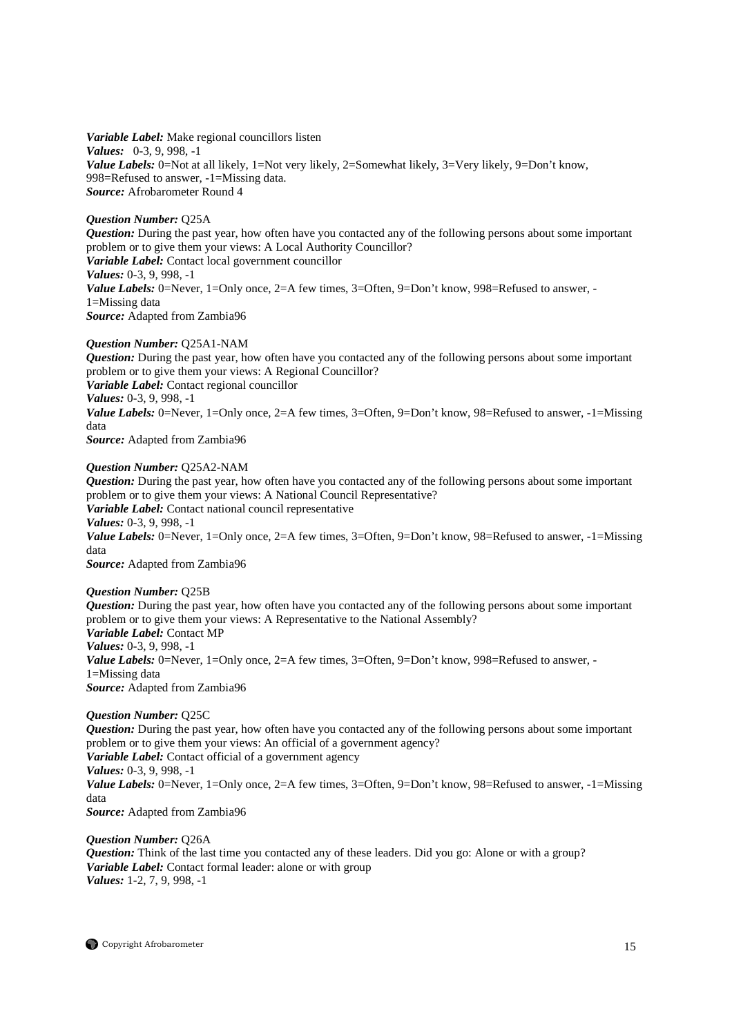*Variable Label:* Make regional councillors listen *Values:* 0-3, 9, 998, -1 *Value Labels:* 0=Not at all likely, 1=Not very likely, 2=Somewhat likely, 3=Very likely, 9=Don't know, 998=Refused to answer, -1=Missing data. *Source:* Afrobarometer Round 4

# *Question Number:* Q25A

*Question:* During the past year, how often have you contacted any of the following persons about some important problem or to give them your views: A Local Authority Councillor? *Variable Label:* Contact local government councillor *Values:* 0-3, 9, 998, -1 *Value Labels:* 0=Never, 1=Only once, 2=A few times, 3=Often, 9=Don't know, 998=Refused to answer, -1=Missing data *Source:* Adapted from Zambia96

# *Question Number:* Q25A1-NAM

*Question:* During the past year, how often have you contacted any of the following persons about some important problem or to give them your views: A Regional Councillor? *Variable Label:* Contact regional councillor *Values:* 0-3, 9, 998, -1 *Value Labels:* 0=Never, 1=Only once, 2=A few times, 3=Often, 9=Don't know, 98=Refused to answer, -1=Missing data *Source:* Adapted from Zambia96

# *Question Number:* Q25A2-NAM

*Question:* During the past year, how often have you contacted any of the following persons about some important problem or to give them your views: A National Council Representative? *Variable Label:* Contact national council representative *Values:* 0-3, 9, 998, -1 *Value Labels:* 0=Never, 1=Only once, 2=A few times, 3=Often, 9=Don't know, 98=Refused to answer, -1=Missing data *Source:* Adapted from Zambia96

# *Question Number:* Q25B

*Question:* During the past year, how often have you contacted any of the following persons about some important problem or to give them your views: A Representative to the National Assembly? *Variable Label:* Contact MP *Values:* 0-3, 9, 998, -1 *Value Labels:* 0=Never, 1=Only once, 2=A few times, 3=Often, 9=Don't know, 998=Refused to answer, -1=Missing data *Source:* Adapted from Zambia96

# *Question Number:* Q25C

*Question:* During the past year, how often have you contacted any of the following persons about some important problem or to give them your views: An official of a government agency? *Variable Label:* Contact official of a government agency *Values:* 0-3, 9, 998, -1 *Value Labels:* 0=Never, 1=Only once, 2=A few times, 3=Often, 9=Don't know, 98=Refused to answer, -1=Missing data *Source:* Adapted from Zambia96

# *Question Number:* Q26A

*Question:* Think of the last time you contacted any of these leaders. Did you go: Alone or with a group? *Variable Label:* Contact formal leader: alone or with group *Values:* 1-2, 7, 9, 998, -1

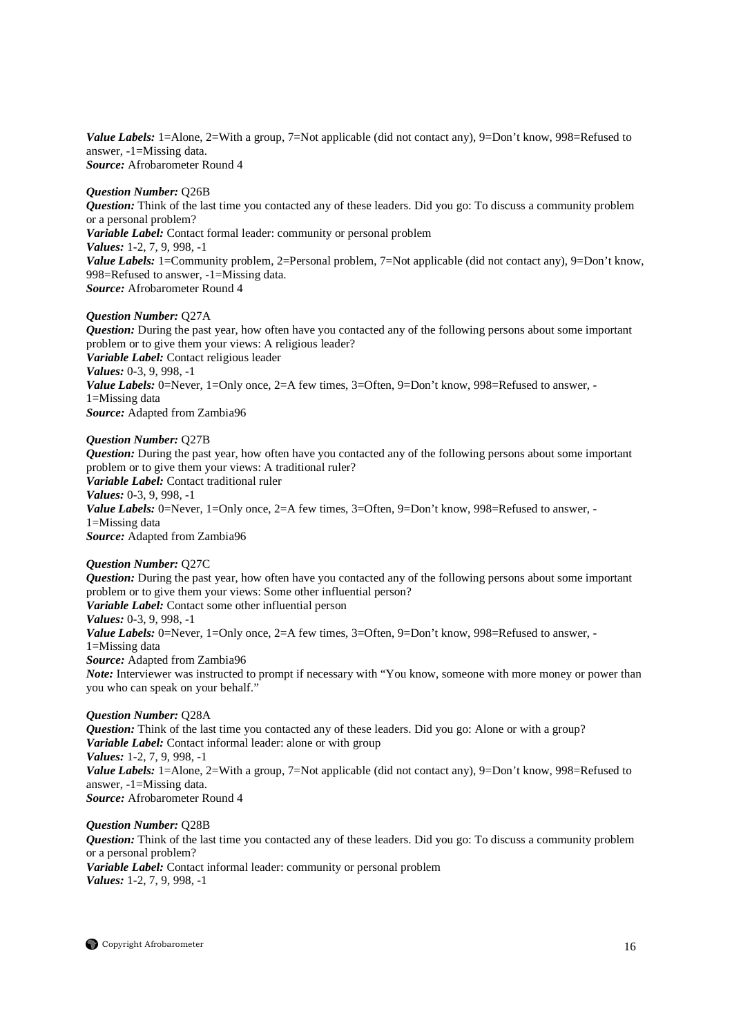*Value Labels:* 1=Alone, 2=With a group, 7=Not applicable (did not contact any), 9=Don't know, 998=Refused to answer, -1=Missing data. *Source:* Afrobarometer Round 4

#### *Question Number:* Q26B

*Question:* Think of the last time you contacted any of these leaders. Did you go: To discuss a community problem or a personal problem? *Variable Label:* Contact formal leader: community or personal problem *Values:* 1-2, 7, 9, 998, -1 *Value Labels:* 1=Community problem, 2=Personal problem, 7=Not applicable (did not contact any), 9=Don't know, 998=Refused to answer, -1=Missing data. *Source:* Afrobarometer Round 4

#### *Question Number:* Q27A

*Question:* During the past year, how often have you contacted any of the following persons about some important problem or to give them your views: A religious leader? *Variable Label:* Contact religious leader *Values:* 0-3, 9, 998, -1 *Value Labels:* 0=Never, 1=Only once, 2=A few times, 3=Often, 9=Don't know, 998=Refused to answer, -1=Missing data *Source:* Adapted from Zambia96

#### *Question Number:* Q27B

*Question:* During the past year, how often have you contacted any of the following persons about some important problem or to give them your views: A traditional ruler? *Variable Label:* Contact traditional ruler *Values:* 0-3, 9, 998, -1 Value Labels: 0=Never, 1=Only once, 2=A few times, 3=Often, 9=Don't know, 998=Refused to answer, -1=Missing data *Source:* Adapted from Zambia96

# *Question Number:* Q27C *Question:* During the past year, how often have you contacted any of the following persons about some important problem or to give them your views: Some other influential person? *Variable Label:* Contact some other influential person *Values:* 0-3, 9, 998, -1 *Value Labels:* 0=Never, 1=Only once, 2=A few times, 3=Often, 9=Don't know, 998=Refused to answer, -1=Missing data *Source:* Adapted from Zambia96 *Note:* Interviewer was instructed to prompt if necessary with "You know, someone with more money or power than you who can speak on your behalf."

# *Question Number:* Q28A

*Question:* Think of the last time you contacted any of these leaders. Did you go: Alone or with a group? *Variable Label:* Contact informal leader: alone or with group *Values:* 1-2, 7, 9, 998, -1 *Value Labels:* 1=Alone, 2=With a group, 7=Not applicable (did not contact any), 9=Don't know, 998=Refused to answer, -1=Missing data. *Source:* Afrobarometer Round 4

*Question Number:* Q28B *Question:* Think of the last time you contacted any of these leaders. Did you go: To discuss a community problem or a personal problem? *Variable Label:* Contact informal leader: community or personal problem *Values:* 1-2, 7, 9, 998, -1

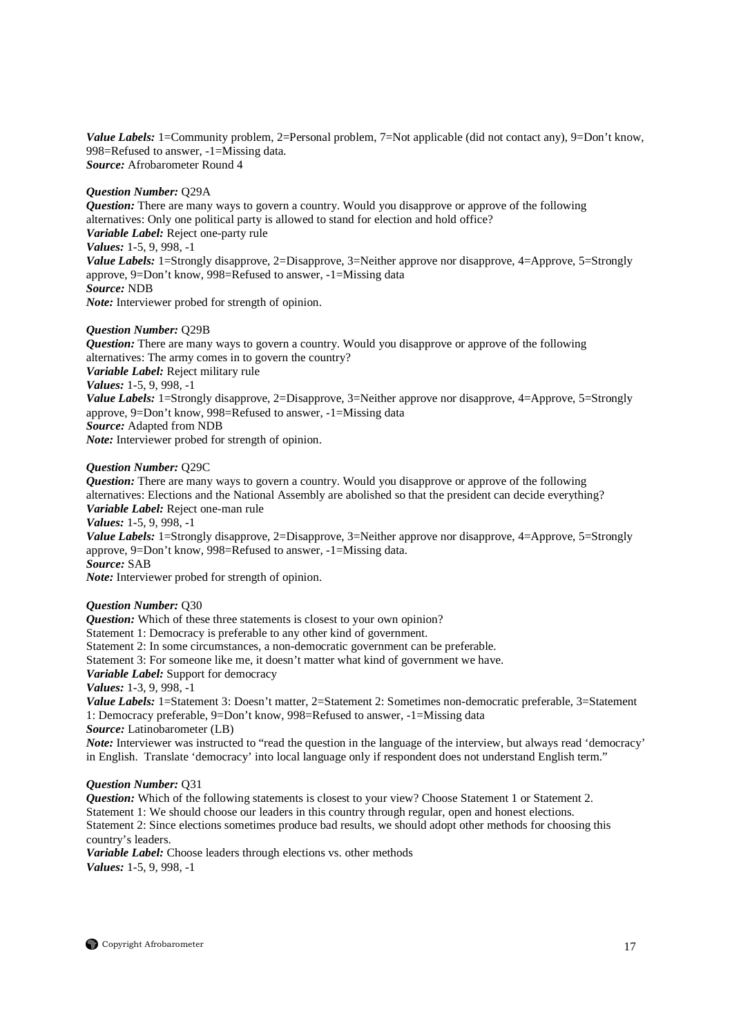*Value Labels:* 1=Community problem, 2=Personal problem, 7=Not applicable (did not contact any), 9=Don't know, 998=Refused to answer, -1=Missing data. *Source:* Afrobarometer Round 4

# *Question Number:* Q29A

*Question:* There are many ways to govern a country. Would you disapprove or approve of the following alternatives: Only one political party is allowed to stand for election and hold office? *Variable Label:* Reject one-party rule *Values:* 1-5, 9, 998, -1 *Value Labels:* 1=Strongly disapprove, 2=Disapprove, 3=Neither approve nor disapprove, 4=Approve, 5=Strongly approve, 9=Don't know, 998=Refused to answer, -1=Missing data *Source:* NDB

*Note:* Interviewer probed for strength of opinion.

# *Question Number:* Q29B

*Question:* There are many ways to govern a country. Would you disapprove or approve of the following alternatives: The army comes in to govern the country? *Variable Label:* Reject military rule *Values:* 1-5, 9, 998, -1 *Value Labels:* 1=Strongly disapprove, 2=Disapprove, 3=Neither approve nor disapprove, 4=Approve, 5=Strongly approve, 9=Don't know, 998=Refused to answer, -1=Missing data *Source:* Adapted from NDB *Note:* Interviewer probed for strength of opinion.

# *Question Number:* Q29C

*Question:* There are many ways to govern a country. Would you disapprove or approve of the following alternatives: Elections and the National Assembly are abolished so that the president can decide everything? *Variable Label:* Reject one-man rule

*Values:* 1-5, 9, 998, -1

*Value Labels:* 1=Strongly disapprove, 2=Disapprove, 3=Neither approve nor disapprove, 4=Approve, 5=Strongly approve, 9=Don't know, 998=Refused to answer, -1=Missing data. *Source:* SAB

*Note:* Interviewer probed for strength of opinion.

# *Question Number:* Q30

*Question:* Which of these three statements is closest to your own opinion?

Statement 1: Democracy is preferable to any other kind of government.

Statement 2: In some circumstances, a non-democratic government can be preferable.

Statement 3: For someone like me, it doesn't matter what kind of government we have.

*Variable Label:* Support for democracy

*Values:* 1-3, 9, 998, -1

*Value Labels:* 1=Statement 3: Doesn't matter, 2=Statement 2: Sometimes non-democratic preferable, 3=Statement 1: Democracy preferable, 9=Don't know, 998=Refused to answer, -1=Missing data *Source:* Latinobarometer (LB)

*Note:* Interviewer was instructed to "read the question in the language of the interview, but always read 'democracy' in English. Translate 'democracy' into local language only if respondent does not understand English term."

# *Question Number:* Q31

*Question:* Which of the following statements is closest to your view? Choose Statement 1 or Statement 2. Statement 1: We should choose our leaders in this country through regular, open and honest elections. Statement 2: Since elections sometimes produce bad results, we should adopt other methods for choosing this country's leaders.

*Variable Label:* Choose leaders through elections vs. other methods *Values:* 1-5, 9, 998, -1

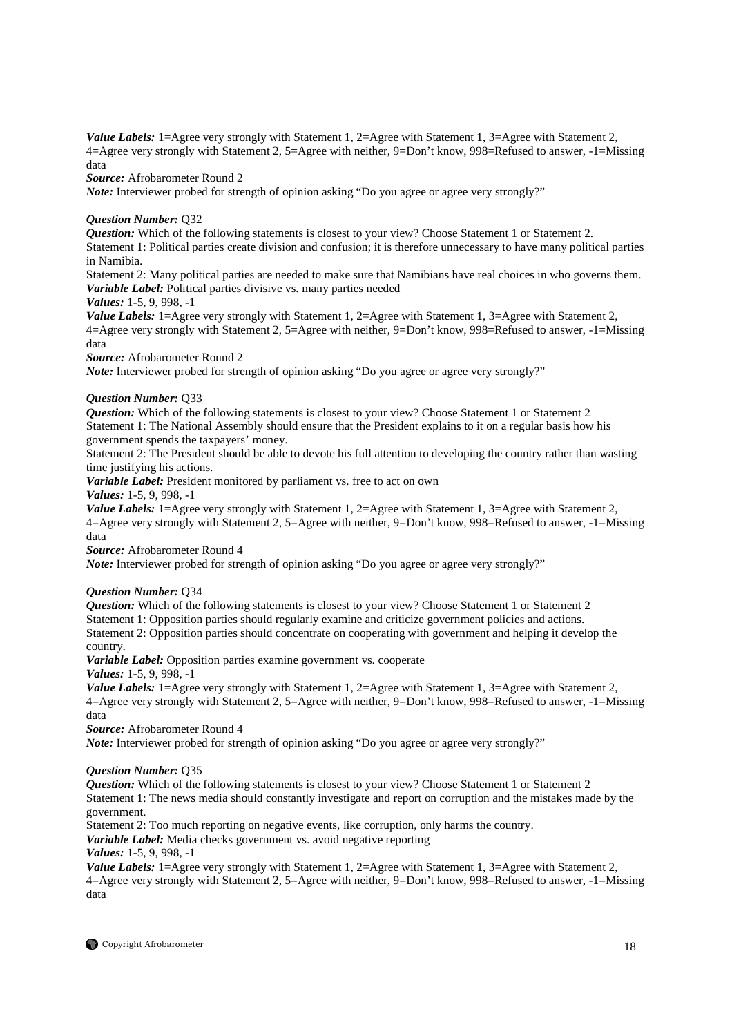*Value Labels:* 1=Agree very strongly with Statement 1, 2=Agree with Statement 1, 3=Agree with Statement 2, 4=Agree very strongly with Statement 2, 5=Agree with neither, 9=Don't know, 998=Refused to answer, -1=Missing data

*Source:* Afrobarometer Round 2

*Note:* Interviewer probed for strength of opinion asking "Do you agree or agree very strongly?"

# *Question Number:* Q32

*Question:* Which of the following statements is closest to your view? Choose Statement 1 or Statement 2.

Statement 1: Political parties create division and confusion; it is therefore unnecessary to have many political parties in Namibia.

Statement 2: Many political parties are needed to make sure that Namibians have real choices in who governs them. *Variable Label:* Political parties divisive vs. many parties needed

# *Values:* 1-5, 9, 998, -1

*Value Labels:* 1=Agree very strongly with Statement 1, 2=Agree with Statement 1, 3=Agree with Statement 2, 4=Agree very strongly with Statement 2, 5=Agree with neither, 9=Don't know, 998=Refused to answer, -1=Missing data

*Source:* Afrobarometer Round 2

*Note:* Interviewer probed for strength of opinion asking "Do you agree or agree very strongly?"

# *Question Number:* Q33

*Question:* Which of the following statements is closest to your view? Choose Statement 1 or Statement 2 Statement 1: The National Assembly should ensure that the President explains to it on a regular basis how his government spends the taxpayers' money.

Statement 2: The President should be able to devote his full attention to developing the country rather than wasting time justifying his actions.

*Variable Label:* President monitored by parliament vs. free to act on own

*Values:* 1-5, 9, 998, -1

*Value Labels:* 1=Agree very strongly with Statement 1, 2=Agree with Statement 1, 3=Agree with Statement 2, 4=Agree very strongly with Statement 2, 5=Agree with neither, 9=Don't know, 998=Refused to answer, -1=Missing data

*Source:* Afrobarometer Round 4

*Note:* Interviewer probed for strength of opinion asking "Do you agree or agree very strongly?"

# *Question Number:* Q34

*Question:* Which of the following statements is closest to your view? Choose Statement 1 or Statement 2 Statement 1: Opposition parties should regularly examine and criticize government policies and actions. Statement 2: Opposition parties should concentrate on cooperating with government and helping it develop the country.

*Variable Label:* Opposition parties examine government vs. cooperate

*Values:* 1-5, 9, 998, -1

*Value Labels:* 1=Agree very strongly with Statement 1, 2=Agree with Statement 1, 3=Agree with Statement 2, 4=Agree very strongly with Statement 2, 5=Agree with neither, 9=Don't know, 998=Refused to answer, -1=Missing data

*Source:* Afrobarometer Round 4

*Note:* Interviewer probed for strength of opinion asking "Do you agree or agree very strongly?"

# *Question Number:* Q35

*Question:* Which of the following statements is closest to your view? Choose Statement 1 or Statement 2 Statement 1: The news media should constantly investigate and report on corruption and the mistakes made by the government.

Statement 2: Too much reporting on negative events, like corruption, only harms the country.

*Variable Label:* Media checks government vs. avoid negative reporting

*Values:* 1-5, 9, 998, -1

*Value Labels:* 1=Agree very strongly with Statement 1, 2=Agree with Statement 1, 3=Agree with Statement 2, 4=Agree very strongly with Statement 2, 5=Agree with neither, 9=Don't know, 998=Refused to answer, -1=Missing data

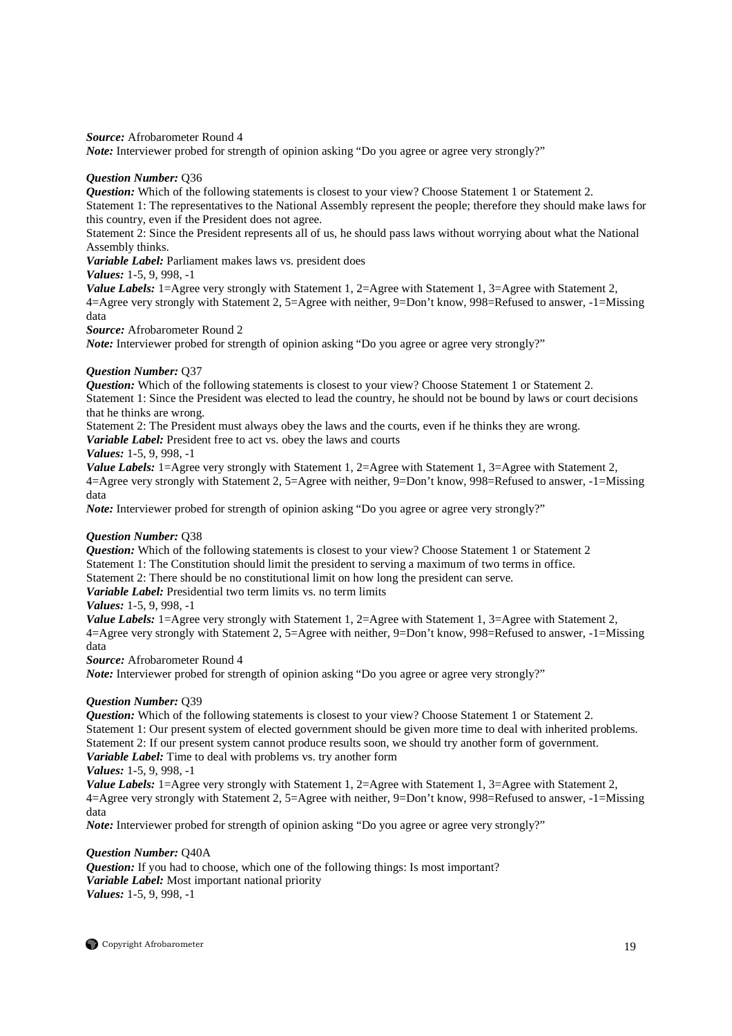*Source:* Afrobarometer Round 4

*Note:* Interviewer probed for strength of opinion asking "Do you agree or agree very strongly?"

# *Question Number:* Q36

*Question:* Which of the following statements is closest to your view? Choose Statement 1 or Statement 2. Statement 1: The representatives to the National Assembly represent the people; therefore they should make laws for this country, even if the President does not agree.

Statement 2: Since the President represents all of us, he should pass laws without worrying about what the National Assembly thinks.

*Variable Label:* Parliament makes laws vs. president does

*Values:* 1-5, 9, 998, -1

*Value Labels:* 1=Agree very strongly with Statement 1, 2=Agree with Statement 1, 3=Agree with Statement 2, 4=Agree very strongly with Statement 2, 5=Agree with neither, 9=Don't know, 998=Refused to answer, -1=Missing data

*Source:* Afrobarometer Round 2

*Note:* Interviewer probed for strength of opinion asking "Do you agree or agree very strongly?"

# *Question Number:* Q37

*Question:* Which of the following statements is closest to your view? Choose Statement 1 or Statement 2. Statement 1: Since the President was elected to lead the country, he should not be bound by laws or court decisions that he thinks are wrong.

Statement 2: The President must always obey the laws and the courts, even if he thinks they are wrong. *Variable Label:* President free to act vs. obey the laws and courts

# *Values:* 1-5, 9, 998, -1

*Value Labels:* 1=Agree very strongly with Statement 1, 2=Agree with Statement 1, 3=Agree with Statement 2, 4=Agree very strongly with Statement 2, 5=Agree with neither, 9=Don't know, 998=Refused to answer, -1=Missing data

*Note:* Interviewer probed for strength of opinion asking "Do you agree or agree very strongly?"

# *Question Number:* Q38

*Question:* Which of the following statements is closest to your view? Choose Statement 1 or Statement 2 Statement 1: The Constitution should limit the president to serving a maximum of two terms in office. Statement 2: There should be no constitutional limit on how long the president can serve. *Variable Label:* Presidential two term limits vs. no term limits

# *Values:* 1-5, 9, 998, -1

*Value Labels:* 1=Agree very strongly with Statement 1, 2=Agree with Statement 1, 3=Agree with Statement 2, 4=Agree very strongly with Statement 2, 5=Agree with neither, 9=Don't know, 998=Refused to answer, -1=Missing data

*Source:* Afrobarometer Round 4

*Note:* Interviewer probed for strength of opinion asking "Do you agree or agree very strongly?"

# *Question Number:* Q39

*Question:* Which of the following statements is closest to your view? Choose Statement 1 or Statement 2. Statement 1: Our present system of elected government should be given more time to deal with inherited problems. Statement 2: If our present system cannot produce results soon, we should try another form of government. *Variable Label:* Time to deal with problems vs. try another form

*Values:* 1-5, 9, 998, -1

*Value Labels:* 1=Agree very strongly with Statement 1, 2=Agree with Statement 1, 3=Agree with Statement 2, 4=Agree very strongly with Statement 2, 5=Agree with neither, 9=Don't know, 998=Refused to answer, -1=Missing data

*Note:* Interviewer probed for strength of opinion asking "Do you agree or agree very strongly?"

# *Question Number:* Q40A

*Question:* If you had to choose, which one of the following things: Is most important? *Variable Label:* Most important national priority *Values:* 1-5, 9, 998, -1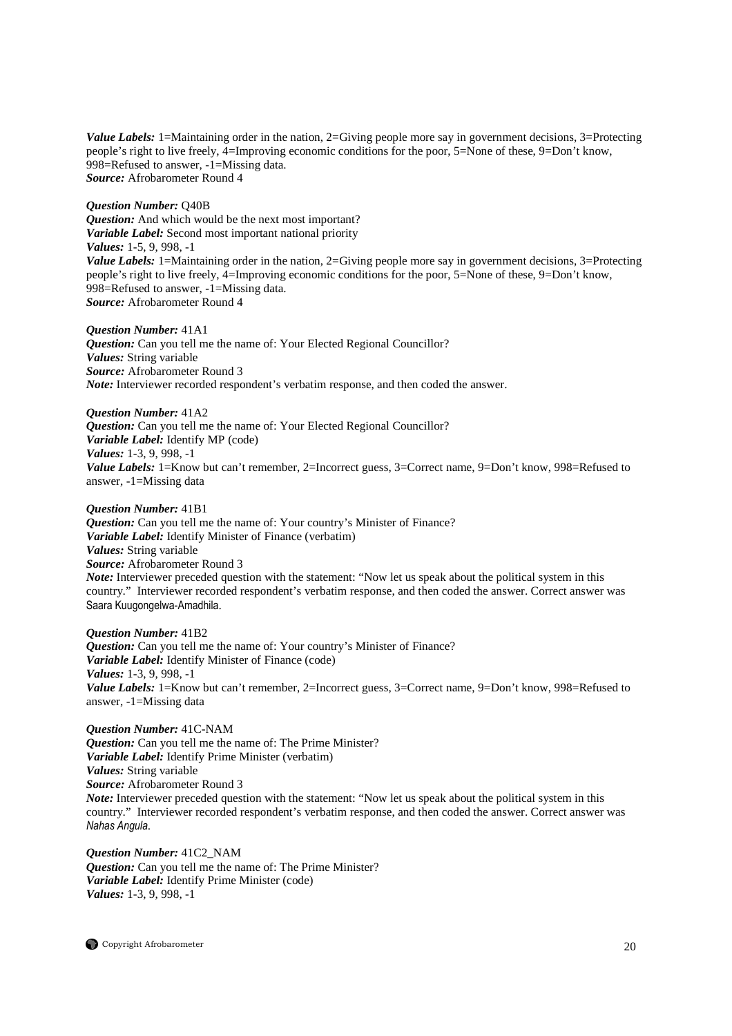*Value Labels:* 1=Maintaining order in the nation, 2=Giving people more say in government decisions, 3=Protecting people's right to live freely, 4=Improving economic conditions for the poor, 5=None of these, 9=Don't know, 998=Refused to answer, -1=Missing data. *Source:* Afrobarometer Round 4

*Question Number:* Q40B *Question:* And which would be the next most important? *Variable Label:* Second most important national priority *Values:* 1-5, 9, 998, -1 *Value Labels:* 1=Maintaining order in the nation, 2=Giving people more say in government decisions, 3=Protecting people's right to live freely, 4=Improving economic conditions for the poor, 5=None of these, 9=Don't know, 998=Refused to answer, -1=Missing data. *Source:* Afrobarometer Round 4

#### *Question Number:* 41A1

**Question:** Can you tell me the name of: Your Elected Regional Councillor? *Values:* String variable *Source:* Afrobarometer Round 3 *Note:* Interviewer recorded respondent's verbatim response, and then coded the answer.

*Question Number:* 41A2 *Question:* Can you tell me the name of: Your Elected Regional Councillor? *Variable Label:* Identify MP (code) *Values:* 1-3, 9, 998, -1 *Value Labels:* 1=Know but can't remember, 2=Incorrect guess, 3=Correct name, 9=Don't know, 998=Refused to answer, -1=Missing data

*Question Number:* 41B1 *Question:* Can you tell me the name of: Your country's Minister of Finance? *Variable Label:* Identify Minister of Finance (verbatim) *Values:* String variable *Source:* Afrobarometer Round 3 *Note:* Interviewer preceded question with the statement: "Now let us speak about the political system in this country." Interviewer recorded respondent's verbatim response, and then coded the answer. Correct answer was Saara Kuugongelwa-Amadhila.

*Question Number:* 41B2 *Question:* Can you tell me the name of: Your country's Minister of Finance? *Variable Label:* Identify Minister of Finance (code) *Values:* 1-3, 9, 998, -1 *Value Labels:* 1=Know but can't remember, 2=Incorrect guess, 3=Correct name, 9=Don't know, 998=Refused to answer, -1=Missing data

*Question Number:* 41C-NAM *Question:* Can you tell me the name of: The Prime Minister? *Variable Label:* Identify Prime Minister (verbatim) *Values:* String variable *Source:* Afrobarometer Round 3 *Note:* Interviewer preceded question with the statement: "Now let us speak about the political system in this country." Interviewer recorded respondent's verbatim response, and then coded the answer. Correct answer was *Nahas Angula*.

*Question Number:* 41C2\_NAM *Question:* Can you tell me the name of: The Prime Minister? *Variable Label:* Identify Prime Minister (code) *Values:* 1-3, 9, 998, -1

 $\bigcirc$  Copyright Afrobarometer 20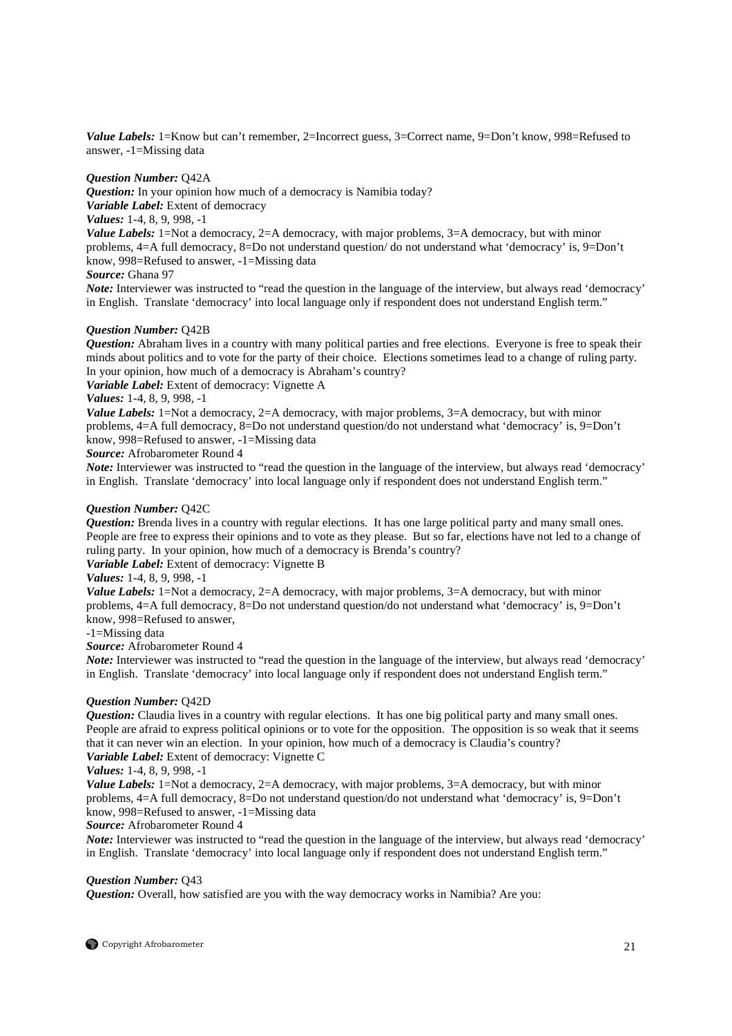*Value Labels:* 1=Know but can't remember, 2=Incorrect guess, 3=Correct name, 9=Don't know, 998=Refused to answer, -1=Missing data

# *Question Number:* Q42A

*Question:* In your opinion how much of a democracy is Namibia today? *Variable Label:* Extent of democracy *Values:* 1-4, 8, 9, 998, -1 *Value Labels:* 1=Not a democracy, 2=A democracy, with major problems, 3=A democracy, but with minor

problems, 4=A full democracy, 8=Do not understand question/ do not understand what 'democracy' is, 9=Don't know, 998=Refused to answer, -1=Missing data

# *Source:* Ghana 97

*Note:* Interviewer was instructed to "read the question in the language of the interview, but always read 'democracy' in English. Translate 'democracy' into local language only if respondent does not understand English term."

# *Question Number:* Q42B

*Question:* Abraham lives in a country with many political parties and free elections. Everyone is free to speak their minds about politics and to vote for the party of their choice. Elections sometimes lead to a change of ruling party. In your opinion, how much of a democracy is Abraham's country?

*Variable Label:* Extent of democracy: Vignette A

# *Values:* 1-4, 8, 9, 998, -1

*Value Labels:* 1=Not a democracy, 2=A democracy, with major problems, 3=A democracy, but with minor problems, 4=A full democracy, 8=Do not understand question/do not understand what 'democracy' is, 9=Don't know, 998=Refused to answer, -1=Missing data

*Source:* Afrobarometer Round 4

*Note:* Interviewer was instructed to "read the question in the language of the interview, but always read 'democracy' in English. Translate 'democracy' into local language only if respondent does not understand English term."

# *Question Number:* Q42C

*Question:* Brenda lives in a country with regular elections. It has one large political party and many small ones. People are free to express their opinions and to vote as they please. But so far, elections have not led to a change of ruling party. In your opinion, how much of a democracy is Brenda's country?

# *Variable Label:* Extent of democracy: Vignette B

*Values:* 1-4, 8, 9, 998, -1

*Value Labels:* 1=Not a democracy, 2=A democracy, with major problems, 3=A democracy, but with minor problems, 4=A full democracy, 8=Do not understand question/do not understand what 'democracy' is, 9=Don't know, 998=Refused to answer,

# -1=Missing data

*Source:* Afrobarometer Round 4

*Note:* Interviewer was instructed to "read the question in the language of the interview, but always read 'democracy' in English. Translate 'democracy' into local language only if respondent does not understand English term."

# *Question Number:* Q42D

*Question:* Claudia lives in a country with regular elections. It has one big political party and many small ones. People are afraid to express political opinions or to vote for the opposition. The opposition is so weak that it seems that it can never win an election. In your opinion, how much of a democracy is Claudia's country? *Variable Label:* Extent of democracy: Vignette C

# *Values:* 1-4, 8, 9, 998, -1

*Value Labels:* 1=Not a democracy, 2=A democracy, with major problems, 3=A democracy, but with minor problems, 4=A full democracy, 8=Do not understand question/do not understand what 'democracy' is, 9=Don't know, 998=Refused to answer, -1=Missing data

# *Source:* Afrobarometer Round 4

*Note*: Interviewer was instructed to "read the question in the language of the interview, but always read 'democracy' in English. Translate 'democracy' into local language only if respondent does not understand English term."

# *Question Number:* Q43

*Question:* Overall, how satisfied are you with the way democracy works in Namibia? Are you: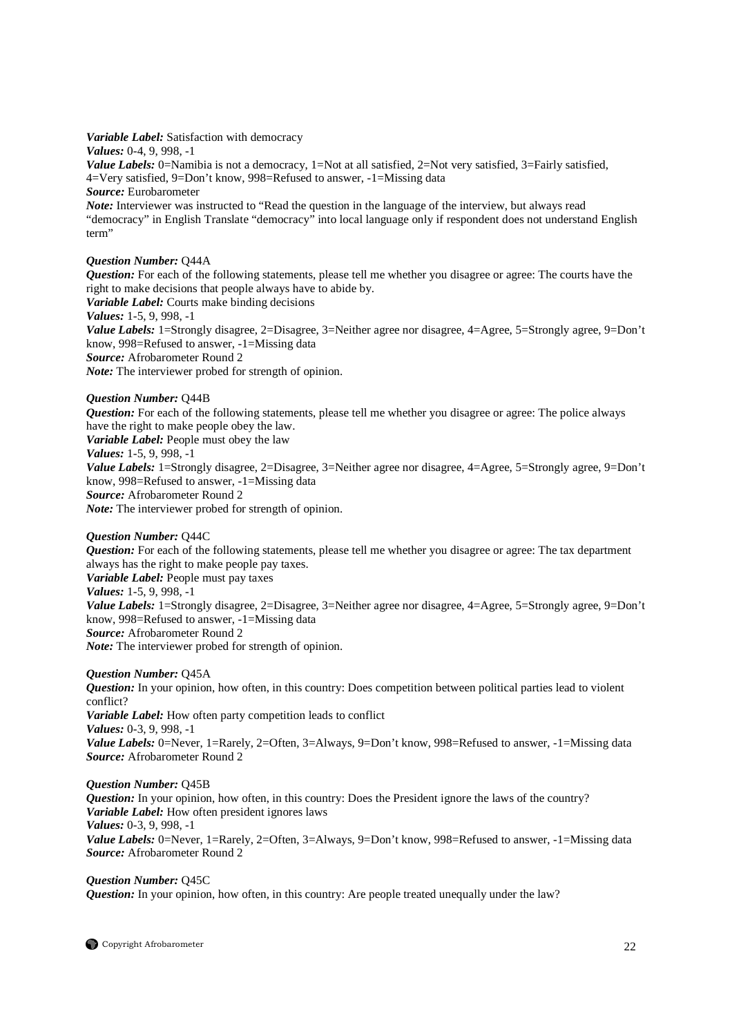*Variable Label:* Satisfaction with democracy *Values:* 0-4, 9, 998, -1 *Value Labels:* 0=Namibia is not a democracy, 1=Not at all satisfied, 2=Not very satisfied, 3=Fairly satisfied, 4=Very satisfied, 9=Don't know, 998=Refused to answer, -1=Missing data *Source:* Eurobarometer *Note:* Interviewer was instructed to "Read the question in the language of the interview, but always read "democracy" in English Translate "democracy" into local language only if respondent does not understand English term"

# *Question Number:* Q44A

*Question:* For each of the following statements, please tell me whether you disagree or agree: The courts have the right to make decisions that people always have to abide by. *Variable Label:* Courts make binding decisions *Values:* 1-5, 9, 998, -1 *Value Labels:* 1=Strongly disagree, 2=Disagree, 3=Neither agree nor disagree, 4=Agree, 5=Strongly agree, 9=Don't know, 998=Refused to answer, -1=Missing data *Source:* Afrobarometer Round 2

*Note:* The interviewer probed for strength of opinion.

# *Question Number:* Q44B

*Question:* For each of the following statements, please tell me whether you disagree or agree: The police always have the right to make people obey the law. *Variable Label:* People must obey the law *Values:* 1-5, 9, 998, -1 *Value Labels:* 1=Strongly disagree, 2=Disagree, 3=Neither agree nor disagree, 4=Agree, 5=Strongly agree, 9=Don't know, 998=Refused to answer, -1=Missing data *Source:* Afrobarometer Round 2 *Note:* The interviewer probed for strength of opinion.

*Question Number:* Q44C

*Question:* For each of the following statements, please tell me whether you disagree or agree: The tax department always has the right to make people pay taxes.

*Variable Label:* People must pay taxes

*Values:* 1-5, 9, 998, -1

*Value Labels:* 1=Strongly disagree, 2=Disagree, 3=Neither agree nor disagree, 4=Agree, 5=Strongly agree, 9=Don't know, 998=Refused to answer, -1=Missing data *Source:* Afrobarometer Round 2

*Note:* The interviewer probed for strength of opinion.

*Question:* In your opinion, how often, in this country: Does competition between political parties lead to violent conflict? *Variable Label:* How often party competition leads to conflict *Values:* 0-3, 9, 998, -1

*Value Labels:* 0=Never, 1=Rarely, 2=Often, 3=Always, 9=Don't know, 998=Refused to answer, -1=Missing data *Source:* Afrobarometer Round 2

# *Question Number:* Q45B

*Question:* In your opinion, how often, in this country: Does the President ignore the laws of the country? *Variable Label:* How often president ignores laws *Values:* 0-3, 9, 998, -1 *Value Labels:* 0=Never, 1=Rarely, 2=Often, 3=Always, 9=Don't know, 998=Refused to answer, -1=Missing data *Source:* Afrobarometer Round 2

*Question Number:* Q45C *Question:* In your opinion, how often, in this country: Are people treated unequally under the law?

**Copyright Afrobarometer** 22

*Question Number:* Q45A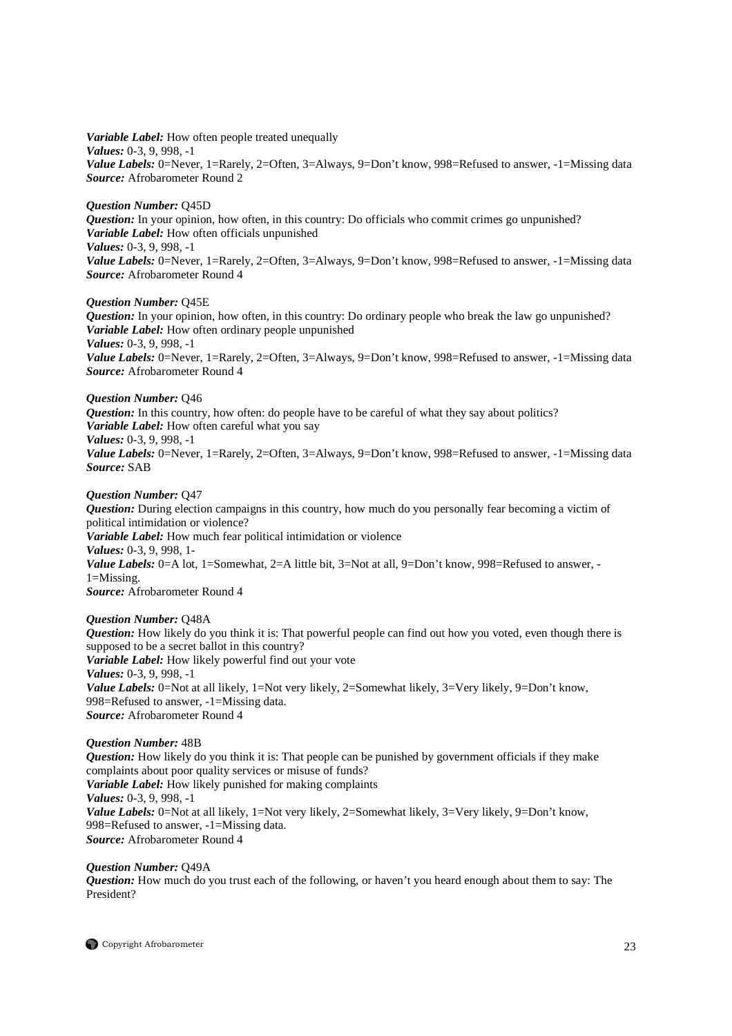*Variable Label:* How often people treated unequally *Values:* 0-3, 9, 998, -1 *Value Labels:* 0=Never, 1=Rarely, 2=Often, 3=Always, 9=Don't know, 998=Refused to answer, -1=Missing data *Source:* Afrobarometer Round 2

# *Question Number:* Q45D

*Question:* In your opinion, how often, in this country: Do officials who commit crimes go unpunished? *Variable Label:* How often officials unpunished *Values:* 0-3, 9, 998, -1 Value Labels: 0=Never, 1=Rarely, 2=Often, 3=Always, 9=Don't know, 998=Refused to answer, -1=Missing data *Source:* Afrobarometer Round 4

# *Question Number:* Q45E

*Question:* In your opinion, how often, in this country: Do ordinary people who break the law go unpunished? *Variable Label:* How often ordinary people unpunished *Values:* 0-3, 9, 998, -1 *Value Labels:* 0=Never, 1=Rarely, 2=Often, 3=Always, 9=Don't know, 998=Refused to answer, -1=Missing data *Source:* Afrobarometer Round 4

# *Question Number:* Q46

*Question:* In this country, how often: do people have to be careful of what they say about politics? *Variable Label:* How often careful what you say *Values:* 0-3, 9, 998, -1 *Value Labels:* 0=Never, 1=Rarely, 2=Often, 3=Always, 9=Don't know, 998=Refused to answer, -1=Missing data *Source:* SAB

#### *Question Number:* Q47

*Question:* During election campaigns in this country, how much do you personally fear becoming a victim of political intimidation or violence? *Variable Label:* How much fear political intimidation or violence *Values:* 0-3, 9, 998, 1- *Value Labels:* 0=A lot, 1=Somewhat, 2=A little bit, 3=Not at all, 9=Don't know, 998=Refused to answer, - $1=$ Missing. *Source:* Afrobarometer Round 4

# *Question Number:* Q48A

*Question:* How likely do you think it is: That powerful people can find out how you voted, even though there is supposed to be a secret ballot in this country? *Variable Label:* How likely powerful find out your vote *Values:* 0-3, 9, 998, -1 *Value Labels:* 0=Not at all likely, 1=Not very likely, 2=Somewhat likely, 3=Very likely, 9=Don't know, 998=Refused to answer, -1=Missing data. *Source:* Afrobarometer Round 4

# *Question Number:* 48B

*Question:* How likely do you think it is: That people can be punished by government officials if they make complaints about poor quality services or misuse of funds? *Variable Label:* How likely punished for making complaints *Values:* 0-3, 9, 998, -1 *Value Labels:* 0=Not at all likely, 1=Not very likely, 2=Somewhat likely, 3=Very likely, 9=Don't know, 998=Refused to answer, -1=Missing data. *Source:* Afrobarometer Round 4

#### *Question Number:* Q49A

*Question:* How much do you trust each of the following, or haven't you heard enough about them to say: The President?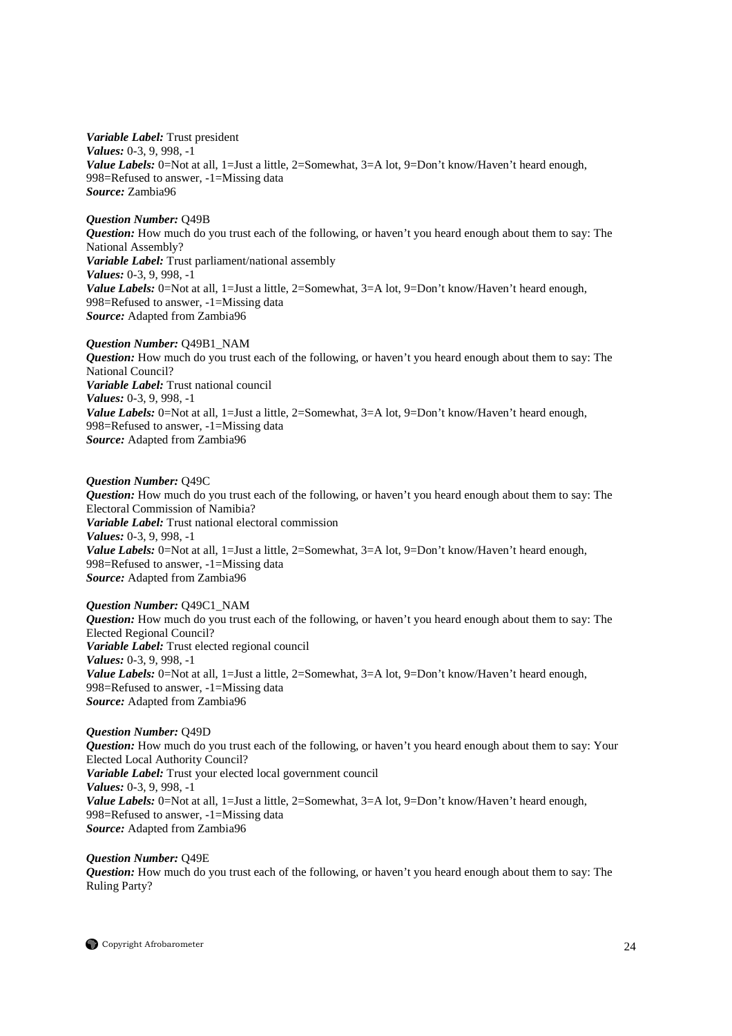*Variable Label:* Trust president *Values:* 0-3, 9, 998, -1 *Value Labels:* 0=Not at all, 1=Just a little, 2=Somewhat, 3=A lot, 9=Don't know/Haven't heard enough, 998=Refused to answer, -1=Missing data *Source:* Zambia96

*Question Number:* Q49B *Question:* How much do you trust each of the following, or haven't you heard enough about them to say: The National Assembly? *Variable Label:* Trust parliament/national assembly *Values:* 0-3, 9, 998, -1 *Value Labels:* 0=Not at all, 1=Just a little, 2=Somewhat, 3=A lot, 9=Don't know/Haven't heard enough, 998=Refused to answer, -1=Missing data *Source:* Adapted from Zambia96

*Question Number:* Q49B1\_NAM *Question:* How much do you trust each of the following, or haven't you heard enough about them to say: The National Council? *Variable Label:* Trust national council *Values:* 0-3, 9, 998, -1 *Value Labels:* 0=Not at all, 1=Just a little, 2=Somewhat, 3=A lot, 9=Don't know/Haven't heard enough, 998=Refused to answer, -1=Missing data *Source:* Adapted from Zambia96

*Question Number:* Q49C *Question:* How much do you trust each of the following, or haven't you heard enough about them to say: The Electoral Commission of Namibia? *Variable Label:* Trust national electoral commission *Values:* 0-3, 9, 998, -1 Value Labels: 0=Not at all, 1=Just a little, 2=Somewhat, 3=A lot, 9=Don't know/Haven't heard enough, 998=Refused to answer, -1=Missing data *Source:* Adapted from Zambia96

*Question Number:* Q49C1\_NAM *Question:* How much do you trust each of the following, or haven't you heard enough about them to say: The Elected Regional Council? *Variable Label:* Trust elected regional council *Values:* 0-3, 9, 998, -1 *Value Labels:* 0=Not at all, 1=Just a little, 2=Somewhat, 3=A lot, 9=Don't know/Haven't heard enough, 998=Refused to answer, -1=Missing data *Source:* Adapted from Zambia96

*Question Number:* Q49D *Question:* How much do you trust each of the following, or haven't you heard enough about them to say: Your Elected Local Authority Council? *Variable Label:* Trust your elected local government council *Values:* 0-3, 9, 998, -1 *Value Labels:* 0=Not at all, 1=Just a little, 2=Somewhat, 3=A lot, 9=Don't know/Haven't heard enough, 998=Refused to answer, -1=Missing data *Source:* Adapted from Zambia96

*Question Number:* Q49E *Question:* How much do you trust each of the following, or haven't you heard enough about them to say: The Ruling Party?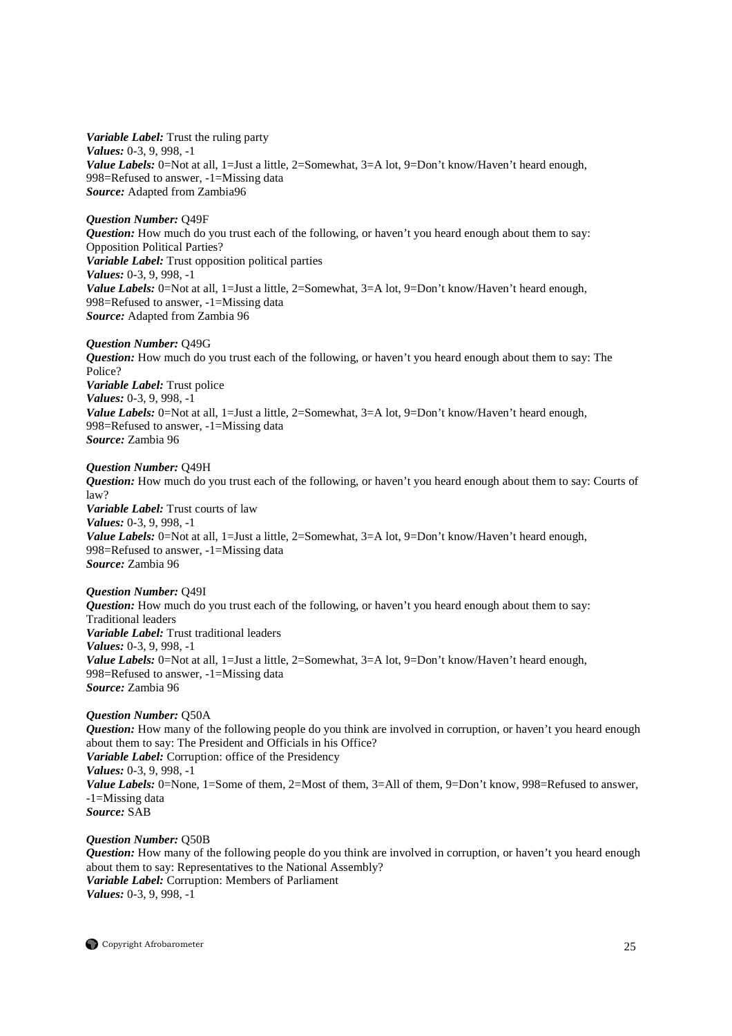*Variable Label:* Trust the ruling party *Values:* 0-3, 9, 998, -1 *Value Labels:* 0=Not at all, 1=Just a little, 2=Somewhat, 3=A lot, 9=Don't know/Haven't heard enough, 998=Refused to answer, -1=Missing data *Source:* Adapted from Zambia96

#### *Question Number:* Q49F

*Question:* How much do you trust each of the following, or haven't you heard enough about them to say: Opposition Political Parties? *Variable Label:* Trust opposition political parties *Values:* 0-3, 9, 998, -1 *Value Labels:* 0=Not at all, 1=Just a little, 2=Somewhat, 3=A lot, 9=Don't know/Haven't heard enough, 998=Refused to answer, -1=Missing data *Source:* Adapted from Zambia 96

# *Question Number:* Q49G

*Question:* How much do you trust each of the following, or haven't you heard enough about them to say: The Police? *Variable Label:* Trust police *Values:* 0-3, 9, 998, -1 *Value Labels:* 0=Not at all, 1=Just a little, 2=Somewhat, 3=A lot, 9=Don't know/Haven't heard enough, 998=Refused to answer, -1=Missing data *Source:* Zambia 96

#### *Question Number:* Q49H

*Question:* How much do you trust each of the following, or haven't you heard enough about them to say: Courts of law? *Variable Label:* Trust courts of law *Values:* 0-3, 9, 998, -1 *Value Labels:* 0=Not at all, 1=Just a little, 2=Somewhat, 3=A lot, 9=Don't know/Haven't heard enough, 998=Refused to answer, -1=Missing data *Source:* Zambia 96

#### *Question Number:* Q49I

*Question:* How much do you trust each of the following, or haven't you heard enough about them to say: Traditional leaders *Variable Label:* Trust traditional leaders *Values:* 0-3, 9, 998, -1 *Value Labels:* 0=Not at all, 1=Just a little, 2=Somewhat, 3=A lot, 9=Don't know/Haven't heard enough, 998=Refused to answer, -1=Missing data *Source:* Zambia 96

# *Question Number:* Q50A

*Question:* How many of the following people do you think are involved in corruption, or haven't you heard enough about them to say: The President and Officials in his Office? *Variable Label:* Corruption: office of the Presidency *Values:* 0-3, 9, 998, -1 *Value Labels:* 0=None, 1=Some of them, 2=Most of them, 3=All of them, 9=Don't know, 998=Refused to answer, -1=Missing data *Source:* SAB

#### *Question Number:* Q50B

*Question:* How many of the following people do you think are involved in corruption, or haven't you heard enough about them to say: Representatives to the National Assembly? *Variable Label:* Corruption: Members of Parliament *Values:* 0-3, 9, 998, -1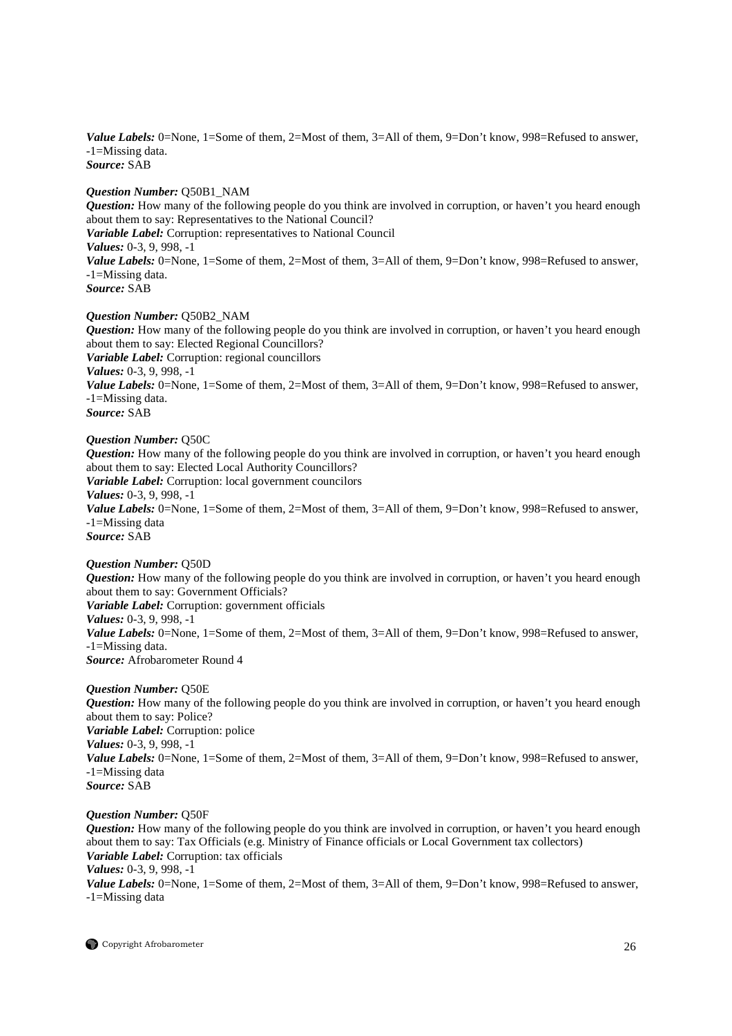*Value Labels:* 0=None, 1=Some of them, 2=Most of them, 3=All of them, 9=Don't know, 998=Refused to answer, -1=Missing data. *Source:* SAB

*Question Number:* Q50B1\_NAM

*Question:* How many of the following people do you think are involved in corruption, or haven't you heard enough about them to say: Representatives to the National Council? *Variable Label:* Corruption: representatives to National Council *Values:* 0-3, 9, 998, -1 *Value Labels:* 0=None, 1=Some of them, 2=Most of them, 3=All of them, 9=Don't know, 998=Refused to answer, -1=Missing data. *Source:* SAB

# *Question Number:* Q50B2\_NAM

*Question:* How many of the following people do you think are involved in corruption, or haven't you heard enough about them to say: Elected Regional Councillors? *Variable Label:* Corruption: regional councillors *Values:* 0-3, 9, 998, -1 *Value Labels:* 0=None, 1=Some of them, 2=Most of them, 3=All of them, 9=Don't know, 998=Refused to answer, -1=Missing data. *Source:* SAB

# *Question Number:* Q50C

*Question:* How many of the following people do you think are involved in corruption, or haven't you heard enough about them to say: Elected Local Authority Councillors? *Variable Label:* Corruption: local government councilors *Values:* 0-3, 9, 998, -1 *Value Labels:* 0=None, 1=Some of them, 2=Most of them, 3=All of them, 9=Don't know, 998=Refused to answer, -1=Missing data *Source:* SAB

# *Question Number:* Q50D

*Question:* How many of the following people do you think are involved in corruption, or haven't you heard enough about them to say: Government Officials? *Variable Label:* Corruption: government officials *Values:* 0-3, 9, 998, -1 *Value Labels:* 0=None, 1=Some of them, 2=Most of them, 3=All of them, 9=Don't know, 998=Refused to answer, -1=Missing data. *Source:* Afrobarometer Round 4

# *Question Number:* Q50E

*Question:* How many of the following people do you think are involved in corruption, or haven't you heard enough about them to say: Police? *Variable Label:* Corruption: police *Values:* 0-3, 9, 998, -1 *Value Labels:* 0=None, 1=Some of them, 2=Most of them, 3=All of them, 9=Don't know, 998=Refused to answer, -1=Missing data *Source:* SAB

# *Question Number:* Q50F

*Question:* How many of the following people do you think are involved in corruption, or haven't you heard enough about them to say: Tax Officials (e.g. Ministry of Finance officials or Local Government tax collectors) *Variable Label:* Corruption: tax officials *Values:* 0-3, 9, 998, -1 *Value Labels:* 0=None, 1=Some of them, 2=Most of them, 3=All of them, 9=Don't know, 998=Refused to answer, -1=Missing data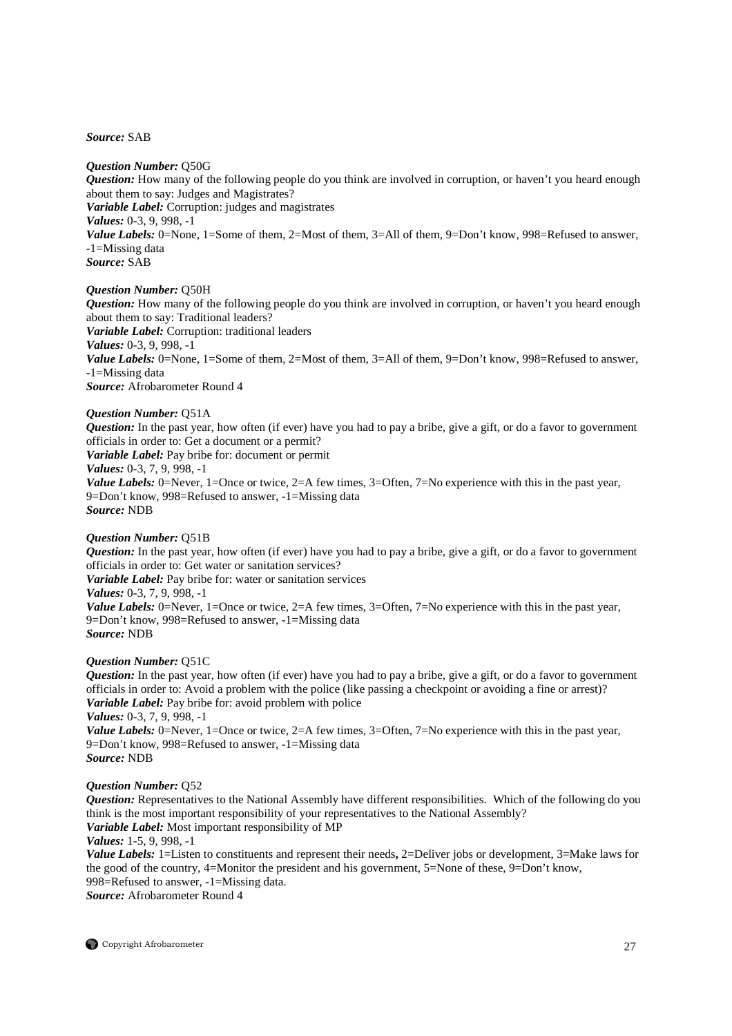*Source:* SAB

#### *Question Number:* Q50G

*Question:* How many of the following people do you think are involved in corruption, or haven't you heard enough about them to say: Judges and Magistrates? *Variable Label:* Corruption: judges and magistrates *Values:* 0-3, 9, 998, -1 Value Labels: 0=None, 1=Some of them, 2=Most of them, 3=All of them, 9=Don't know, 998=Refused to answer, -1=Missing data *Source:* SAB

#### *Question Number:* Q50H

*Question:* How many of the following people do you think are involved in corruption, or haven't you heard enough about them to say: Traditional leaders? *Variable Label:* Corruption: traditional leaders *Values:* 0-3, 9, 998, -1 *Value Labels:* 0=None, 1=Some of them, 2=Most of them, 3=All of them, 9=Don't know, 998=Refused to answer, -1=Missing data *Source:* Afrobarometer Round 4

#### *Question Number:* Q51A

*Question:* In the past year, how often (if ever) have you had to pay a bribe, give a gift, or do a favor to government officials in order to: Get a document or a permit? *Variable Label:* Pay bribe for: document or permit *Values:* 0-3, 7, 9, 998, -1 *Value Labels:* 0=Never, 1=Once or twice, 2=A few times, 3=Often, 7=No experience with this in the past year, 9=Don't know, 998=Refused to answer, -1=Missing data *Source:* NDB

# *Question Number:* Q51B

*Question:* In the past year, how often (if ever) have you had to pay a bribe, give a gift, or do a favor to government officials in order to: Get water or sanitation services?

*Variable Label:* Pay bribe for: water or sanitation services

*Values:* 0-3, 7, 9, 998, -1

*Value Labels:* 0=Never, 1=Once or twice, 2=A few times, 3=Often, 7=No experience with this in the past year, 9=Don't know, 998=Refused to answer, -1=Missing data *Source:* NDB

#### *Question Number:* Q51C

*Question:* In the past year, how often (if ever) have you had to pay a bribe, give a gift, or do a favor to government officials in order to: Avoid a problem with the police (like passing a checkpoint or avoiding a fine or arrest)? *Variable Label:* Pay bribe for: avoid problem with police *Values:* 0-3, 7, 9, 998, -1

*Value Labels:* 0=Never, 1=Once or twice, 2=A few times, 3=Often, 7=No experience with this in the past year, 9=Don't know, 998=Refused to answer, -1=Missing data *Source:* NDB

# *Question Number:* Q52

*Question:* Representatives to the National Assembly have different responsibilities. Which of the following do you think is the most important responsibility of your representatives to the National Assembly? *Variable Label:* Most important responsibility of MP

*Values:* 1-5, 9, 998, -1

*Value Labels:* 1=Listen to constituents and represent their needs**,** 2=Deliver jobs or development, 3=Make laws for the good of the country, 4=Monitor the president and his government, 5=None of these, 9=Don't know, 998=Refused to answer, -1=Missing data.

*Source:* Afrobarometer Round 4

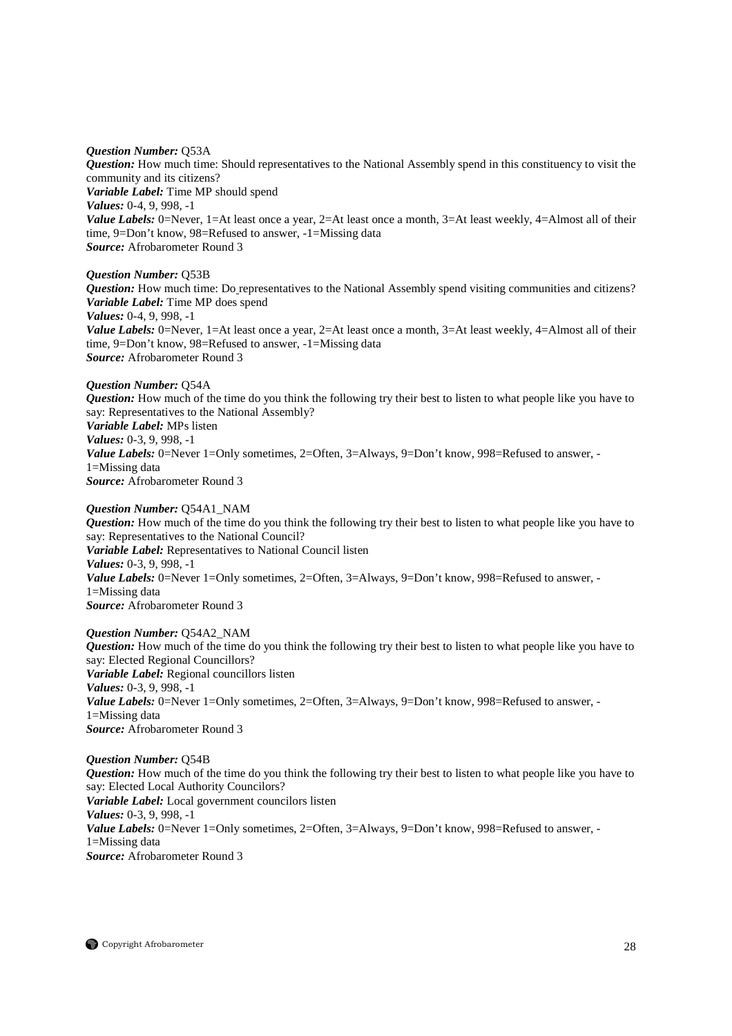#### *Question Number:* Q53A

*Question:* How much time: Should representatives to the National Assembly spend in this constituency to visit the community and its citizens? *Variable Label:* Time MP should spend *Values:* 0-4, 9, 998, -1 *Value Labels:* 0=Never, 1=At least once a year, 2=At least once a month, 3=At least weekly, 4=Almost all of their time, 9=Don't know, 98=Refused to answer, -1=Missing data *Source:* Afrobarometer Round 3

*Question Number:* Q53B

*Question:* How much time: Do representatives to the National Assembly spend visiting communities and citizens? *Variable Label:* Time MP does spend *Values:* 0-4, 9, 998, -1 *Value Labels:* 0=Never, 1=At least once a year, 2=At least once a month, 3=At least weekly, 4=Almost all of their time, 9=Don't know, 98=Refused to answer, -1=Missing data

*Source:* Afrobarometer Round 3

*Question Number:* Q54A *Question:* How much of the time do you think the following try their best to listen to what people like you have to say: Representatives to the National Assembly? *Variable Label:* MPs listen *Values:* 0-3, 9, 998, -1 Value Labels: 0=Never 1=Only sometimes, 2=Often, 3=Always, 9=Don't know, 998=Refused to answer, -1=Missing data *Source:* Afrobarometer Round 3

# *Question Number:* Q54A1\_NAM

*Question:* How much of the time do you think the following try their best to listen to what people like you have to say: Representatives to the National Council? *Variable Label:* Representatives to National Council listen *Values:* 0-3, 9, 998, -1 *Value Labels:* 0=Never 1=Only sometimes, 2=Often, 3=Always, 9=Don't know, 998=Refused to answer. -1=Missing data *Source:* Afrobarometer Round 3

*Question Number:* Q54A2\_NAM *Question:* How much of the time do you think the following try their best to listen to what people like you have to say: Elected Regional Councillors? *Variable Label:* Regional councillors listen *Values:* 0-3, 9, 998, -1 Value Labels: 0=Never 1=Only sometimes, 2=Often, 3=Always, 9=Don't know, 998=Refused to answer, -1=Missing data *Source:* Afrobarometer Round 3

*Question Number:* Q54B *Question:* How much of the time do you think the following try their best to listen to what people like you have to say: Elected Local Authority Councilors? *Variable Label:* Local government councilors listen *Values:* 0-3, 9, 998, -1 Value Labels: 0=Never 1=Only sometimes, 2=Often, 3=Always, 9=Don't know, 998=Refused to answer, -1=Missing data *Source:* Afrobarometer Round 3

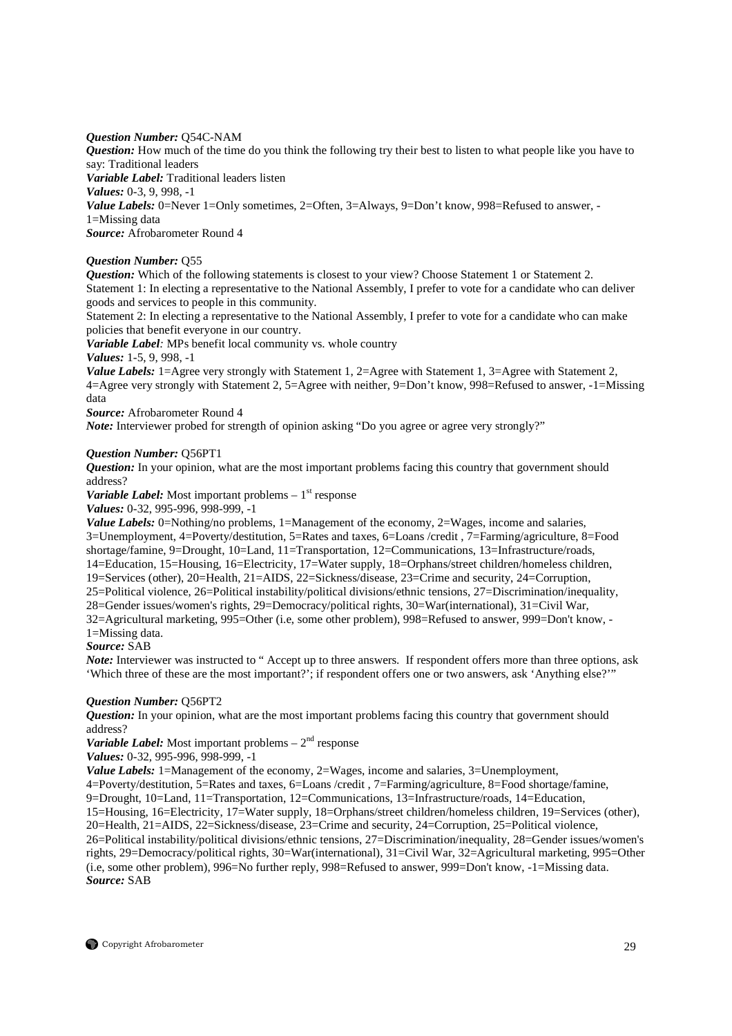# *Question Number:* Q54C-NAM

*Question:* How much of the time do you think the following try their best to listen to what people like you have to say: Traditional leaders

*Variable Label:* Traditional leaders listen

*Values:* 0-3, 9, 998, -1

*Value Labels:* 0=Never 1=Only sometimes, 2=Often, 3=Always, 9=Don't know, 998=Refused to answer, -1=Missing data

*Source:* Afrobarometer Round 4

# *Question Number:* Q55

*Question:* Which of the following statements is closest to your view? Choose Statement 1 or Statement 2. Statement 1: In electing a representative to the National Assembly, I prefer to vote for a candidate who can deliver goods and services to people in this community.

Statement 2: In electing a representative to the National Assembly, I prefer to vote for a candidate who can make policies that benefit everyone in our country.

*Variable Label:* MPs benefit local community vs. whole country

*Values:* 1-5, 9, 998, -1

*Value Labels:* 1=Agree very strongly with Statement 1, 2=Agree with Statement 1, 3=Agree with Statement 2, 4=Agree very strongly with Statement 2, 5=Agree with neither, 9=Don't know, 998=Refused to answer, -1=Missing data

*Source:* Afrobarometer Round 4

*Note:* Interviewer probed for strength of opinion asking "Do you agree or agree very strongly?"

# *Question Number:* Q56PT1

*Question:* In your opinion, what are the most important problems facing this country that government should address?

*Variable Label:* Most important problems  $-1<sup>st</sup>$  response

*Values:* 0-32, 995-996, 998-999, -1

*Value Labels:* 0=Nothing/no problems, 1=Management of the economy, 2=Wages, income and salaries, 3=Unemployment, 4=Poverty/destitution, 5=Rates and taxes, 6=Loans /credit , 7=Farming/agriculture, 8=Food shortage/famine, 9=Drought, 10=Land, 11=Transportation, 12=Communications, 13=Infrastructure/roads, 14=Education, 15=Housing, 16=Electricity, 17=Water supply, 18=Orphans/street children/homeless children, 19=Services (other), 20=Health, 21=AIDS, 22=Sickness/disease, 23=Crime and security, 24=Corruption, 25=Political violence, 26=Political instability/political divisions/ethnic tensions, 27=Discrimination/inequality, 28=Gender issues/women's rights, 29=Democracy/political rights, 30=War(international), 31=Civil War, 32=Agricultural marketing, 995=Other (i.e, some other problem), 998=Refused to answer, 999=Don't know, - 1=Missing data.

*Source:* SAB

*Note:* Interviewer was instructed to " Accept up to three answers. If respondent offers more than three options, ask 'Which three of these are the most important?'; if respondent offers one or two answers, ask 'Anything else?'"

# *Question Number:* Q56PT2

*Question:* In your opinion, what are the most important problems facing this country that government should address?

# *Variable Label:* Most important problems  $-2^{nd}$  response

*Values:* 0-32, 995-996, 998-999, -1

*Value Labels:* 1=Management of the economy, 2=Wages, income and salaries, 3=Unemployment,

4=Poverty/destitution, 5=Rates and taxes, 6=Loans /credit , 7=Farming/agriculture, 8=Food shortage/famine,

9=Drought, 10=Land, 11=Transportation, 12=Communications, 13=Infrastructure/roads, 14=Education,

15=Housing, 16=Electricity, 17=Water supply, 18=Orphans/street children/homeless children, 19=Services (other), 20=Health, 21=AIDS, 22=Sickness/disease, 23=Crime and security, 24=Corruption, 25=Political violence,

26=Political instability/political divisions/ethnic tensions, 27=Discrimination/inequality, 28=Gender issues/women's rights, 29=Democracy/political rights, 30=War(international), 31=Civil War, 32=Agricultural marketing, 995=Other (i.e, some other problem), 996=No further reply, 998=Refused to answer, 999=Don't know, -1=Missing data. *Source:* SAB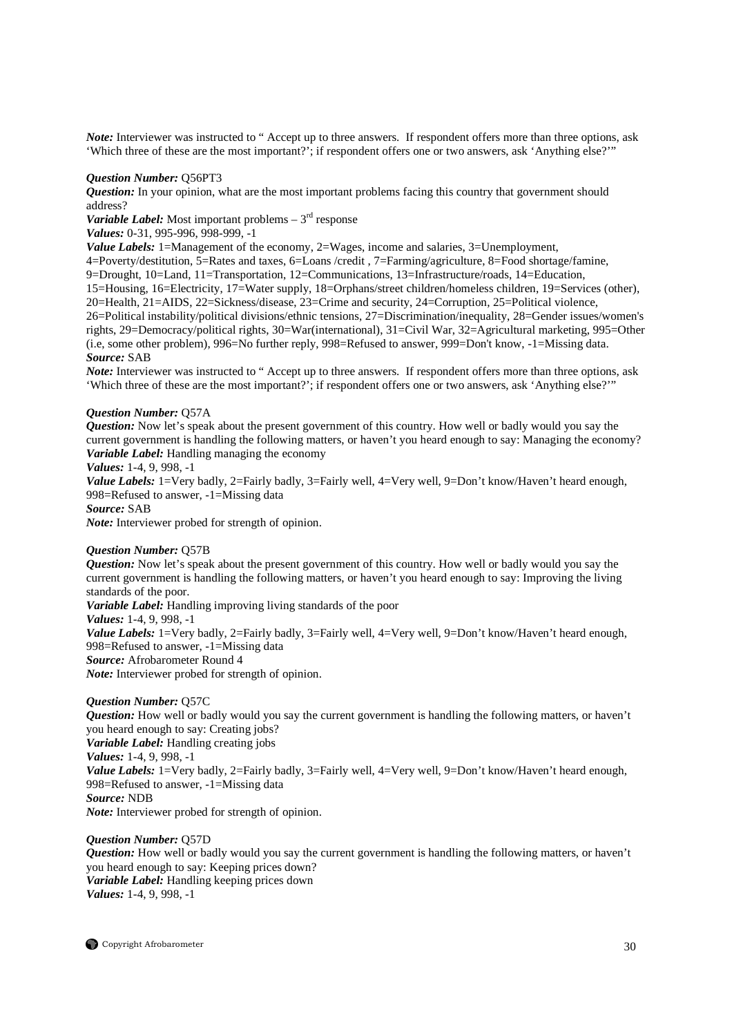*Note:* Interviewer was instructed to " Accept up to three answers. If respondent offers more than three options, ask 'Which three of these are the most important?'; if respondent offers one or two answers, ask 'Anything else?'"

#### *Question Number:* Q56PT3

*Question:* In your opinion, what are the most important problems facing this country that government should address?

*Variable Label:* Most important problems  $-3<sup>rd</sup>$  response

*Values:* 0-31, 995-996, 998-999, -1

*Value Labels:* 1=Management of the economy, 2=Wages, income and salaries, 3=Unemployment,

4=Poverty/destitution, 5=Rates and taxes, 6=Loans /credit , 7=Farming/agriculture, 8=Food shortage/famine, 9=Drought, 10=Land, 11=Transportation, 12=Communications, 13=Infrastructure/roads, 14=Education, 15=Housing, 16=Electricity, 17=Water supply, 18=Orphans/street children/homeless children, 19=Services (other), 20=Health, 21=AIDS, 22=Sickness/disease, 23=Crime and security, 24=Corruption, 25=Political violence, 26=Political instability/political divisions/ethnic tensions, 27=Discrimination/inequality, 28=Gender issues/women's rights, 29=Democracy/political rights, 30=War(international), 31=Civil War, 32=Agricultural marketing, 995=Other (i.e, some other problem), 996=No further reply, 998=Refused to answer, 999=Don't know, -1=Missing data. *Source:* SAB

*Note:* Interviewer was instructed to " Accept up to three answers. If respondent offers more than three options, ask 'Which three of these are the most important?'; if respondent offers one or two answers, ask 'Anything else?'"

#### *Question Number:* Q57A

*Question:* Now let's speak about the present government of this country. How well or badly would you say the current government is handling the following matters, or haven't you heard enough to say: Managing the economy? *Variable Label:* Handling managing the economy

*Values:* 1-4, 9, 998, -1

Value Labels: 1=Very badly, 2=Fairly badly, 3=Fairly well, 4=Very well, 9=Don't know/Haven't heard enough, 998=Refused to answer, -1=Missing data

*Source:* SAB

*Note:* Interviewer probed for strength of opinion.

# *Question Number:* Q57B

*Question:* Now let's speak about the present government of this country. How well or badly would you say the current government is handling the following matters, or haven't you heard enough to say: Improving the living standards of the poor. *Variable Label:* Handling improving living standards of the poor *Values:* 1-4, 9, 998, -1 *Value Labels:* 1=Very badly, 2=Fairly badly, 3=Fairly well, 4=Very well, 9=Don't know/Haven't heard enough,

998=Refused to answer, -1=Missing data

*Source:* Afrobarometer Round 4

*Note:* Interviewer probed for strength of opinion.

# *Question Number:* Q57C

*Question:* How well or badly would you say the current government is handling the following matters, or haven't you heard enough to say: Creating jobs?

*Variable Label:* Handling creating jobs

*Values:* 1-4, 9, 998, -1

*Value Labels:* 1=Very badly, 2=Fairly badly, 3=Fairly well, 4=Very well, 9=Don't know/Haven't heard enough, 998=Refused to answer, -1=Missing data

*Source:* NDB

*Note:* Interviewer probed for strength of opinion.

# *Question Number:* Q57D

*Question:* How well or badly would you say the current government is handling the following matters, or haven't you heard enough to say: Keeping prices down? *Variable Label:* Handling keeping prices down *Values:* 1-4, 9, 998, -1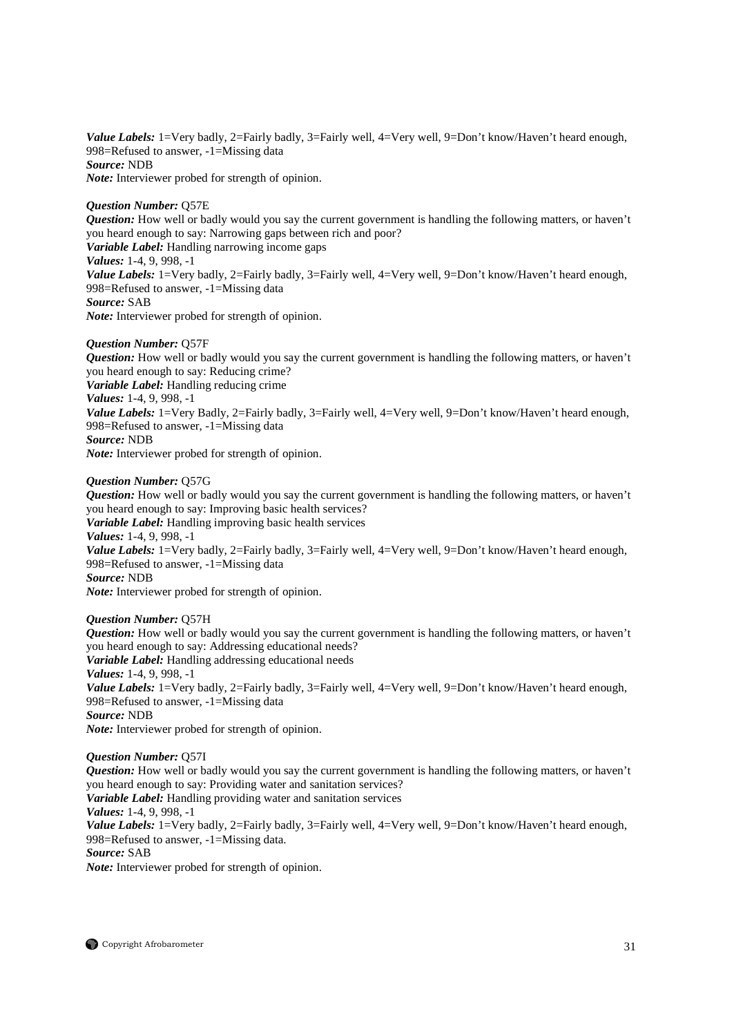Value Labels: 1=Very badly, 2=Fairly badly, 3=Fairly well, 4=Very well, 9=Don't know/Haven't heard enough, 998=Refused to answer, -1=Missing data *Source:* NDB *Note:* Interviewer probed for strength of opinion.

# *Question Number:* Q57E

*Question:* How well or badly would you say the current government is handling the following matters, or haven't you heard enough to say: Narrowing gaps between rich and poor? *Variable Label:* Handling narrowing income gaps *Values:* 1-4, 9, 998, -1 Value Labels: 1=Very badly, 2=Fairly badly, 3=Fairly well, 4=Very well, 9=Don't know/Haven't heard enough, 998=Refused to answer, -1=Missing data *Source:* SAB

*Note:* Interviewer probed for strength of opinion.

# *Question Number:* Q57F

*Question:* How well or badly would you say the current government is handling the following matters, or haven't you heard enough to say: Reducing crime? *Variable Label:* Handling reducing crime *Values:* 1-4, 9, 998, -1 *Value Labels:* 1=Very Badly, 2=Fairly badly, 3=Fairly well, 4=Very well, 9=Don't know/Haven't heard enough, 998=Refused to answer, -1=Missing data *Source:* NDB *Note:* Interviewer probed for strength of opinion.

# *Question Number:* Q57G

*Question:* How well or badly would you say the current government is handling the following matters, or haven't you heard enough to say: Improving basic health services? *Variable Label:* Handling improving basic health services *Values:* 1-4, 9, 998, -1 Value Labels: 1=Very badly, 2=Fairly badly, 3=Fairly well, 4=Very well, 9=Don't know/Haven't heard enough, 998=Refused to answer, -1=Missing data *Source:* NDB *Note:* Interviewer probed for strength of opinion.

# *Question Number:* Q57H

*Question:* How well or badly would you say the current government is handling the following matters, or haven't you heard enough to say: Addressing educational needs? *Variable Label:* Handling addressing educational needs *Values:* 1-4, 9, 998, -1 Value Labels: 1=Very badly, 2=Fairly badly, 3=Fairly well, 4=Very well, 9=Don't know/Haven't heard enough, 998=Refused to answer, -1=Missing data *Source:* NDB *Note:* Interviewer probed for strength of opinion.

# *Question Number:* Q57I

*Question:* How well or badly would you say the current government is handling the following matters, or haven't you heard enough to say: Providing water and sanitation services? *Variable Label:* Handling providing water and sanitation services *Values:* 1-4, 9, 998, -1 Value Labels: 1=Very badly, 2=Fairly badly, 3=Fairly well, 4=Very well, 9=Don't know/Haven't heard enough, 998=Refused to answer, -1=Missing data. *Source:* SAB *Note:* Interviewer probed for strength of opinion.

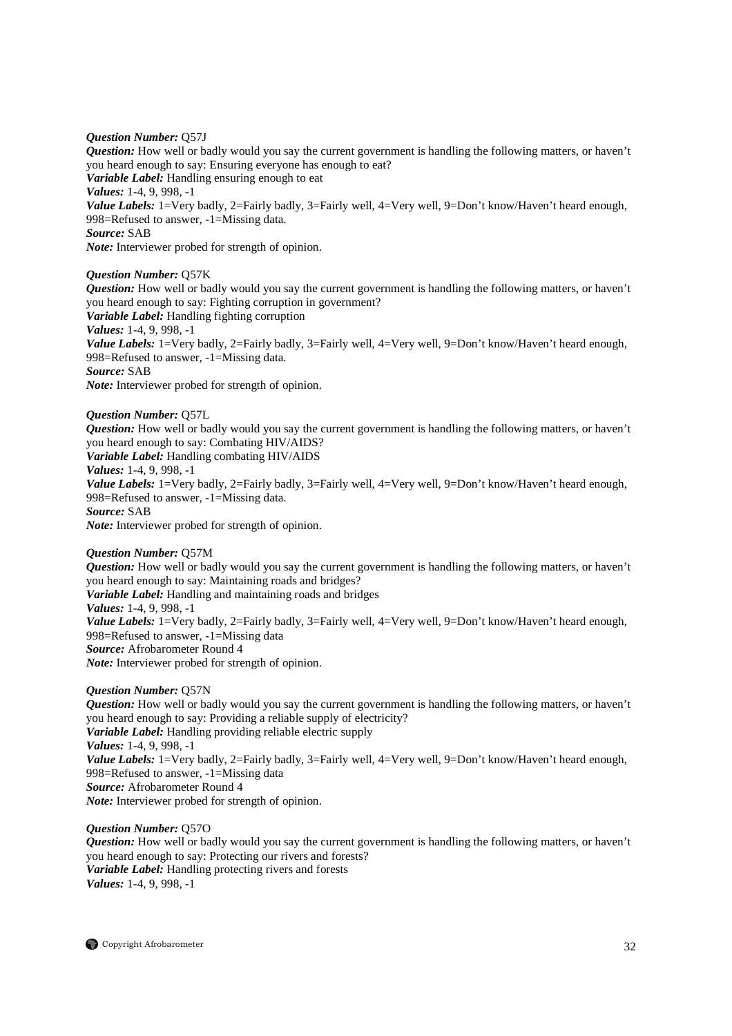# *Question Number:* Q57J

*Question:* How well or badly would you say the current government is handling the following matters, or haven't you heard enough to say: Ensuring everyone has enough to eat? *Variable Label:* Handling ensuring enough to eat *Values:* 1-4, 9, 998, -1 *Value Labels:* 1=Very badly, 2=Fairly badly, 3=Fairly well, 4=Very well, 9=Don't know/Haven't heard enough, 998=Refused to answer, -1=Missing data. *Source:* SAB *Note:* Interviewer probed for strength of opinion.

# *Question Number:* Q57K

*Question:* How well or badly would you say the current government is handling the following matters, or haven't you heard enough to say: Fighting corruption in government? *Variable Label:* Handling fighting corruption *Values:* 1-4, 9, 998, -1 Value Labels: 1=Very badly, 2=Fairly badly, 3=Fairly well, 4=Very well, 9=Don't know/Haven't heard enough, 998=Refused to answer, -1=Missing data. *Source:* SAB *Note:* Interviewer probed for strength of opinion.

*Question Number:* Q57L *Question:* How well or badly would you say the current government is handling the following matters, or haven't you heard enough to say: Combating HIV/AIDS? *Variable Label:* Handling combating HIV/AIDS *Values:* 1-4, 9, 998, -1 *Value Labels:* 1=Very badly, 2=Fairly badly, 3=Fairly well, 4=Very well, 9=Don't know/Haven't heard enough, 998=Refused to answer, -1=Missing data. *Source:* SAB *Note:* Interviewer probed for strength of opinion.

# *Question Number:* Q57M

*Question:* How well or badly would you say the current government is handling the following matters, or haven't you heard enough to say: Maintaining roads and bridges? *Variable Label:* Handling and maintaining roads and bridges *Values:* 1-4, 9, 998, -1 *Value Labels:* 1=Very badly, 2=Fairly badly, 3=Fairly well, 4=Very well, 9=Don't know/Haven't heard enough, 998=Refused to answer, -1=Missing data *Source:* Afrobarometer Round 4 *Note:* Interviewer probed for strength of opinion.

# *Question Number:* Q57N

*Question:* How well or badly would you say the current government is handling the following matters, or haven't you heard enough to say: Providing a reliable supply of electricity? *Variable Label:* Handling providing reliable electric supply *Values:* 1-4, 9, 998, -1 Value Labels: 1=Very badly, 2=Fairly badly, 3=Fairly well, 4=Very well, 9=Don't know/Haven't heard enough, 998=Refused to answer, -1=Missing data *Source:* Afrobarometer Round 4 *Note:* Interviewer probed for strength of opinion.

# *Question Number:* Q57O

*Question:* How well or badly would you say the current government is handling the following matters, or haven't you heard enough to say: Protecting our rivers and forests? *Variable Label:* Handling protecting rivers and forests *Values:* 1-4, 9, 998, -1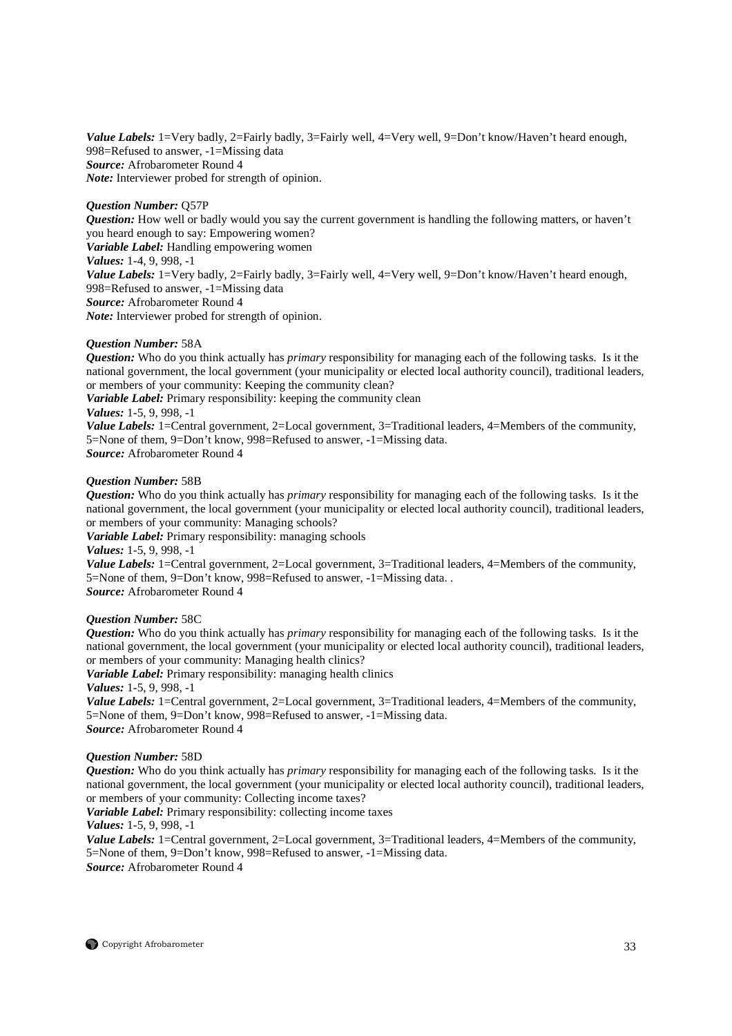Value Labels: 1=Very badly, 2=Fairly badly, 3=Fairly well, 4=Very well, 9=Don't know/Haven't heard enough, 998=Refused to answer, -1=Missing data *Source:* Afrobarometer Round 4 *Note:* Interviewer probed for strength of opinion.

# *Question Number:* Q57P

*Question:* How well or badly would you say the current government is handling the following matters, or haven't you heard enough to say: Empowering women? *Variable Label:* Handling empowering women *Values:* 1-4, 9, 998, -1 *Value Labels:* 1=Very badly, 2=Fairly badly, 3=Fairly well, 4=Very well, 9=Don't know/Haven't heard enough, 998=Refused to answer, -1=Missing data *Source:* Afrobarometer Round 4 *Note:* Interviewer probed for strength of opinion.

# *Question Number:* 58A

*Question:* Who do you think actually has *primary* responsibility for managing each of the following tasks. Is it the national government, the local government (your municipality or elected local authority council), traditional leaders, or members of your community: Keeping the community clean? *Variable Label:* Primary responsibility: keeping the community clean *Values:* 1-5, 9, 998, -1 *Value Labels:* 1=Central government, 2=Local government, 3=Traditional leaders, 4=Members of the community, 5=None of them, 9=Don't know, 998=Refused to answer, -1=Missing data. *Source:* Afrobarometer Round 4

# *Question Number:* 58B

*Question:* Who do you think actually has *primary* responsibility for managing each of the following tasks. Is it the national government, the local government (your municipality or elected local authority council), traditional leaders, or members of your community: Managing schools?

*Variable Label:* Primary responsibility: managing schools

*Values:* 1-5, 9, 998, -1

*Value Labels:* 1=Central government, 2=Local government, 3=Traditional leaders, 4=Members of the community, 5=None of them, 9=Don't know, 998=Refused to answer, -1=Missing data. . *Source:* Afrobarometer Round 4

# *Question Number:* 58C

*Question:* Who do you think actually has *primary* responsibility for managing each of the following tasks. Is it the national government, the local government (your municipality or elected local authority council), traditional leaders, or members of your community: Managing health clinics?

*Variable Label:* Primary responsibility: managing health clinics *Values:* 1-5, 9, 998, -1

*Value Labels:* 1=Central government, 2=Local government, 3=Traditional leaders, 4=Members of the community, 5=None of them, 9=Don't know, 998=Refused to answer, -1=Missing data. *Source:* Afrobarometer Round 4

# *Question Number:* 58D

*Question:* Who do you think actually has *primary* responsibility for managing each of the following tasks. Is it the national government, the local government (your municipality or elected local authority council), traditional leaders, or members of your community: Collecting income taxes?

*Variable Label:* Primary responsibility: collecting income taxes

*Values:* 1-5, 9, 998, -1

*Value Labels:* 1=Central government, 2=Local government, 3=Traditional leaders, 4=Members of the community, 5=None of them, 9=Don't know, 998=Refused to answer, -1=Missing data. *Source:* Afrobarometer Round 4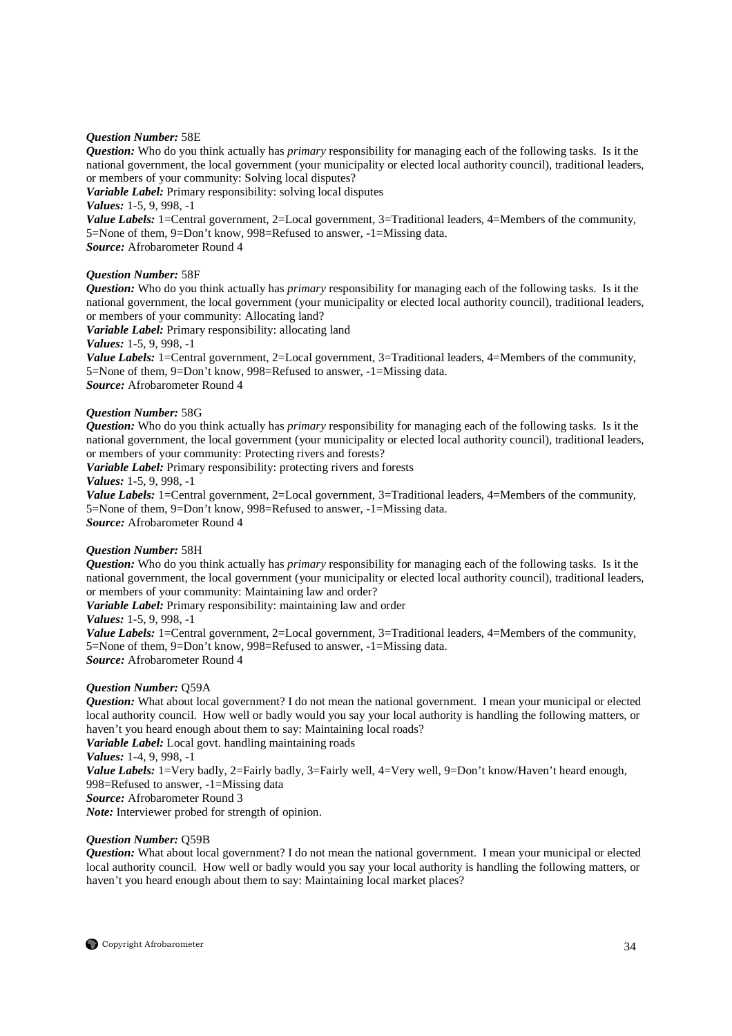# *Question Number:* 58E

*Question:* Who do you think actually has *primary* responsibility for managing each of the following tasks. Is it the national government, the local government (your municipality or elected local authority council), traditional leaders, or members of your community: Solving local disputes?

*Variable Label:* Primary responsibility: solving local disputes

*Values:* 1-5, 9, 998, -1

*Value Labels:* 1=Central government, 2=Local government, 3=Traditional leaders, 4=Members of the community, 5=None of them, 9=Don't know, 998=Refused to answer, -1=Missing data. *Source:* Afrobarometer Round 4

*Question Number:* 58F

*Question:* Who do you think actually has *primary* responsibility for managing each of the following tasks. Is it the national government, the local government (your municipality or elected local authority council), traditional leaders, or members of your community: Allocating land?

*Variable Label:* Primary responsibility: allocating land

*Values:* 1-5, 9, 998, -1

*Value Labels:* 1=Central government, 2=Local government, 3=Traditional leaders, 4=Members of the community, 5=None of them, 9=Don't know, 998=Refused to answer, -1=Missing data. *Source:* Afrobarometer Round 4

# *Question Number:* 58G

*Question:* Who do you think actually has *primary* responsibility for managing each of the following tasks. Is it the national government, the local government (your municipality or elected local authority council), traditional leaders, or members of your community: Protecting rivers and forests?

*Variable Label:* Primary responsibility: protecting rivers and forests

*Values:* 1-5, 9, 998, -1

*Value Labels:* 1=Central government, 2=Local government, 3=Traditional leaders, 4=Members of the community, 5=None of them, 9=Don't know, 998=Refused to answer, -1=Missing data. *Source:* Afrobarometer Round 4

# *Question Number:* 58H

*Question:* Who do you think actually has *primary* responsibility for managing each of the following tasks. Is it the national government, the local government (your municipality or elected local authority council), traditional leaders, or members of your community: Maintaining law and order?

*Variable Label:* Primary responsibility: maintaining law and order

*Values:* 1-5, 9, 998, -1

*Value Labels:* 1=Central government, 2=Local government, 3=Traditional leaders, 4=Members of the community, 5=None of them, 9=Don't know, 998=Refused to answer, -1=Missing data. *Source:* Afrobarometer Round 4

# *Question Number:* Q59A

*Question:* What about local government? I do not mean the national government. I mean your municipal or elected local authority council. How well or badly would you say your local authority is handling the following matters, or haven't you heard enough about them to say: Maintaining local roads?

*Variable Label:* Local govt. handling maintaining roads

*Values:* 1-4, 9, 998, -1

*Value Labels:* 1=Very badly, 2=Fairly badly, 3=Fairly well, 4=Very well, 9=Don't know/Haven't heard enough, 998=Refused to answer, -1=Missing data

*Source:* Afrobarometer Round 3

*Note:* Interviewer probed for strength of opinion.

# *Question Number:* Q59B

*Question:* What about local government? I do not mean the national government. I mean your municipal or elected local authority council. How well or badly would you say your local authority is handling the following matters, or haven't you heard enough about them to say: Maintaining local market places?

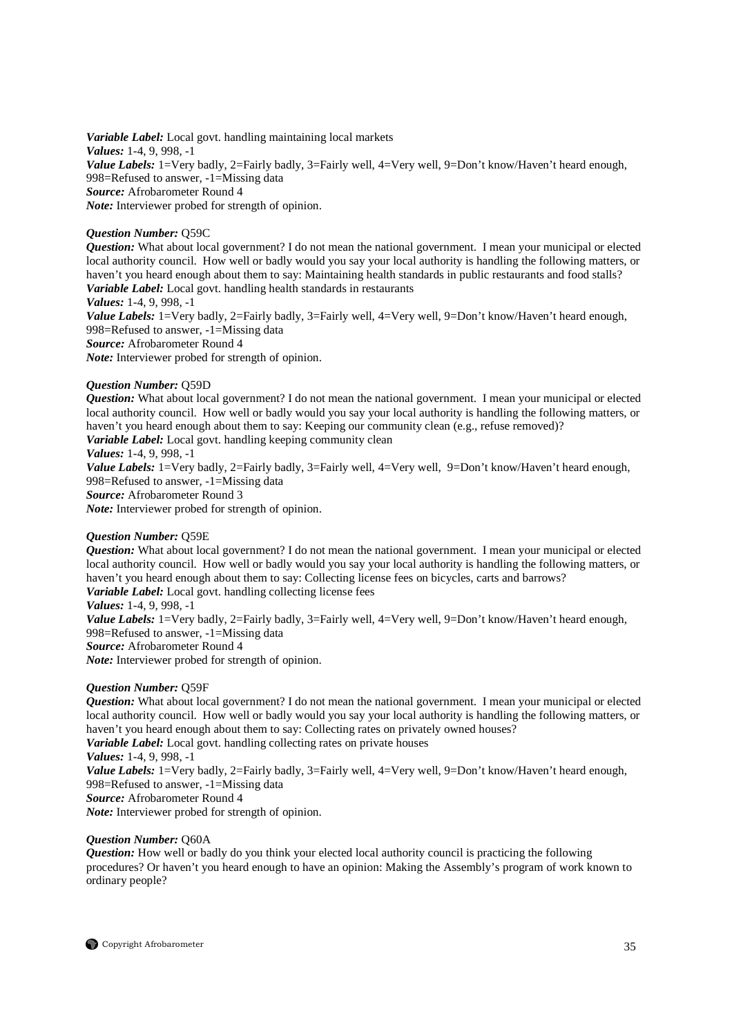*Variable Label:* Local govt. handling maintaining local markets *Values:* 1-4, 9, 998, -1 Value Labels: 1=Very badly, 2=Fairly badly, 3=Fairly well, 4=Very well, 9=Don't know/Haven't heard enough, 998=Refused to answer, -1=Missing data *Source:* Afrobarometer Round 4 *Note:* Interviewer probed for strength of opinion.

# *Question Number:* Q59C

*Question:* What about local government? I do not mean the national government. I mean your municipal or elected local authority council. How well or badly would you say your local authority is handling the following matters, or haven't you heard enough about them to say: Maintaining health standards in public restaurants and food stalls? *Variable Label:* Local govt. handling health standards in restaurants

*Values:* 1-4, 9, 998, -1 Value Labels: 1=Very badly, 2=Fairly badly, 3=Fairly well, 4=Very well, 9=Don't know/Haven't heard enough, 998=Refused to answer, -1=Missing data *Source:* Afrobarometer Round 4 *Note:* Interviewer probed for strength of opinion.

# *Question Number:* Q59D

*Question:* What about local government? I do not mean the national government. I mean your municipal or elected local authority council. How well or badly would you say your local authority is handling the following matters, or haven't you heard enough about them to say: Keeping our community clean (e.g., refuse removed)? *Variable Label:* Local govt. handling keeping community clean

*Values:* 1-4, 9, 998, -1

Value Labels: 1=Very badly, 2=Fairly badly, 3=Fairly well, 4=Very well, 9=Don't know/Haven't heard enough, 998=Refused to answer, -1=Missing data

*Source:* Afrobarometer Round 3

*Note:* Interviewer probed for strength of opinion.

# *Question Number:* Q59E

*Question:* What about local government? I do not mean the national government. I mean your municipal or elected local authority council. How well or badly would you say your local authority is handling the following matters, or haven't you heard enough about them to say: Collecting license fees on bicycles, carts and barrows? *Variable Label:* Local govt. handling collecting license fees

*Values:* 1-4, 9, 998, -1

*Value Labels:* 1=Very badly, 2=Fairly badly, 3=Fairly well, 4=Very well, 9=Don't know/Haven't heard enough, 998=Refused to answer, -1=Missing data

*Source:* Afrobarometer Round 4

*Note:* Interviewer probed for strength of opinion.

# *Question Number:* Q59F

*Question:* What about local government? I do not mean the national government. I mean your municipal or elected local authority council. How well or badly would you say your local authority is handling the following matters, or haven't you heard enough about them to say: Collecting rates on privately owned houses?

*Variable Label:* Local govt. handling collecting rates on private houses

*Values:* 1-4, 9, 998, -1

*Value Labels:* 1=Very badly, 2=Fairly badly, 3=Fairly well, 4=Very well, 9=Don't know/Haven't heard enough, 998=Refused to answer, -1=Missing data

*Source:* Afrobarometer Round 4

*Note:* Interviewer probed for strength of opinion.

# *Question Number:* Q60A

*Question:* How well or badly do you think your elected local authority council is practicing the following procedures? Or haven't you heard enough to have an opinion: Making the Assembly's program of work known to ordinary people?

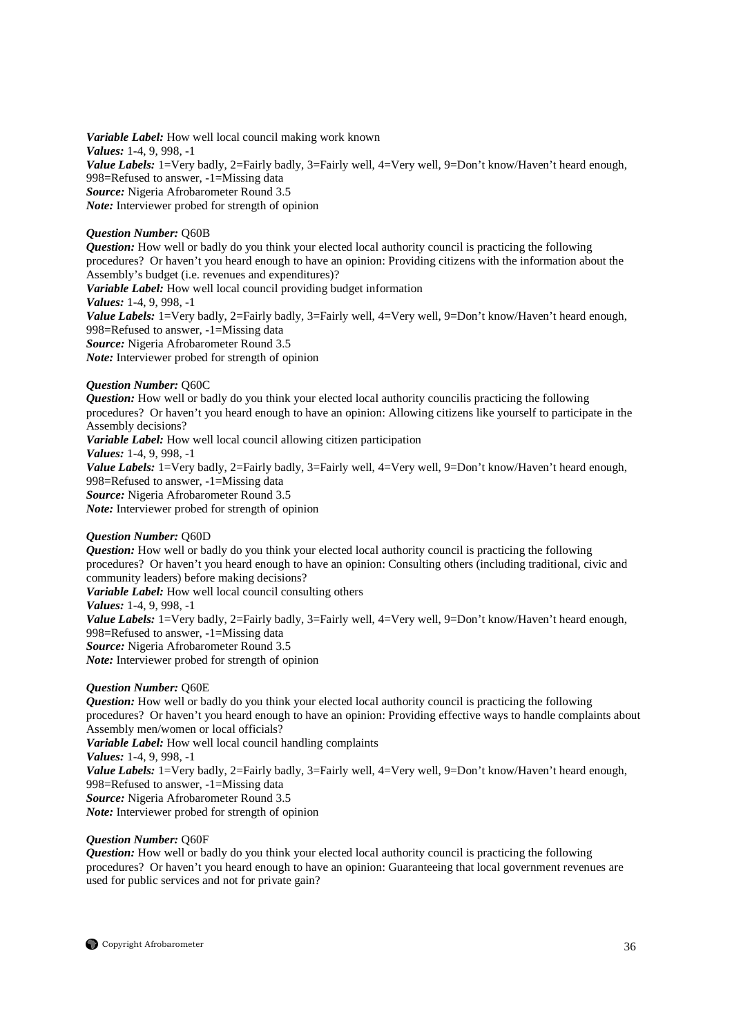*Variable Label:* How well local council making work known *Values:* 1-4, 9, 998, -1 *Value Labels:* 1=Very badly, 2=Fairly badly, 3=Fairly well, 4=Very well, 9=Don't know/Haven't heard enough, 998=Refused to answer, -1=Missing data *Source:* Nigeria Afrobarometer Round 3.5 *Note:* Interviewer probed for strength of opinion

# *Question Number:* Q60B

*Question:* How well or badly do you think your elected local authority council is practicing the following procedures? Or haven't you heard enough to have an opinion: Providing citizens with the information about the Assembly's budget (i.e. revenues and expenditures)? *Variable Label:* How well local council providing budget information *Values:* 1-4, 9, 998, -1 Value Labels: 1=Very badly, 2=Fairly badly, 3=Fairly well, 4=Very well, 9=Don't know/Haven't heard enough, 998=Refused to answer, -1=Missing data *Source:* Nigeria Afrobarometer Round 3.5 *Note:* Interviewer probed for strength of opinion

# *Question Number:* Q60C

*Question:* How well or badly do you think your elected local authority councilis practicing the following procedures? Or haven't you heard enough to have an opinion: Allowing citizens like yourself to participate in the Assembly decisions? *Variable Label:* How well local council allowing citizen participation *Values:* 1-4, 9, 998, -1 *Value Labels:* 1=Very badly, 2=Fairly badly, 3=Fairly well, 4=Very well, 9=Don't know/Haven't heard enough, 998=Refused to answer, -1=Missing data *Source:* Nigeria Afrobarometer Round 3.5 *Note:* Interviewer probed for strength of opinion

# *Question Number:* Q60D

*Question:* How well or badly do you think your elected local authority council is practicing the following procedures? Or haven't you heard enough to have an opinion: Consulting others (including traditional, civic and community leaders) before making decisions? *Variable Label:* How well local council consulting others *Values:* 1-4, 9, 998, -1

*Value Labels:* 1=Very badly, 2=Fairly badly, 3=Fairly well, 4=Very well, 9=Don't know/Haven't heard enough, 998=Refused to answer, -1=Missing data

*Source:* Nigeria Afrobarometer Round 3.5 *Note:* Interviewer probed for strength of opinion

# *Question Number:* Q60E

*Question:* How well or badly do you think your elected local authority council is practicing the following procedures? Or haven't you heard enough to have an opinion: Providing effective ways to handle complaints about Assembly men/women or local officials? *Variable Label:* How well local council handling complaints

*Values:* 1-4, 9, 998, -1

*Value Labels:* 1=Very badly, 2=Fairly badly, 3=Fairly well, 4=Very well, 9=Don't know/Haven't heard enough, 998=Refused to answer, -1=Missing data *Source:* Nigeria Afrobarometer Round 3.5

*Note:* Interviewer probed for strength of opinion

# *Question Number:* Q60F

*Question:* How well or badly do you think your elected local authority council is practicing the following procedures? Or haven't you heard enough to have an opinion: Guaranteeing that local government revenues are used for public services and not for private gain?

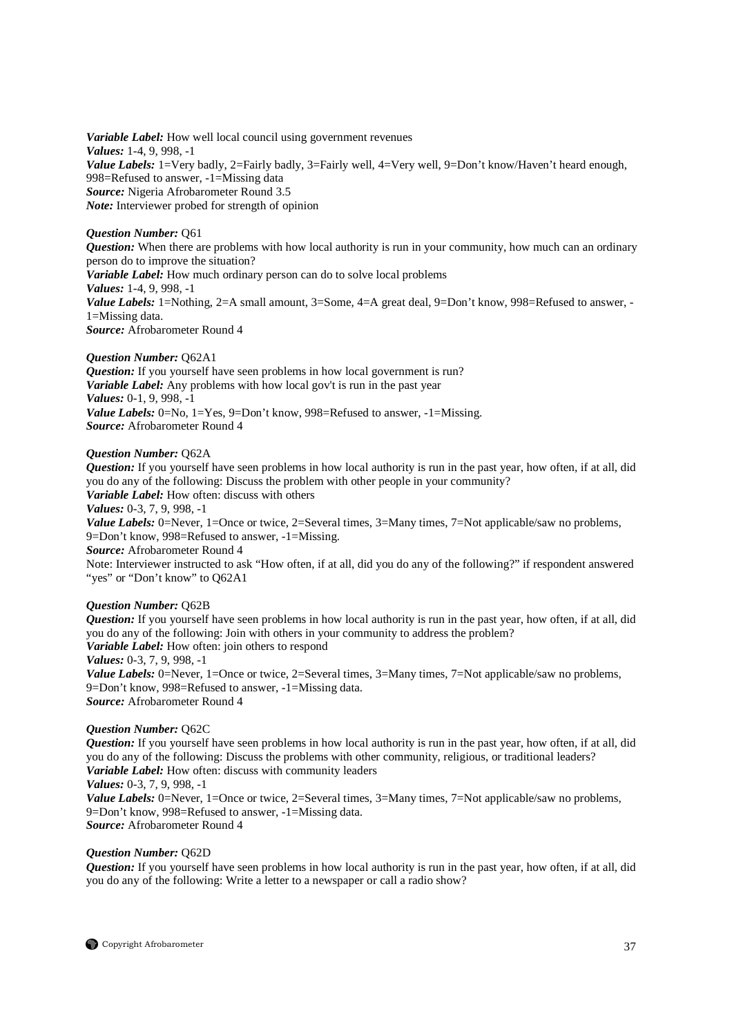*Variable Label:* How well local council using government revenues *Values:* 1-4, 9, 998, -1 *Value Labels:* 1=Very badly, 2=Fairly badly, 3=Fairly well, 4=Very well, 9=Don't know/Haven't heard enough, 998=Refused to answer, -1=Missing data *Source:* Nigeria Afrobarometer Round 3.5 *Note:* Interviewer probed for strength of opinion

# *Question Number:* Q61

*Question:* When there are problems with how local authority is run in your community, how much can an ordinary person do to improve the situation? *Variable Label:* How much ordinary person can do to solve local problems *Values:* 1-4, 9, 998, -1 Value Labels: 1=Nothing, 2=A small amount, 3=Some, 4=A great deal, 9=Don't know, 998=Refused to answer, -1=Missing data. *Source:* Afrobarometer Round 4

# *Question Number:* Q62A1

*Question:* If you yourself have seen problems in how local government is run? *Variable Label:* Any problems with how local gov't is run in the past year *Values:* 0-1, 9, 998, -1 *Value Labels:* 0=No, 1=Yes, 9=Don't know, 998=Refused to answer, -1=Missing. *Source:* Afrobarometer Round 4

# *Question Number:* Q62A

*Question:* If you yourself have seen problems in how local authority is run in the past year, how often, if at all, did you do any of the following: Discuss the problem with other people in your community? *Variable Label:* How often: discuss with others *Values:* 0-3, 7, 9, 998, -1 *Value Labels:* 0=Never, 1=Once or twice, 2=Several times, 3=Many times, 7=Not applicable/saw no problems, 9=Don't know, 998=Refused to answer, -1=Missing. *Source:* Afrobarometer Round 4

Note: Interviewer instructed to ask "How often, if at all, did you do any of the following?" if respondent answered "yes" or "Don't know" to Q62A1

# *Question Number:* Q62B

*Question:* If you yourself have seen problems in how local authority is run in the past year, how often, if at all, did you do any of the following: Join with others in your community to address the problem? *Variable Label:* How often: join others to respond *Values:* 0-3, 7, 9, 998, -1 *Value Labels:* 0=Never, 1=Once or twice, 2=Several times, 3=Many times, 7=Not applicable/saw no problems,

9=Don't know, 998=Refused to answer, -1=Missing data. *Source:* Afrobarometer Round 4

# *Question Number:* Q62C

*Question:* If you yourself have seen problems in how local authority is run in the past year, how often, if at all, did you do any of the following: Discuss the problems with other community, religious, or traditional leaders? *Variable Label:* How often: discuss with community leaders *Values:* 0-3, 7, 9, 998, -1

*Value Labels:* 0=Never, 1=Once or twice, 2=Several times, 3=Many times, 7=Not applicable/saw no problems,

9=Don't know, 998=Refused to answer, -1=Missing data.

*Source:* Afrobarometer Round 4

# *Question Number:* Q62D

*Question:* If you yourself have seen problems in how local authority is run in the past year, how often, if at all, did you do any of the following: Write a letter to a newspaper or call a radio show?

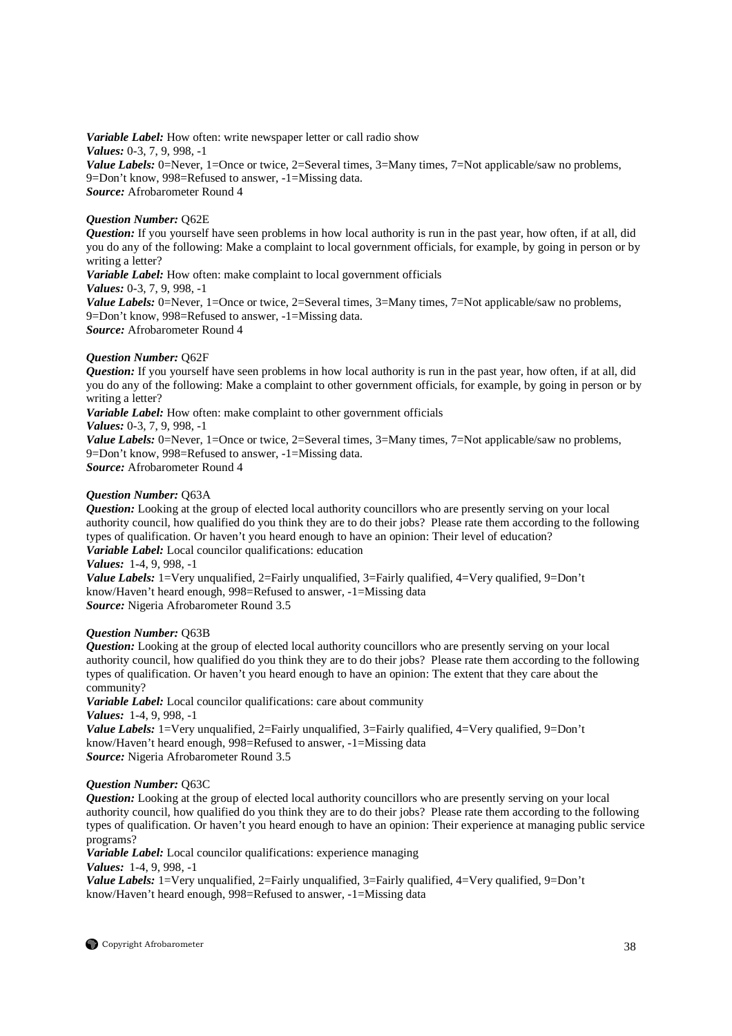*Variable Label:* How often: write newspaper letter or call radio show *Values:* 0-3, 7, 9, 998, -1 *Value Labels:* 0=Never, 1=Once or twice, 2=Several times, 3=Many times, 7=Not applicable/saw no problems, 9=Don't know, 998=Refused to answer, -1=Missing data. *Source:* Afrobarometer Round 4

# *Question Number:* Q62E

*Question:* If you yourself have seen problems in how local authority is run in the past year, how often, if at all, did you do any of the following: Make a complaint to local government officials, for example, by going in person or by writing a letter? *Variable Label:* How often: make complaint to local government officials *Values:* 0-3, 7, 9, 998, -1 *Value Labels:* 0=Never, 1=Once or twice, 2=Several times, 3=Many times, 7=Not applicable/saw no problems, 9=Don't know, 998=Refused to answer, -1=Missing data.

*Source:* Afrobarometer Round 4

# *Question Number:* Q62F

*Question:* If you yourself have seen problems in how local authority is run in the past year, how often, if at all, did you do any of the following: Make a complaint to other government officials, for example, by going in person or by writing a letter?

*Variable Label:* How often: make complaint to other government officials *Values:* 0-3, 7, 9, 998, -1

*Value Labels:* 0=Never, 1=Once or twice, 2=Several times, 3=Many times, 7=Not applicable/saw no problems, 9=Don't know, 998=Refused to answer, -1=Missing data. *Source:* Afrobarometer Round 4

# *Question Number:* Q63A

*Question:* Looking at the group of elected local authority councillors who are presently serving on your local authority council, how qualified do you think they are to do their jobs? Please rate them according to the following types of qualification. Or haven't you heard enough to have an opinion: Their level of education? *Variable Label:* Local councilor qualifications: education

*Values:* 1-4, 9, 998, -1

*Value Labels:* 1=Very unqualified, 2=Fairly unqualified, 3=Fairly qualified, 4=Very qualified, 9=Don't know/Haven't heard enough, 998=Refused to answer, -1=Missing data *Source:* Nigeria Afrobarometer Round 3.5

# *Question Number:* Q63B

*Question:* Looking at the group of elected local authority councillors who are presently serving on your local authority council, how qualified do you think they are to do their jobs? Please rate them according to the following types of qualification. Or haven't you heard enough to have an opinion: The extent that they care about the community?

*Variable Label:* Local councilor qualifications: care about community *Values:* 1-4, 9, 998, -1 *Value Labels:* 1=Very unqualified, 2=Fairly unqualified, 3=Fairly qualified, 4=Very qualified, 9=Don't know/Haven't heard enough, 998=Refused to answer, -1=Missing data *Source:* Nigeria Afrobarometer Round 3.5

# *Question Number:* Q63C

*Question:* Looking at the group of elected local authority councillors who are presently serving on your local authority council, how qualified do you think they are to do their jobs? Please rate them according to the following types of qualification. Or haven't you heard enough to have an opinion: Their experience at managing public service programs?

*Variable Label:* Local councilor qualifications: experience managing *Values:* 1-4, 9, 998, -1

*Value Labels:* 1=Very unqualified, 2=Fairly unqualified, 3=Fairly qualified, 4=Very qualified, 9=Don't know/Haven't heard enough, 998=Refused to answer, -1=Missing data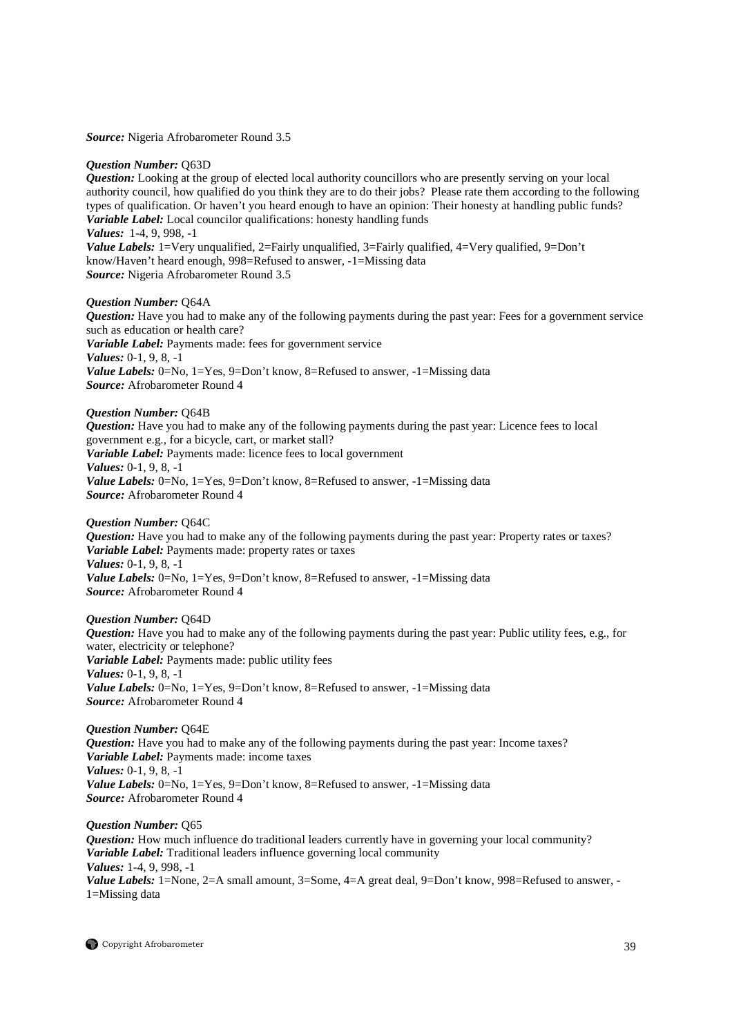*Source:* Nigeria Afrobarometer Round 3.5

#### *Question Number:* Q63D

*Question:* Looking at the group of elected local authority councillors who are presently serving on your local authority council, how qualified do you think they are to do their jobs? Please rate them according to the following types of qualification. Or haven't you heard enough to have an opinion: Their honesty at handling public funds? *Variable Label:* Local councilor qualifications: honesty handling funds *Values:* 1-4, 9, 998, -1 *Value Labels:* 1=Very unqualified, 2=Fairly unqualified, 3=Fairly qualified, 4=Very qualified, 9=Don't know/Haven't heard enough, 998=Refused to answer, -1=Missing data *Source:* Nigeria Afrobarometer Round 3.5

#### *Question Number:* Q64A

*Question:* Have you had to make any of the following payments during the past year: Fees for a government service such as education or health care? *Variable Label:* Payments made: fees for government service *Values:* 0-1, 9, 8, -1 *Value Labels:* 0=No, 1=Yes, 9=Don't know, 8=Refused to answer, -1=Missing data *Source:* Afrobarometer Round 4

#### *Question Number:* Q64B

*Question:* Have you had to make any of the following payments during the past year: Licence fees to local government e.g., for a bicycle, cart, or market stall? *Variable Label:* Payments made: licence fees to local government *Values:* 0-1, 9, 8, -1 *Value Labels:* 0=No, 1=Yes, 9=Don't know, 8=Refused to answer, -1=Missing data *Source:* Afrobarometer Round 4

#### *Question Number:* Q64C

*Question:* Have you had to make any of the following payments during the past year: Property rates or taxes? *Variable Label:* Payments made: property rates or taxes *Values:* 0-1, 9, 8, -1 *Value Labels:* 0=No, 1=Yes, 9=Don't know, 8=Refused to answer, -1=Missing data *Source:* Afrobarometer Round 4

#### *Question Number:* Q64D

*Question:* Have you had to make any of the following payments during the past year: Public utility fees, e.g., for water, electricity or telephone? *Variable Label:* Payments made: public utility fees *Values:* 0-1, 9, 8, -1 *Value Labels:* 0=No, 1=Yes, 9=Don't know, 8=Refused to answer, -1=Missing data *Source:* Afrobarometer Round 4

*Question Number:* Q64E *Question:* Have you had to make any of the following payments during the past year: Income taxes? *Variable Label:* Payments made: income taxes *Values:* 0-1, 9, 8, -1 *Value Labels:* 0=No, 1=Yes, 9=Don't know, 8=Refused to answer, -1=Missing data *Source:* Afrobarometer Round 4

*Question Number:* Q65 *Question:* How much influence do traditional leaders currently have in governing your local community? *Variable Label:* Traditional leaders influence governing local community *Values:* 1-4, 9, 998, -1 *Value Labels:* 1=None, 2=A small amount, 3=Some, 4=A great deal, 9=Don't know, 998=Refused to answer, - 1=Missing data

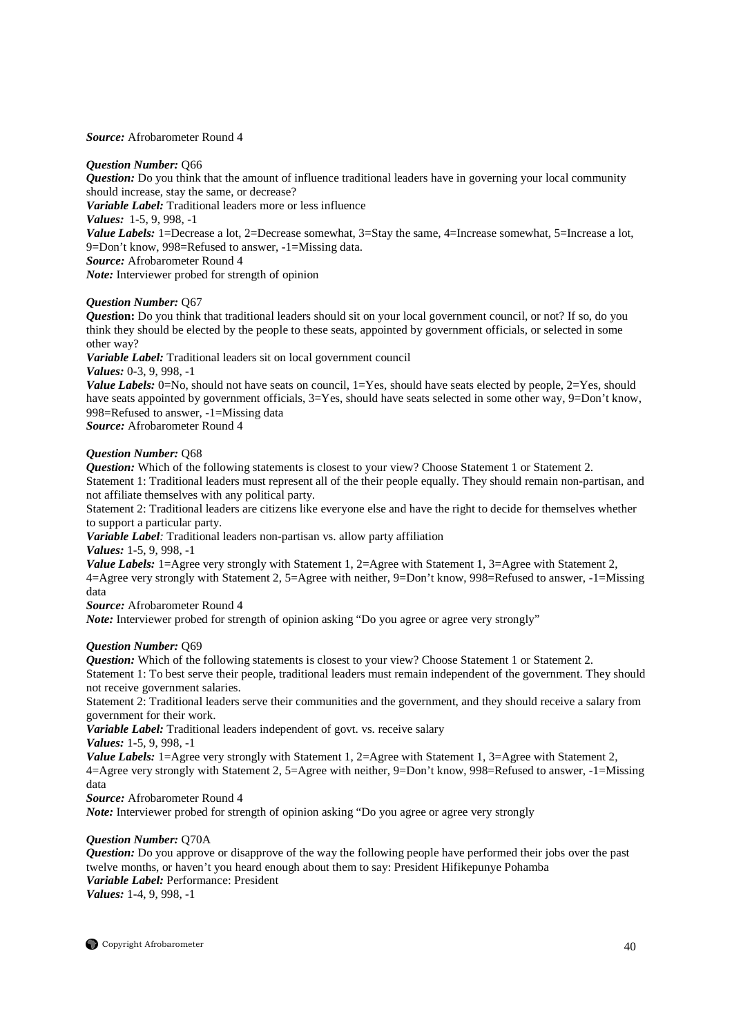*Source:* Afrobarometer Round 4

# *Question Number:* Q66

*Question:* Do you think that the amount of influence traditional leaders have in governing your local community should increase, stay the same, or decrease?

*Variable Label:* Traditional leaders more or less influence

*Values:* 1-5, 9, 998, -1

*Value Labels:* 1=Decrease a lot, 2=Decrease somewhat, 3=Stay the same, 4=Increase somewhat, 5=Increase a lot, 9=Don't know, 998=Refused to answer, -1=Missing data.

*Source:* Afrobarometer Round 4

*Note:* Interviewer probed for strength of opinion

# *Question Number:* Q67

*Question:* Do you think that traditional leaders should sit on your local government council, or not? If so, do you think they should be elected by the people to these seats, appointed by government officials, or selected in some other way?

*Variable Label:* Traditional leaders sit on local government council

*Values:* 0-3, 9, 998, -1

*Value Labels:* 0=No, should not have seats on council, 1=Yes, should have seats elected by people, 2=Yes, should have seats appointed by government officials,  $3=Yes$ , should have seats selected in some other way,  $9=Don't$  know, 998=Refused to answer, -1=Missing data

*Source:* Afrobarometer Round 4

# *Question Number:* Q68

*Question:* Which of the following statements is closest to your view? Choose Statement 1 or Statement 2. Statement 1: Traditional leaders must represent all of the their people equally. They should remain non-partisan, and not affiliate themselves with any political party.

Statement 2: Traditional leaders are citizens like everyone else and have the right to decide for themselves whether to support a particular party.

*Variable Label:* Traditional leaders non-partisan vs. allow party affiliation

*Values:* 1-5, 9, 998, -1

*Value Labels:* 1=Agree very strongly with Statement 1, 2=Agree with Statement 1, 3=Agree with Statement 2, 4=Agree very strongly with Statement 2, 5=Agree with neither, 9=Don't know, 998=Refused to answer, -1=Missing data

*Source:* Afrobarometer Round 4

*Note:* Interviewer probed for strength of opinion asking "Do you agree or agree very strongly"

# *Question Number:* Q69

*Question:* Which of the following statements is closest to your view? Choose Statement 1 or Statement 2.

Statement 1: To best serve their people, traditional leaders must remain independent of the government. They should not receive government salaries.

Statement 2: Traditional leaders serve their communities and the government, and they should receive a salary from government for their work.

*Variable Label:* Traditional leaders independent of govt. vs. receive salary

*Values:* 1-5, 9, 998, -1

*Value Labels:* 1=Agree very strongly with Statement 1, 2=Agree with Statement 1, 3=Agree with Statement 2, 4=Agree very strongly with Statement 2, 5=Agree with neither, 9=Don't know, 998=Refused to answer, -1=Missing data

*Source:* Afrobarometer Round 4

*Note:* Interviewer probed for strength of opinion asking "Do you agree or agree very strongly

# *Question Number:* Q70A

*Question:* Do you approve or disapprove of the way the following people have performed their jobs over the past twelve months, or haven't you heard enough about them to say: President Hifikepunye Pohamba *Variable Label:* Performance: President *Values:* 1-4, 9, 998, -1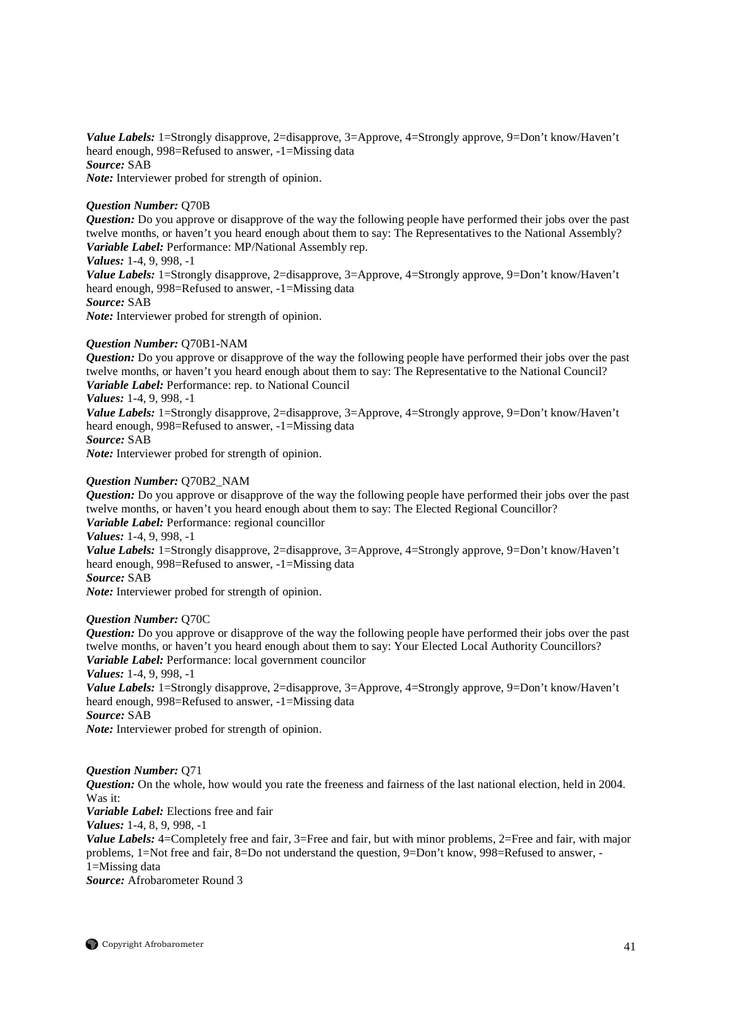*Value Labels:* 1=Strongly disapprove, 2=disapprove, 3=Approve, 4=Strongly approve, 9=Don't know/Haven't heard enough, 998=Refused to answer, -1=Missing data *Source:* SAB *Note:* Interviewer probed for strength of opinion.

# *Question Number:* Q70B

*Question:* Do you approve or disapprove of the way the following people have performed their jobs over the past twelve months, or haven't you heard enough about them to say: The Representatives to the National Assembly? *Variable Label:* Performance: MP/National Assembly rep.

*Values:* 1-4, 9, 998, -1

*Value Labels:* 1=Strongly disapprove, 2=disapprove, 3=Approve, 4=Strongly approve, 9=Don't know/Haven't heard enough, 998=Refused to answer, -1=Missing data *Source:* SAB

*Note:* Interviewer probed for strength of opinion.

#### *Question Number:* Q70B1-NAM

*Question:* Do you approve or disapprove of the way the following people have performed their jobs over the past twelve months, or haven't you heard enough about them to say: The Representative to the National Council? *Variable Label:* Performance: rep. to National Council

# *Values:* 1-4, 9, 998, -1

*Value Labels:* 1=Strongly disapprove, 2=disapprove, 3=Approve, 4=Strongly approve, 9=Don't know/Haven't heard enough, 998=Refused to answer, -1=Missing data

*Source:* SAB

*Note:* Interviewer probed for strength of opinion.

# *Question Number:* Q70B2\_NAM

*Question:* Do you approve or disapprove of the way the following people have performed their jobs over the past twelve months, or haven't you heard enough about them to say: The Elected Regional Councillor? *Variable Label:* Performance: regional councillor

*Values:* 1-4, 9, 998, -1

*Value Labels:* 1=Strongly disapprove, 2=disapprove, 3=Approve, 4=Strongly approve, 9=Don't know/Haven't heard enough, 998=Refused to answer, -1=Missing data

*Source:* SAB

*Note:* Interviewer probed for strength of opinion.

# *Question Number:* Q70C

*Question:* Do you approve or disapprove of the way the following people have performed their jobs over the past twelve months, or haven't you heard enough about them to say: Your Elected Local Authority Councillors? *Variable Label:* Performance: local government councilor

*Values:* 1-4, 9, 998, -1

*Value Labels:* 1=Strongly disapprove, 2=disapprove, 3=Approve, 4=Strongly approve, 9=Don't know/Haven't heard enough, 998=Refused to answer, -1=Missing data

*Source:* SAB

*Note:* Interviewer probed for strength of opinion.

#### *Question Number:* Q71

*Question:* On the whole, how would you rate the freeness and fairness of the last national election, held in 2004. Was it:

*Variable Label:* Elections free and fair

*Values:* 1-4, 8, 9, 998, -1

*Value Labels:* 4=Completely free and fair, 3=Free and fair, but with minor problems, 2=Free and fair, with major problems, 1=Not free and fair, 8=Do not understand the question, 9=Don't know, 998=Refused to answer, - 1=Missing data

*Source:* Afrobarometer Round 3

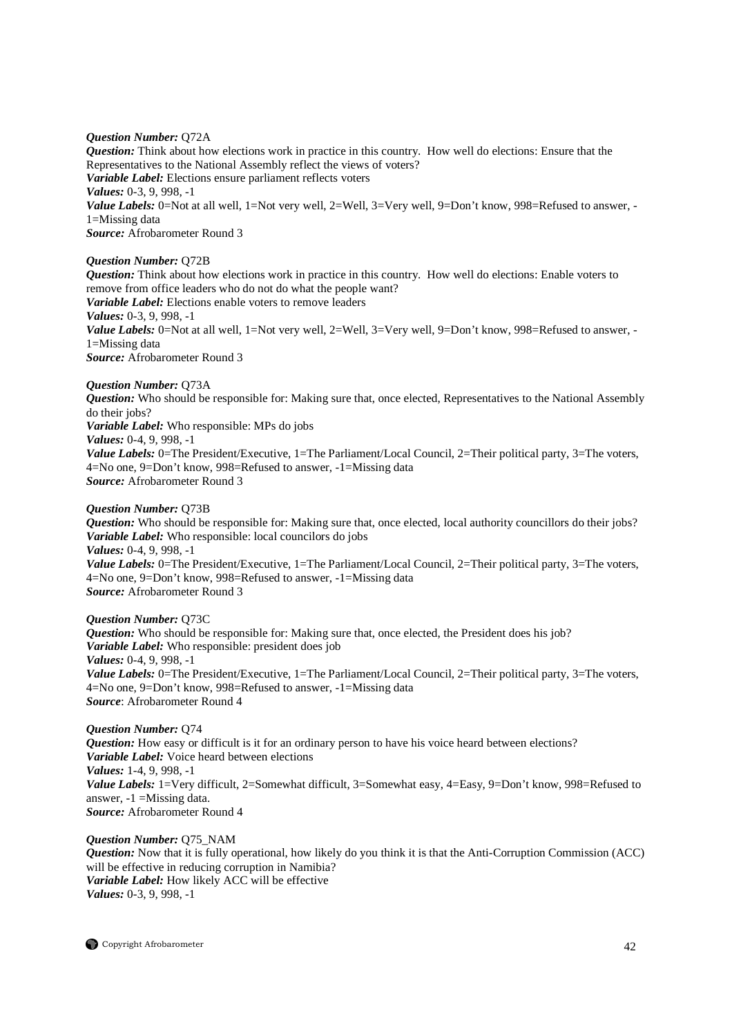*Question Number:* Q72A *Question:* Think about how elections work in practice in this country. How well do elections: Ensure that the Representatives to the National Assembly reflect the views of voters? *Variable Label:* Elections ensure parliament reflects voters *Values:* 0-3, 9, 998, -1 *Value Labels:* 0=Not at all well, 1=Not very well, 2=Well, 3=Very well, 9=Don't know, 998=Refused to answer, -1=Missing data *Source:* Afrobarometer Round 3

*Question Number:* Q72B

*Question:* Think about how elections work in practice in this country. How well do elections: Enable voters to remove from office leaders who do not do what the people want? *Variable Label:* Elections enable voters to remove leaders *Values:* 0-3, 9, 998, -1 *Value Labels:* 0=Not at all well, 1=Not very well, 2=Well, 3=Very well, 9=Don't know, 998=Refused to answer, -1=Missing data *Source:* Afrobarometer Round 3

*Question Number:* Q73A

*Question:* Who should be responsible for: Making sure that, once elected, Representatives to the National Assembly do their jobs? *Variable Label:* Who responsible: MPs do jobs *Values:* 0-4, 9, 998, -1 *Value Labels:* 0=The President/Executive, 1=The Parliament/Local Council, 2=Their political party, 3=The voters, 4=No one, 9=Don't know, 998=Refused to answer, -1=Missing data *Source:* Afrobarometer Round 3

*Question Number:* Q73B

*Question:* Who should be responsible for: Making sure that, once elected, local authority councillors do their jobs? *Variable Label:* Who responsible: local councilors do jobs *Values:* 0-4, 9, 998, -1 *Value Labels:* 0=The President/Executive, 1=The Parliament/Local Council, 2=Their political party, 3=The voters, 4=No one, 9=Don't know, 998=Refused to answer, -1=Missing data *Source:* Afrobarometer Round 3

*Question Number:* Q73C

*Question:* Who should be responsible for: Making sure that, once elected, the President does his job? *Variable Label:* Who responsible: president does job *Values:* 0-4, 9, 998, -1 *Value Labels:* 0=The President/Executive, 1=The Parliament/Local Council, 2=Their political party, 3=The voters, 4=No one, 9=Don't know, 998=Refused to answer, -1=Missing data *Source*: Afrobarometer Round 4

*Question Number:* Q74 *Question:* How easy or difficult is it for an ordinary person to have his voice heard between elections? *Variable Label:* Voice heard between elections *Values:* 1-4, 9, 998, -1 *Value Labels:* 1=Very difficult, 2=Somewhat difficult, 3=Somewhat easy, 4=Easy, 9=Don't know, 998=Refused to answer, -1 =Missing data. *Source:* Afrobarometer Round 4

*Question Number:* Q75\_NAM *Question:* Now that it is fully operational, how likely do you think it is that the Anti-Corruption Commission (ACC) will be effective in reducing corruption in Namibia? *Variable Label:* How likely ACC will be effective *Values:* 0-3, 9, 998, -1

Copyright Afrobarometer 42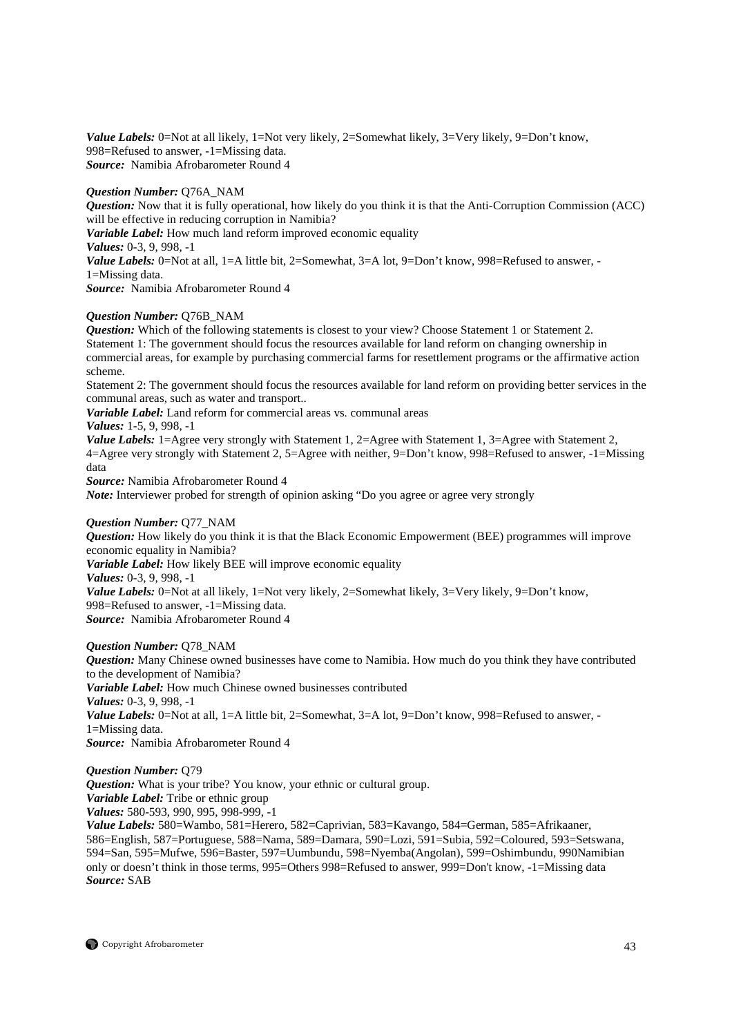*Value Labels:* 0=Not at all likely, 1=Not very likely, 2=Somewhat likely, 3=Very likely, 9=Don't know, 998=Refused to answer, -1=Missing data. *Source:* Namibia Afrobarometer Round 4

# *Question Number:* Q76A\_NAM

*Question:* Now that it is fully operational, how likely do you think it is that the Anti-Corruption Commission (ACC) will be effective in reducing corruption in Namibia? *Variable Label:* How much land reform improved economic equality *Values:* 0-3, 9, 998, -1 *Value Labels:* 0=Not at all, 1=A little bit, 2=Somewhat, 3=A lot, 9=Don't know, 998=Refused to answer, -1=Missing data. *Source:* Namibia Afrobarometer Round 4

# *Question Number:* Q76B\_NAM

*Question:* Which of the following statements is closest to your view? Choose Statement 1 or Statement 2. Statement 1: The government should focus the resources available for land reform on changing ownership in commercial areas, for example by purchasing commercial farms for resettlement programs or the affirmative action scheme.

Statement 2: The government should focus the resources available for land reform on providing better services in the communal areas, such as water and transport..

*Variable Label:* Land reform for commercial areas vs. communal areas

*Values:* 1-5, 9, 998, -1

*Value Labels:* 1=Agree very strongly with Statement 1, 2=Agree with Statement 1, 3=Agree with Statement 2, 4=Agree very strongly with Statement 2, 5=Agree with neither, 9=Don't know, 998=Refused to answer, -1=Missing data

*Source:* Namibia Afrobarometer Round 4

*Note:* Interviewer probed for strength of opinion asking "Do you agree or agree very strongly

# *Question Number:* Q77\_NAM

*Question:* How likely do you think it is that the Black Economic Empowerment (BEE) programmes will improve economic equality in Namibia? *Variable Label:* How likely BEE will improve economic equality *Values:* 0-3, 9, 998, -1 *Value Labels:* 0=Not at all likely, 1=Not very likely, 2=Somewhat likely, 3=Very likely, 9=Don't know, 998=Refused to answer, -1=Missing data. *Source:* Namibia Afrobarometer Round 4

# *Question Number:* Q78\_NAM

*Question:* Many Chinese owned businesses have come to Namibia. How much do you think they have contributed to the development of Namibia? *Variable Label:* How much Chinese owned businesses contributed *Values:* 0-3, 9, 998, -1 *Value Labels:* 0=Not at all, 1=A little bit, 2=Somewhat, 3=A lot, 9=Don't know, 998=Refused to answer, -1=Missing data. *Source:* Namibia Afrobarometer Round 4

# *Question Number:* Q79

*Question:* What is your tribe? You know, your ethnic or cultural group. *Variable Label:* Tribe or ethnic group *Values:* 580-593, 990, 995, 998-999, -1

*Value Labels:* 580=Wambo, 581=Herero, 582=Caprivian, 583=Kavango, 584=German, 585=Afrikaaner, 586=English, 587=Portuguese, 588=Nama, 589=Damara, 590=Lozi, 591=Subia, 592=Coloured, 593=Setswana, 594=San, 595=Mufwe, 596=Baster, 597=Uumbundu, 598=Nyemba(Angolan), 599=Oshimbundu, 990Namibian only or doesn't think in those terms, 995=Others 998=Refused to answer, 999=Don't know, -1=Missing data *Source:* SAB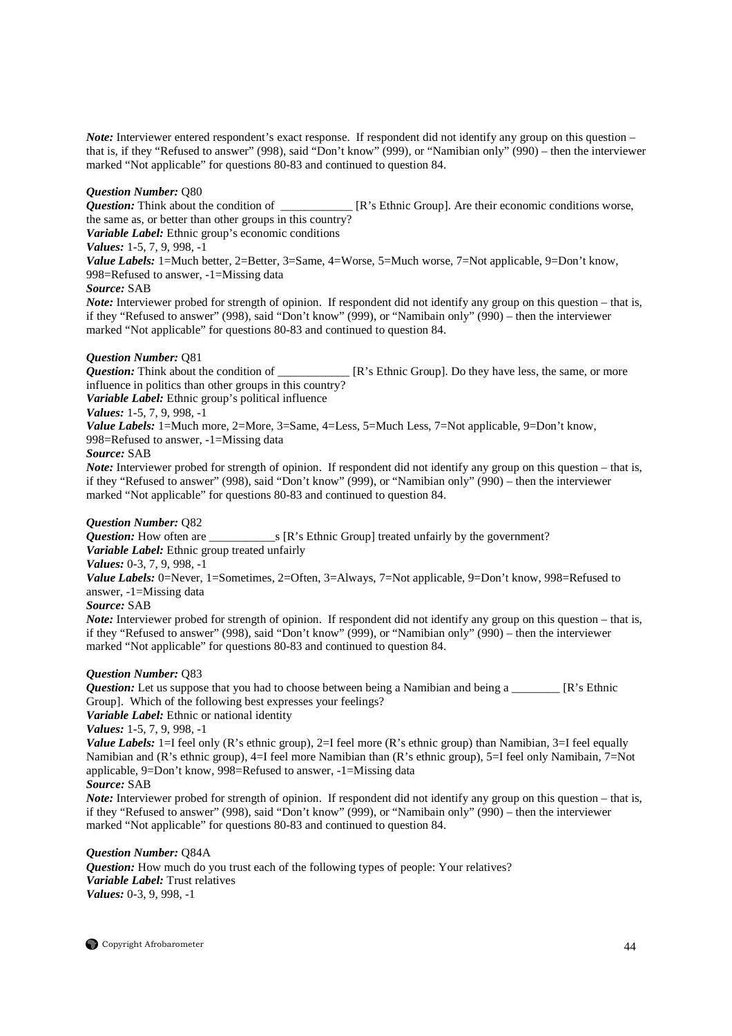*Note:* Interviewer entered respondent's exact response. If respondent did not identify any group on this question – that is, if they "Refused to answer" (998), said "Don't know" (999), or "Namibian only" (990) – then the interviewer marked "Not applicable" for questions 80-83 and continued to question 84.

# *Question Number:* Q80

*Question:* Think about the condition of \_\_\_\_\_\_\_\_\_\_\_\_ [R's Ethnic Group]. Are their economic conditions worse, the same as, or better than other groups in this country?

*Variable Label:* Ethnic group's economic conditions

*Values:* 1-5, 7, 9, 998, -1

*Value Labels:* 1=Much better, 2=Better, 3=Same, 4=Worse, 5=Much worse, 7=Not applicable, 9=Don't know, 998=Refused to answer, -1=Missing data

# *Source:* SAB

*Note:* Interviewer probed for strength of opinion. If respondent did not identify any group on this question – that is, if they "Refused to answer" (998), said "Don't know" (999), or "Namibain only" (990) – then the interviewer marked "Not applicable" for questions 80-83 and continued to question 84.

# *Question Number:* Q81

*Question:* Think about the condition of \_\_\_\_\_\_\_\_\_\_\_\_ [R's Ethnic Group]. Do they have less, the same, or more influence in politics than other groups in this country?

*Variable Label:* Ethnic group's political influence

# *Values:* 1-5, 7, 9, 998, -1

*Value Labels:* 1=Much more, 2=More, 3=Same, 4=Less, 5=Much Less, 7=Not applicable, 9=Don't know,

998=Refused to answer, -1=Missing data

# *Source:* SAB

*Note:* Interviewer probed for strength of opinion. If respondent did not identify any group on this question – that is, if they "Refused to answer" (998), said "Don't know" (999), or "Namibian only" (990) – then the interviewer marked "Not applicable" for questions 80-83 and continued to question 84.

*Question Number: Q82<br><i>Question:* How often are  $\Box$  S [R's Ethnic Group] treated unfairly by the government?

*Variable Label:* Ethnic group treated unfairly

*Values:* 0-3, 7, 9, 998, -1

*Value Labels:* 0=Never, 1=Sometimes, 2=Often, 3=Always, 7=Not applicable, 9=Don't know, 998=Refused to answer, -1=Missing data

# *Source:* SAB

*Note:* Interviewer probed for strength of opinion. If respondent did not identify any group on this question – that is, if they "Refused to answer" (998), said "Don't know" (999), or "Namibian only" (990) – then the interviewer marked "Not applicable" for questions 80-83 and continued to question 84.

# *Question Number:* Q83

*Question:* Let us suppose that you had to choose between being a Namibian and being a \_\_\_\_\_\_\_\_ [R's Ethnic Group]. Which of the following best expresses your feelings?

*Variable Label:* Ethnic or national identity

*Values:* 1-5, 7, 9, 998, -1

*Value Labels:* 1=I feel only (R's ethnic group), 2=I feel more (R's ethnic group) than Namibian, 3=I feel equally Namibian and (R's ethnic group), 4=I feel more Namibian than (R's ethnic group), 5=I feel only Namibain, 7=Not applicable, 9=Don't know*,* 998=Refused to answer, -1=Missing data

*Source:* SAB

*Note:* Interviewer probed for strength of opinion. If respondent did not identify any group on this question – that is, if they "Refused to answer" (998), said "Don't know" (999), or "Namibain only" (990) – then the interviewer marked "Not applicable" for questions 80-83 and continued to question 84.

# *Question Number:* Q84A

*Question:* How much do you trust each of the following types of people: Your relatives? *Variable Label:* Trust relatives *Values:* 0-3, 9, 998, -1

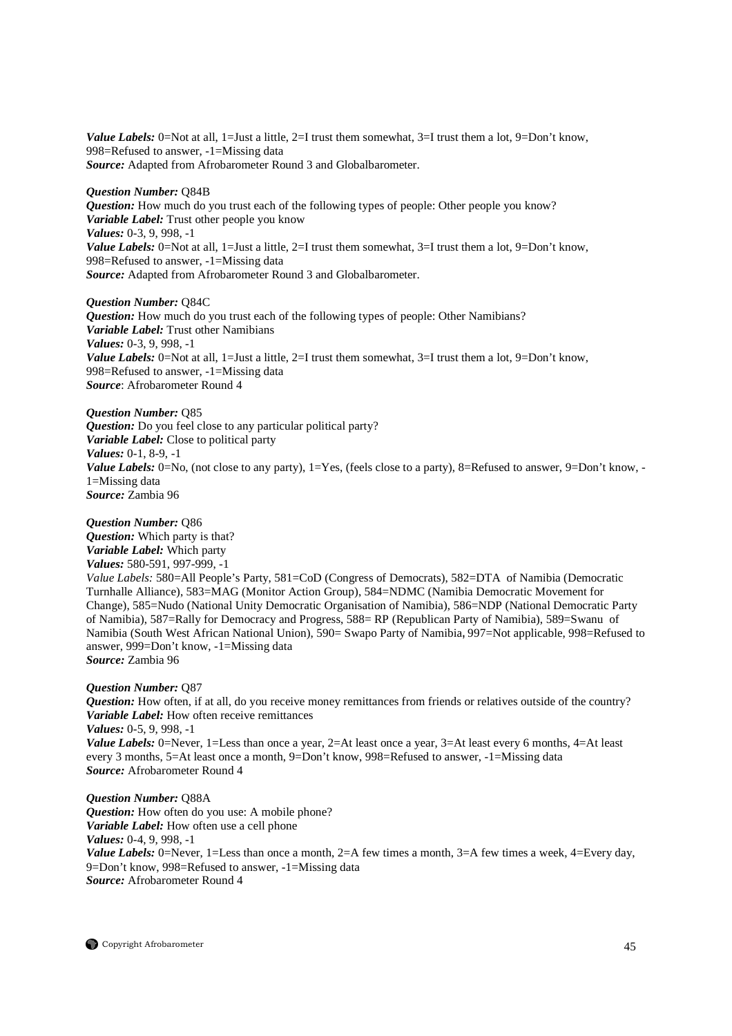*Value Labels:*  $0 = Not$  at all,  $1 = Just$  a little,  $2 = I$  trust them somewhat,  $3 = I$  trust them a lot,  $9 = Don$ 't know, 998=Refused to answer, -1=Missing data *Source:* Adapted from Afrobarometer Round 3 and Globalbarometer.

#### *Question Number:* Q84B

*Question:* How much do you trust each of the following types of people: Other people you know? *Variable Label:* Trust other people you know *Values:* 0-3, 9, 998, -1 *Value Labels:* 0=Not at all, 1=Just a little, 2=I trust them somewhat, 3=I trust them a lot, 9=Don't know, 998=Refused to answer, -1=Missing data *Source:* Adapted from Afrobarometer Round 3 and Globalbarometer.

*Question Number:* Q84C *Question:* How much do you trust each of the following types of people: Other Namibians? *Variable Label:* Trust other Namibians *Values:* 0-3, 9, 998, -1 *Value Labels:* 0=Not at all, 1=Just a little, 2=I trust them somewhat, 3=I trust them a lot, 9=Don't know, 998=Refused to answer, -1=Missing data *Source*: Afrobarometer Round 4

*Question Number:* Q85 *Question:* Do you feel close to any particular political party? *Variable Label:* Close to political party *Values:* 0-1, 8-9, -1 *Value Labels:* 0=No, (not close to any party), 1=Yes, (feels close to a party), 8=Refused to answer, 9=Don't know, -1=Missing data *Source:* Zambia 96

*Question Number:* Q86 *Question:* Which party is that? *Variable Label:* Which party *Values:* 580-591, 997-999, -1 *Value Labels:* 580=All People's Party, 581=CoD (Congress of Democrats), 582=DTA of Namibia (Democratic Turnhalle Alliance), 583=MAG (Monitor Action Group), 584=NDMC (Namibia Democratic Movement for Change), 585=Nudo (National Unity Democratic Organisation of Namibia), 586=NDP (National Democratic Party of Namibia), 587=Rally for Democracy and Progress, 588= RP (Republican Party of Namibia), 589=Swanu of Namibia (South West African National Union), 590= Swapo Party of Namibia**,** 997=Not applicable, 998=Refused to answer, 999=Don't know, -1=Missing data *Source:* Zambia 96

# *Question Number:* Q87

*Question:* How often, if at all, do you receive money remittances from friends or relatives outside of the country? *Variable Label:* How often receive remittances *Values:* 0-5, 9, 998, -1 *Value Labels:* 0=Never, 1=Less than once a year, 2=At least once a year, 3=At least every 6 months, 4=At least every 3 months, 5=At least once a month, 9=Don't know, 998=Refused to answer, -1=Missing data *Source:* Afrobarometer Round 4

# *Question Number:* Q88A

*Question:* How often do you use: A mobile phone? *Variable Label:* How often use a cell phone *Values:* 0-4, 9, 998, -1 *Value Labels:* 0=Never, 1=Less than once a month, 2=A few times a month, 3=A few times a week, 4=Every day, 9=Don't know, 998=Refused to answer, -1=Missing data *Source:* Afrobarometer Round 4

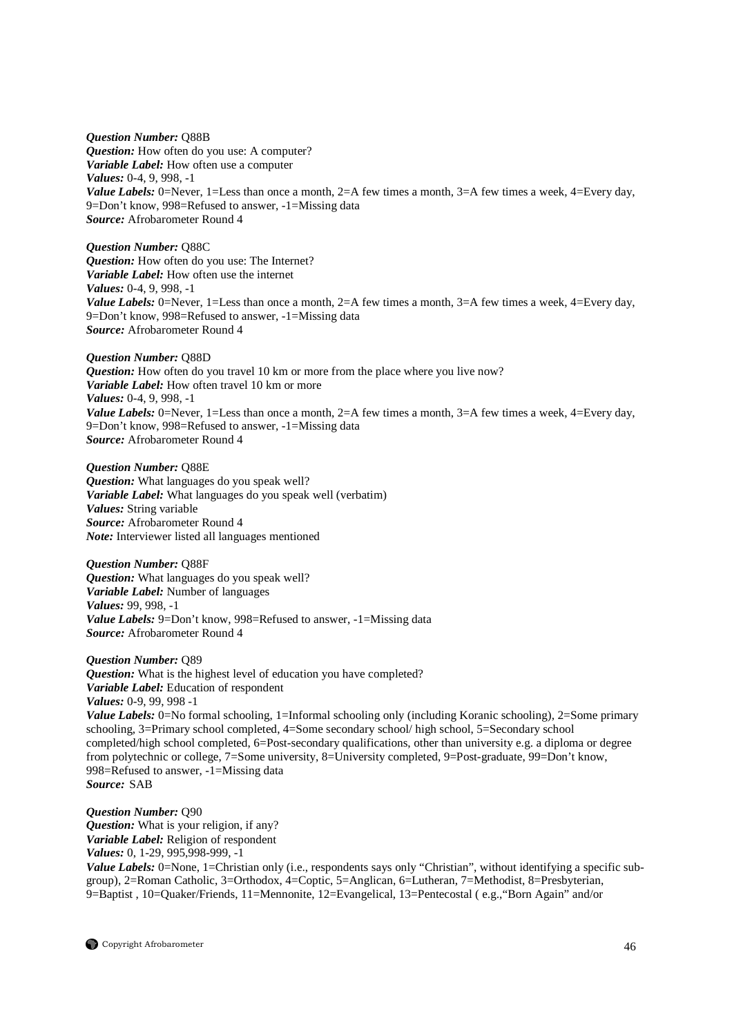*Question Number:* Q88B

*Question:* How often do you use: A computer? *Variable Label:* How often use a computer *Values:* 0-4, 9, 998, -1 *Value Labels:* 0=Never, 1=Less than once a month, 2=A few times a month, 3=A few times a week, 4=Every day, 9=Don't know, 998=Refused to answer, -1=Missing data *Source:* Afrobarometer Round 4

*Question Number:* Q88C *Question:* How often do you use: The Internet? *Variable Label:* How often use the internet *Values:* 0-4, 9, 998, -1 *Value Labels:* 0=Never, 1=Less than once a month, 2=A few times a month, 3=A few times a week, 4=Every day, 9=Don't know, 998=Refused to answer, -1=Missing data *Source:* Afrobarometer Round 4

*Question Number:* Q88D *Question:* How often do you travel 10 km or more from the place where you live now? *Variable Label:* How often travel 10 km or more *Values:* 0-4, 9, 998, -1 *Value Labels:* 0=Never, 1=Less than once a month, 2=A few times a month, 3=A few times a week, 4=Every day, 9=Don't know, 998=Refused to answer, -1=Missing data *Source:* Afrobarometer Round 4

*Question Number:* Q88E *Question:* What languages do you speak well? *Variable Label:* What languages do you speak well (verbatim) *Values:* String variable *Source:* Afrobarometer Round 4 *Note:* Interviewer listed all languages mentioned

*Question Number:* Q88F *Question:* What languages do you speak well? *Variable Label:* Number of languages *Values:* 99, 998, -1 *Value Labels:* 9=Don't know, 998=Refused to answer, -1=Missing data *Source:* Afrobarometer Round 4

*Question Number:* Q89 *Question:* What is the highest level of education you have completed? *Variable Label:* Education of respondent *Values:* 0-9, 99, 998 -1 *Value Labels:* 0=No formal schooling, 1=Informal schooling only (including Koranic schooling), 2=Some primary schooling, 3=Primary school completed, 4=Some secondary school/ high school, 5=Secondary school completed/high school completed, 6=Post-secondary qualifications, other than university e.g. a diploma or degree from polytechnic or college, 7=Some university, 8=University completed, 9=Post-graduate, 99=Don't know, 998=Refused to answer, -1=Missing data *Source:* SAB

*Question Number:* Q90 *Question:* What is your religion, if any? *Variable Label:* Religion of respondent *Values:* 0, 1-29, 995,998-999, -1 *Value Labels:* 0=None, 1=Christian only (i.e., respondents says only "Christian", without identifying a specific subgroup), 2=Roman Catholic, 3=Orthodox, 4=Coptic, 5=Anglican, 6=Lutheran, 7=Methodist, 8=Presbyterian, 9=Baptist , 10=Quaker/Friends, 11=Mennonite, 12=Evangelical, 13=Pentecostal ( e.g.,"Born Again" and/or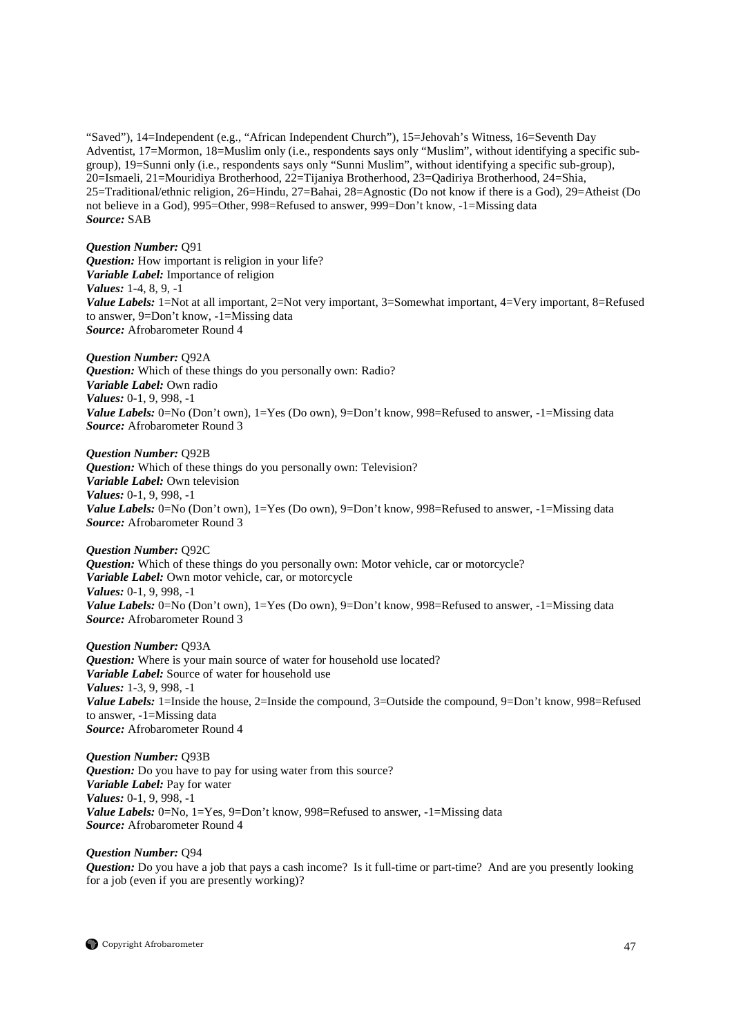"Saved"), 14=Independent (e.g., "African Independent Church"), 15=Jehovah's Witness, 16=Seventh Day Adventist, 17=Mormon, 18=Muslim only (i.e., respondents says only "Muslim", without identifying a specific subgroup), 19=Sunni only (i.e., respondents says only "Sunni Muslim", without identifying a specific sub-group), 20=Ismaeli, 21=Mouridiya Brotherhood, 22=Tijaniya Brotherhood, 23=Qadiriya Brotherhood, 24=Shia, 25=Traditional/ethnic religion, 26=Hindu, 27=Bahai, 28=Agnostic (Do not know if there is a God), 29=Atheist (Do not believe in a God), 995=Other, 998=Refused to answer, 999=Don't know, -1=Missing data *Source:* SAB

#### *Question Number:* Q91

*Question:* How important is religion in your life? *Variable Label:* Importance of religion *Values:* 1-4, 8, 9, -1 *Value Labels:* 1=Not at all important, 2=Not very important, 3=Somewhat important, 4=Very important, 8=Refused to answer, 9=Don't know, -1=Missing data *Source:* Afrobarometer Round 4

*Question Number:* Q92A *Question:* Which of these things do you personally own: Radio? *Variable Label:* Own radio *Values:* 0-1, 9, 998, -1 *Value Labels:* 0=No (Don't own), 1=Yes (Do own), 9=Don't know, 998=Refused to answer, -1=Missing data *Source:* Afrobarometer Round 3

*Question Number:* Q92B *Question:* Which of these things do you personally own: Television? *Variable Label:* Own television *Values:* 0-1, 9, 998, -1 *Value Labels:* 0=No (Don't own), 1=Yes (Do own), 9=Don't know, 998=Refused to answer, -1=Missing data *Source:* Afrobarometer Round 3

*Question Number:* Q92C *Question:* Which of these things do you personally own: Motor vehicle, car or motorcycle? *Variable Label:* Own motor vehicle, car, or motorcycle *Values:* 0-1, 9, 998, -1 *Value Labels:* 0=No (Don't own), 1=Yes (Do own), 9=Don't know, 998=Refused to answer, -1=Missing data *Source:* Afrobarometer Round 3

*Question Number:* Q93A **Question:** Where is your main source of water for household use located? *Variable Label:* Source of water for household use *Values:* 1-3, 9, 998, -1 *Value Labels:* 1=Inside the house, 2=Inside the compound, 3=Outside the compound, 9=Don't know, 998=Refused to answer, -1=Missing data *Source:* Afrobarometer Round 4

*Question Number:* Q93B *Question:* Do you have to pay for using water from this source? *Variable Label:* Pay for water *Values:* 0-1, 9, 998, -1 *Value Labels:* 0=No, 1=Yes, 9=Don't know, 998=Refused to answer, -1=Missing data *Source:* Afrobarometer Round 4

#### *Question Number:* Q94

*Question:* Do you have a job that pays a cash income? Is it full-time or part-time? And are you presently looking for a job (even if you are presently working)?

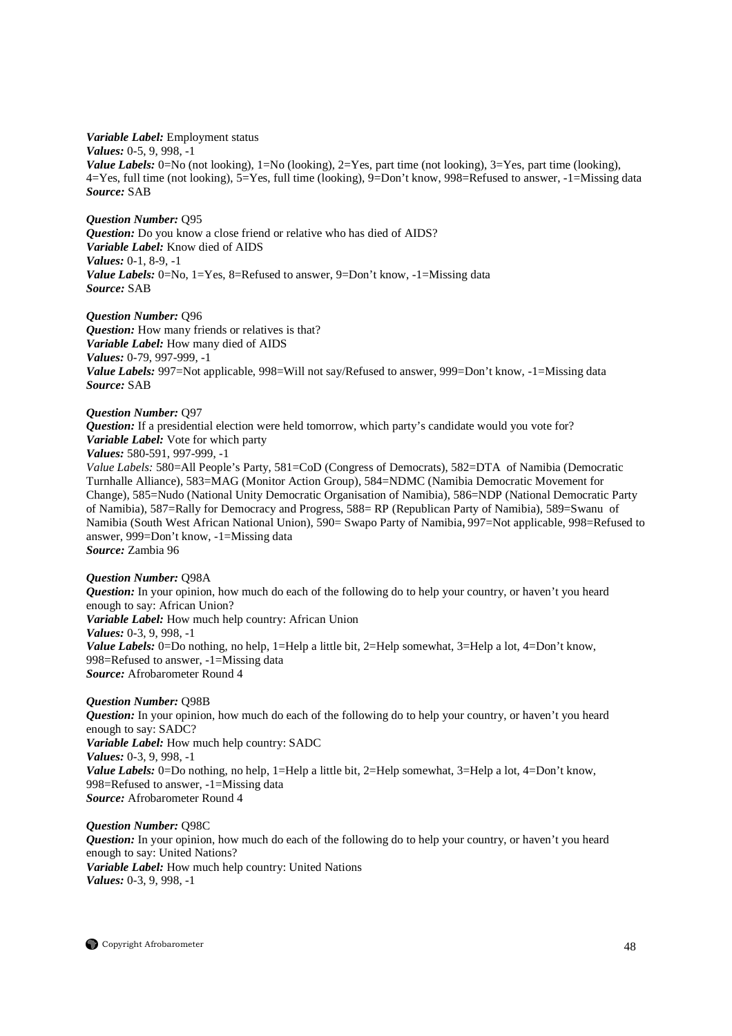*Variable Label:* Employment status

*Values:* 0-5, 9, 998, -1

*Value Labels:* 0=No (not looking), 1=No (looking), 2=Yes, part time (not looking), 3=Yes, part time (looking), 4=Yes, full time (not looking), 5=Yes, full time (looking), 9=Don't know, 998=Refused to answer, -1=Missing data *Source:* SAB

*Question Number:* Q95 *Question:* Do you know a close friend or relative who has died of AIDS? *Variable Label:* Know died of AIDS *Values:* 0-1, 8-9, -1 *Value Labels:* 0=No, 1=Yes, 8=Refused to answer, 9=Don't know, -1=Missing data *Source:* SAB

*Question Number:* Q96 *Question:* How many friends or relatives is that? *Variable Label:* How many died of AIDS *Values:* 0-79, 997-999, -1 *Value Labels:* 997=Not applicable, 998=Will not say/Refused to answer, 999=Don't know, -1=Missing data *Source:* SAB

# *Question Number:* Q97

**Question:** If a presidential election were held tomorrow, which party's candidate would you vote for? *Variable Label:* Vote for which party

*Values:* 580-591, 997-999, -1

*Value Labels:* 580=All People's Party, 581=CoD (Congress of Democrats), 582=DTA of Namibia (Democratic Turnhalle Alliance), 583=MAG (Monitor Action Group), 584=NDMC (Namibia Democratic Movement for Change), 585=Nudo (National Unity Democratic Organisation of Namibia), 586=NDP (National Democratic Party of Namibia), 587=Rally for Democracy and Progress, 588= RP (Republican Party of Namibia), 589=Swanu of Namibia (South West African National Union), 590= Swapo Party of Namibia**,** 997=Not applicable, 998=Refused to answer, 999=Don't know, -1=Missing data *Source:* Zambia 96

# *Question Number:* Q98A

*Question:* In your opinion, how much do each of the following do to help your country, or haven't you heard enough to say: African Union? *Variable Label:* How much help country: African Union *Values:* 0-3, 9, 998, -1 *Value Labels:* 0=Do nothing, no help, 1=Help a little bit, 2=Help somewhat, 3=Help a lot, 4=Don't know, 998=Refused to answer, -1=Missing data *Source:* Afrobarometer Round 4

# *Question Number:* Q98B

*Question:* In your opinion, how much do each of the following do to help your country, or haven't you heard enough to say: SADC? *Variable Label:* How much help country: SADC *Values:* 0-3, 9, 998, -1 *Value Labels:* 0=Do nothing, no help, 1=Help a little bit, 2=Help somewhat, 3=Help a lot, 4=Don't know, 998=Refused to answer, -1=Missing data *Source:* Afrobarometer Round 4

*Question Number:* Q98C *Question:* In your opinion, how much do each of the following do to help your country, or haven't you heard enough to say: United Nations? *Variable Label:* How much help country: United Nations *Values:* 0-3, 9, 998, -1

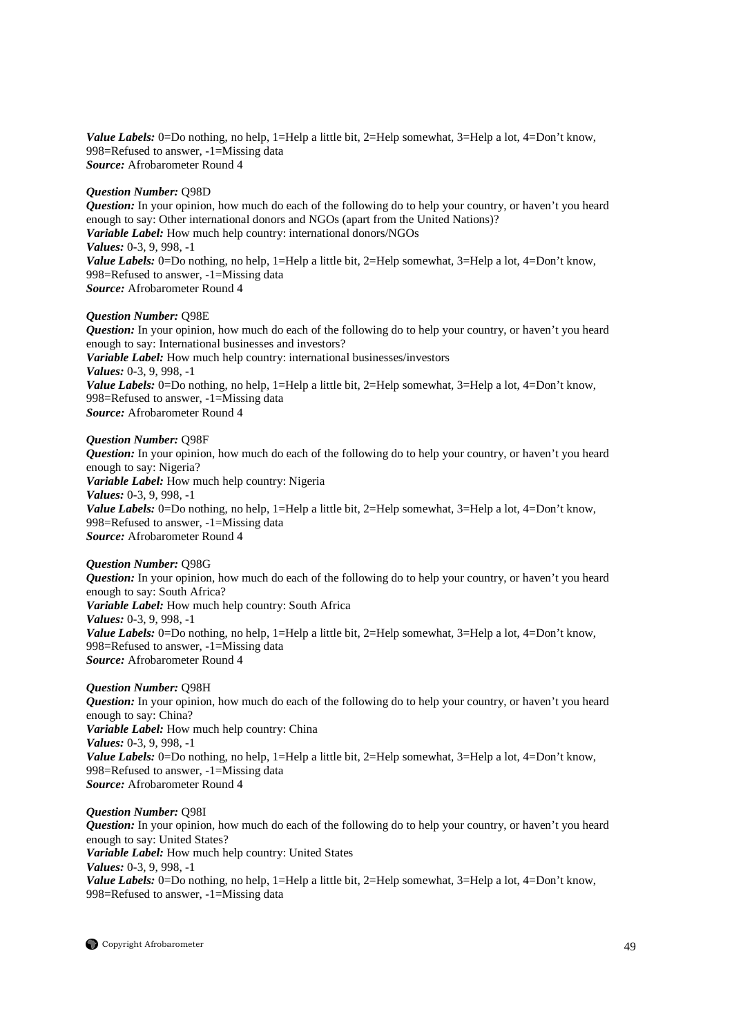*Value Labels:* 0=Do nothing, no help, 1=Help a little bit, 2=Help somewhat, 3=Help a lot, 4=Don't know, 998=Refused to answer, -1=Missing data *Source:* Afrobarometer Round 4

#### *Question Number:* Q98D

*Question:* In your opinion, how much do each of the following do to help your country, or haven't you heard enough to say: Other international donors and NGOs (apart from the United Nations)? *Variable Label:* How much help country: international donors/NGOs *Values:* 0-3, 9, 998, -1 *Value Labels:* 0=Do nothing, no help, 1=Help a little bit, 2=Help somewhat, 3=Help a lot, 4=Don't know, 998=Refused to answer, -1=Missing data *Source:* Afrobarometer Round 4

#### *Question Number:* Q98E

*Question:* In your opinion, how much do each of the following do to help your country, or haven't you heard enough to say: International businesses and investors? *Variable Label:* How much help country: international businesses/investors *Values:* 0-3, 9, 998, -1 *Value Labels:* 0=Do nothing, no help, 1=Help a little bit, 2=Help somewhat, 3=Help a lot, 4=Don't know, 998=Refused to answer, -1=Missing data *Source:* Afrobarometer Round 4

#### *Question Number:* Q98F

*Question:* In your opinion, how much do each of the following do to help your country, or haven't you heard enough to say: Nigeria? *Variable Label:* How much help country: Nigeria *Values:* 0-3, 9, 998, -1 *Value Labels:* 0=Do nothing, no help, 1=Help a little bit, 2=Help somewhat, 3=Help a lot, 4=Don't know, 998=Refused to answer, -1=Missing data *Source:* Afrobarometer Round 4

# *Question Number:* Q98G

*Question:* In your opinion, how much do each of the following do to help your country, or haven't you heard enough to say: South Africa? *Variable Label:* How much help country: South Africa *Values:* 0-3, 9, 998, -1 *Value Labels:* 0=Do nothing, no help, 1=Help a little bit, 2=Help somewhat, 3=Help a lot, 4=Don't know, 998=Refused to answer, -1=Missing data *Source:* Afrobarometer Round 4

# *Question Number:* Q98H

*Question:* In your opinion, how much do each of the following do to help your country, or haven't you heard enough to say: China? *Variable Label:* How much help country: China *Values:* 0-3, 9, 998, -1 *Value Labels:* 0=Do nothing, no help, 1=Help a little bit, 2=Help somewhat, 3=Help a lot, 4=Don't know, 998=Refused to answer, -1=Missing data *Source:* Afrobarometer Round 4

# *Question Number:* Q98I

*Question:* In your opinion, how much do each of the following do to help your country, or haven't you heard enough to say: United States? *Variable Label:* How much help country: United States *Values:* 0-3, 9, 998, -1 *Value Labels:* 0=Do nothing, no help, 1=Help a little bit, 2=Help somewhat, 3=Help a lot, 4=Don't know, 998=Refused to answer, -1=Missing data

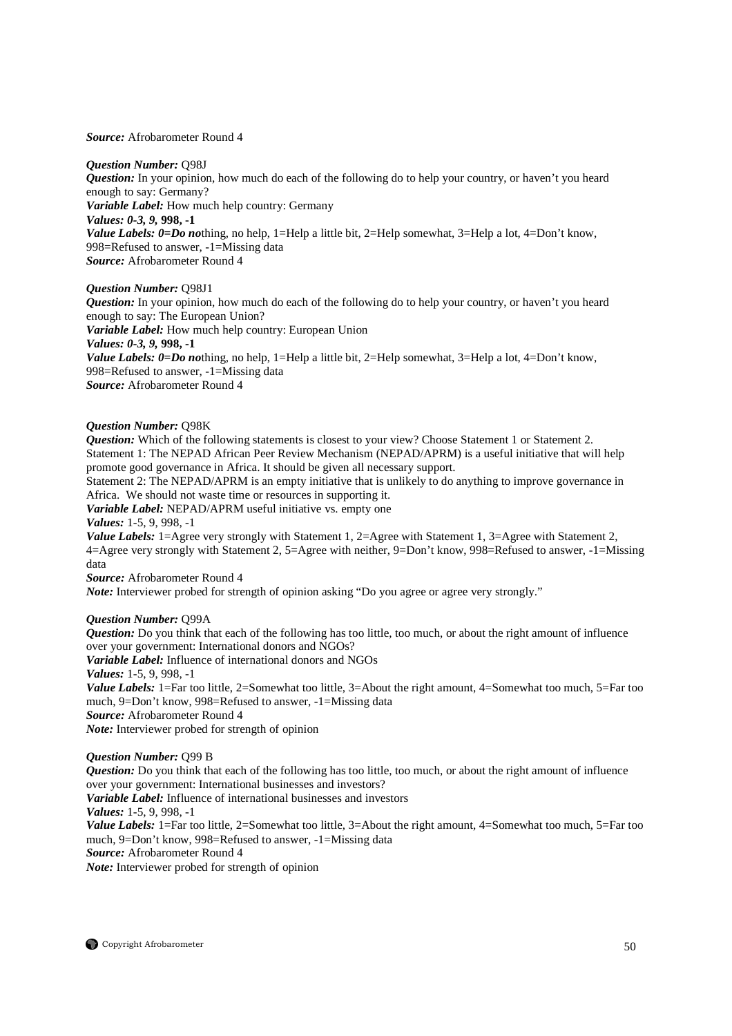#### *Source:* Afrobarometer Round 4

#### *Question Number:* Q98J

*Question:* In your opinion, how much do each of the following do to help your country, or haven't you heard enough to say: Germany? *Variable Label:* How much help country: Germany *Values: 0-3, 9,* **998, -1**  *Value Labels:*  $0=Do$  *nothing, no help, 1*=Help a little bit, 2=Help somewhat, 3=Help a lot, 4=Don't know, 998=Refused to answer, -1=Missing data *Source:* Afrobarometer Round 4

# *Question Number:* Q98J1

*Question:* In your opinion, how much do each of the following do to help your country, or haven't you heard enough to say: The European Union? *Variable Label:* How much help country: European Union *Values: 0-3, 9,* **998, -1**  *Value Labels:*  $0=Do$  *nothing, no help, 1*=Help a little bit, 2=Help somewhat, 3=Help a lot, 4=Don't know, 998=Refused to answer, -1=Missing data *Source:* Afrobarometer Round 4

#### *Question Number:* Q98K

*Question:* Which of the following statements is closest to your view? Choose Statement 1 or Statement 2. Statement 1: The NEPAD African Peer Review Mechanism (NEPAD/APRM) is a useful initiative that will help promote good governance in Africa. It should be given all necessary support.

Statement 2: The NEPAD/APRM is an empty initiative that is unlikely to do anything to improve governance in Africa. We should not waste time or resources in supporting it.

*Variable Label:* NEPAD/APRM useful initiative vs. empty one

#### *Values:* 1-5, 9, 998, -1

*Value Labels:* 1=Agree very strongly with Statement 1, 2=Agree with Statement 1, 3=Agree with Statement 2, 4=Agree very strongly with Statement 2, 5=Agree with neither, 9=Don't know, 998=Refused to answer, -1=Missing data

*Source:* Afrobarometer Round 4

*Note:* Interviewer probed for strength of opinion asking "Do you agree or agree very strongly."

# *Question Number:* Q99A

*Question:* Do you think that each of the following has too little, too much, or about the right amount of influence over your government: International donors and NGOs?

*Variable Label:* Influence of international donors and NGOs

*Values:* 1-5, 9, 998, -1

*Value Labels:* 1=Far too little, 2=Somewhat too little, 3=About the right amount, 4=Somewhat too much, 5=Far too much, 9=Don't know, 998=Refused to answer, -1=Missing data

*Source:* Afrobarometer Round 4

*Note:* Interviewer probed for strength of opinion

# *Question Number:* Q99 B

*Question:* Do you think that each of the following has too little, too much, or about the right amount of influence over your government: International businesses and investors? *Variable Label:* Influence of international businesses and investors *Values:* 1-5, 9, 998, -1 *Value Labels:* 1=Far too little, 2=Somewhat too little, 3=About the right amount, 4=Somewhat too much, 5=Far too much, 9=Don't know, 998=Refused to answer, -1=Missing data *Source:* Afrobarometer Round 4 *Note:* Interviewer probed for strength of opinion

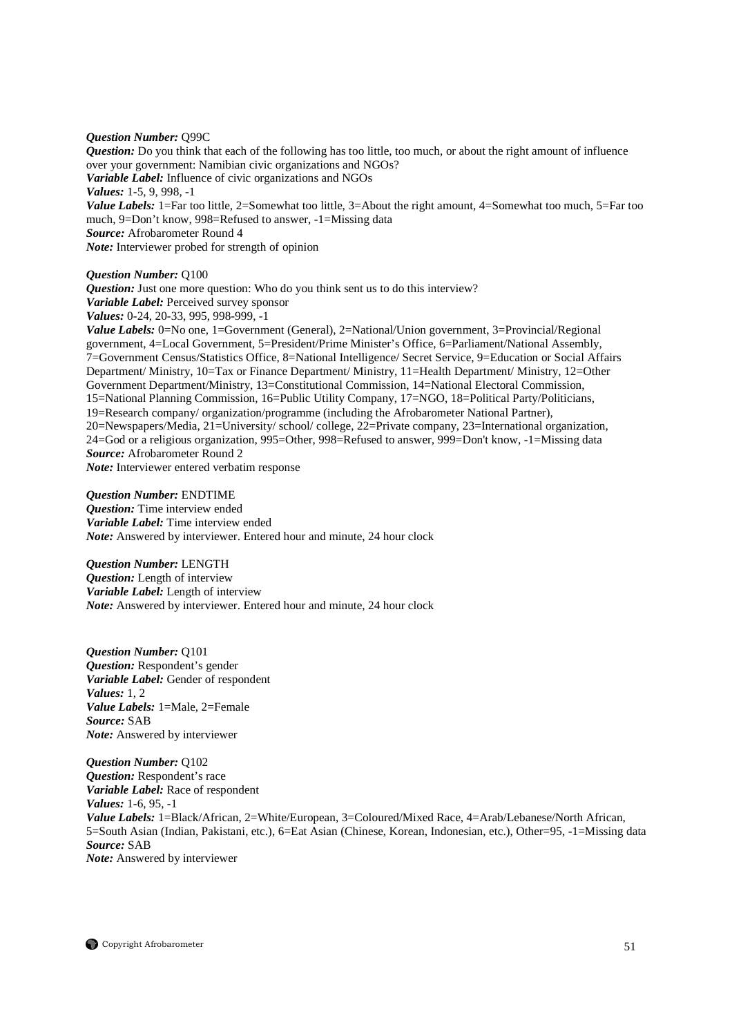#### *Question Number:* Q99C

*Question:* Do you think that each of the following has too little, too much, or about the right amount of influence over your government: Namibian civic organizations and NGOs? *Variable Label:* Influence of civic organizations and NGOs *Values:* 1-5, 9, 998, -1 *Value Labels:* 1=Far too little, 2=Somewhat too little, 3=About the right amount, 4=Somewhat too much, 5=Far too much, 9=Don't know, 998=Refused to answer, -1=Missing data *Source:* Afrobarometer Round 4 *Note:* Interviewer probed for strength of opinion

#### *Question Number:* Q100

*Question:* Just one more question: Who do you think sent us to do this interview? *Variable Label:* Perceived survey sponsor

*Values:* 0-24, 20-33, 995, 998-999, -1

*Value Labels:* 0=No one, 1=Government (General), 2=National/Union government, 3=Provincial/Regional government, 4=Local Government, 5=President/Prime Minister's Office, 6=Parliament/National Assembly, 7=Government Census/Statistics Office, 8=National Intelligence/ Secret Service, 9=Education or Social Affairs Department/ Ministry, 10=Tax or Finance Department/ Ministry, 11=Health Department/ Ministry, 12=Other Government Department/Ministry, 13=Constitutional Commission, 14=National Electoral Commission, 15=National Planning Commission, 16=Public Utility Company, 17=NGO, 18=Political Party/Politicians, 19=Research company/ organization/programme (including the Afrobarometer National Partner), 20=Newspapers/Media, 21=University/ school/ college, 22=Private company, 23=International organization, 24=God or a religious organization, 995=Other, 998=Refused to answer, 999=Don't know, -1=Missing data *Source:* Afrobarometer Round 2 *Note:* Interviewer entered verbatim response

#### *Question Number:* ENDTIME

*Question:* Time interview ended *Variable Label:* Time interview ended *Note:* Answered by interviewer. Entered hour and minute, 24 hour clock

*Question Number:* LENGTH *Question:* Length of interview *Variable Label:* Length of interview *Note:* Answered by interviewer. Entered hour and minute, 24 hour clock

*Question Number:* Q101 *Question:* Respondent's gender *Variable Label:* Gender of respondent *Values:* 1, 2 *Value Labels:* 1=Male, 2=Female *Source:* SAB *Note:* Answered by interviewer

*Question Number:* Q102 *Question:* Respondent's race *Variable Label:* Race of respondent *Values:* 1-6, 95, -1 *Value Labels:* 1=Black/African, 2=White/European, 3=Coloured/Mixed Race, 4=Arab/Lebanese/North African, 5=South Asian (Indian, Pakistani, etc.), 6=Eat Asian (Chinese, Korean, Indonesian, etc.), Other=95, -1=Missing data *Source:* SAB *Note:* Answered by interviewer

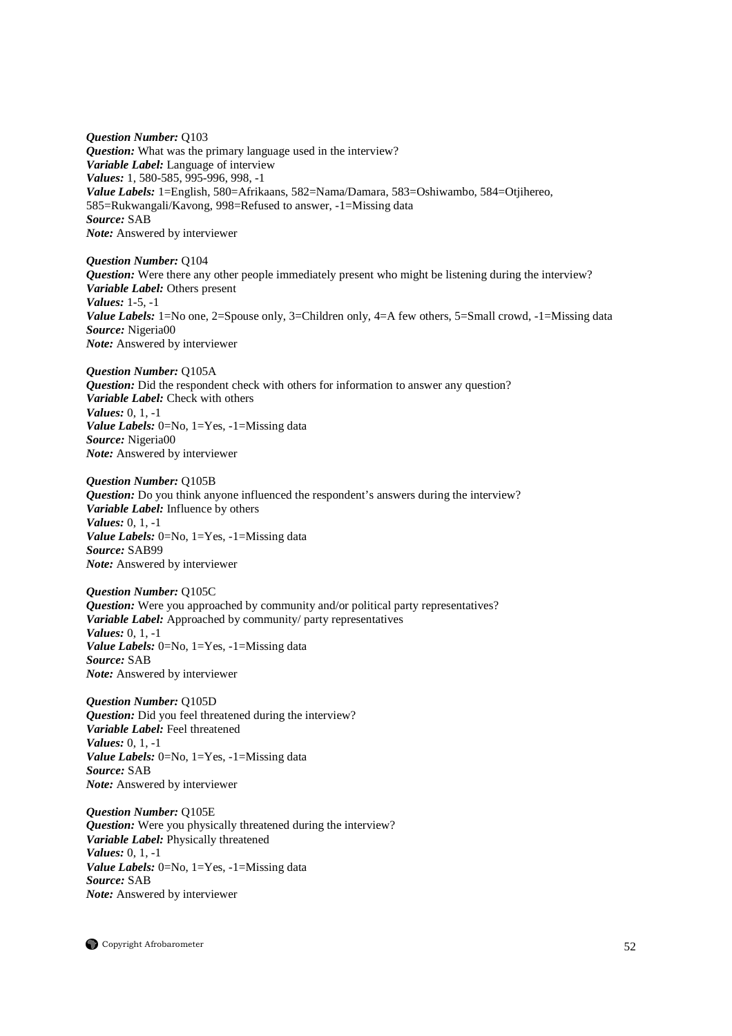*Question Number:* Q103 *Question:* What was the primary language used in the interview? *Variable Label:* Language of interview *Values:* 1, 580-585, 995-996, 998, -1 *Value Labels:* 1=English, 580=Afrikaans, 582=Nama/Damara, 583=Oshiwambo, 584=Otjihereo, 585=Rukwangali/Kavong, 998=Refused to answer, -1=Missing data *Source:* SAB *Note:* Answered by interviewer

*Question Number:* Q104 *Question:* Were there any other people immediately present who might be listening during the interview? *Variable Label:* Others present *Values:* 1-5, -1 Value Labels: 1=No one, 2=Spouse only, 3=Children only, 4=A few others, 5=Small crowd, -1=Missing data *Source:* Nigeria00 *Note:* Answered by interviewer

*Question Number:* Q105A *Question:* Did the respondent check with others for information to answer any question? *Variable Label:* Check with others *Values:* 0, 1, -1 *Value Labels:* 0=No, 1=Yes, -1=Missing data *Source:* Nigeria00 *Note:* Answered by interviewer

*Question Number:* Q105B *Question:* Do you think anyone influenced the respondent's answers during the interview? *Variable Label:* Influence by others *Values:* 0, 1, -1 *Value Labels:* 0=No, 1=Yes, -1=Missing data *Source:* SAB99 *Note:* Answered by interviewer

*Question Number:* Q105C *Question:* Were you approached by community and/or political party representatives? *Variable Label:* Approached by community/ party representatives *Values:* 0, 1, -1 *Value Labels:* 0=No, 1=Yes, -1=Missing data *Source:* SAB *Note:* Answered by interviewer

*Question Number:* Q105D *Question:* Did you feel threatened during the interview? *Variable Label:* Feel threatened *Values:* 0, 1, -1 *Value Labels:* 0=No, 1=Yes, -1=Missing data *Source:* SAB *Note:* Answered by interviewer

*Question Number:* Q105E *Question:* Were you physically threatened during the interview? *Variable Label:* Physically threatened *Values:* 0, 1, -1 *Value Labels:* 0=No, 1=Yes, -1=Missing data *Source:* SAB *Note:* Answered by interviewer

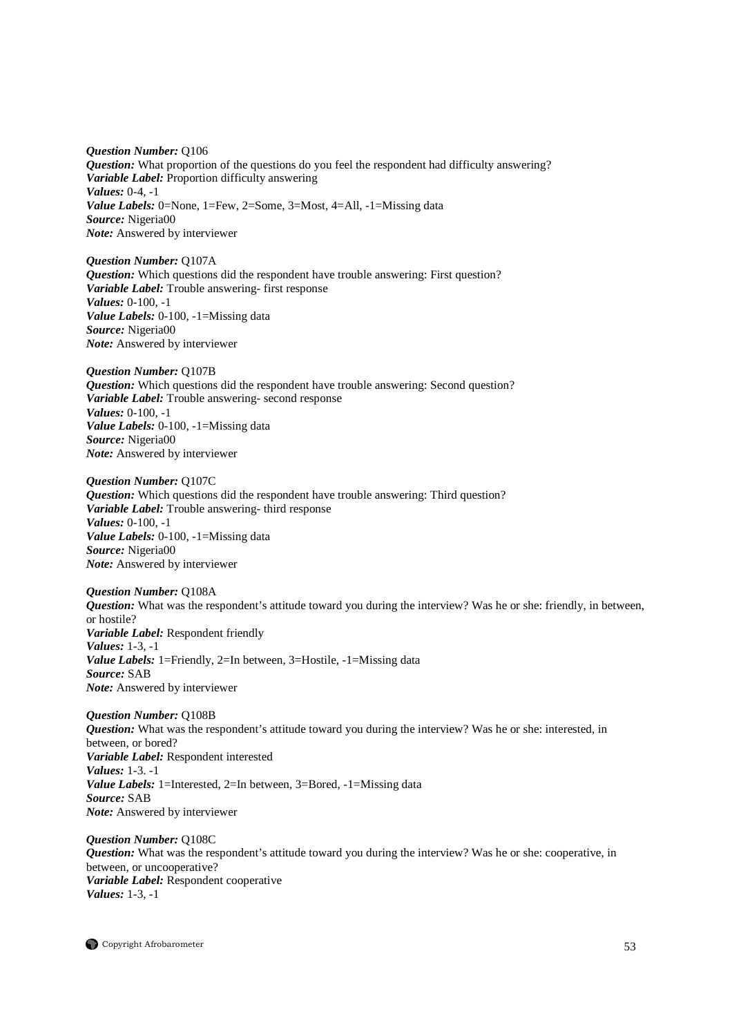*Question Number:* Q106 *Question:* What proportion of the questions do you feel the respondent had difficulty answering? *Variable Label:* Proportion difficulty answering *Values:* 0-4, -1 *Value Labels:* 0=None, 1=Few, 2=Some, 3=Most, 4=All, -1=Missing data *Source:* Nigeria00 *Note:* Answered by interviewer

*Question Number:* Q107A *Question:* Which questions did the respondent have trouble answering: First question? *Variable Label:* Trouble answering- first response *Values:* 0-100, -1 *Value Labels:* 0-100, -1=Missing data *Source:* Nigeria00 *Note:* Answered by interviewer

*Question Number:* Q107B *Question:* Which questions did the respondent have trouble answering: Second question? *Variable Label:* Trouble answering- second response *Values:* 0-100, -1 *Value Labels:* 0-100, -1=Missing data *Source:* Nigeria00 *Note:* Answered by interviewer

*Question Number:* Q107C *Question:* Which questions did the respondent have trouble answering: Third question? *Variable Label:* Trouble answering- third response *Values:* 0-100, -1 *Value Labels:* 0-100, -1=Missing data *Source:* Nigeria00 *Note:* Answered by interviewer

*Question Number:* Q108A *Question:* What was the respondent's attitude toward you during the interview? Was he or she: friendly, in between, or hostile? *Variable Label:* Respondent friendly *Values:* 1-3, -1 *Value Labels:* 1=Friendly, 2=In between, 3=Hostile, -1=Missing data *Source:* SAB *Note:* Answered by interviewer

*Question Number:* Q108B *Question:* What was the respondent's attitude toward you during the interview? Was he or she: interested, in between, or bored? *Variable Label:* Respondent interested *Values:* 1-3. -1 *Value Labels:* 1=Interested, 2=In between, 3=Bored, -1=Missing data *Source:* SAB *Note:* Answered by interviewer

*Question Number:* Q108C *Question:* What was the respondent's attitude toward you during the interview? Was he or she: cooperative, in between, or uncooperative? *Variable Label:* Respondent cooperative *Values:* 1-3, -1

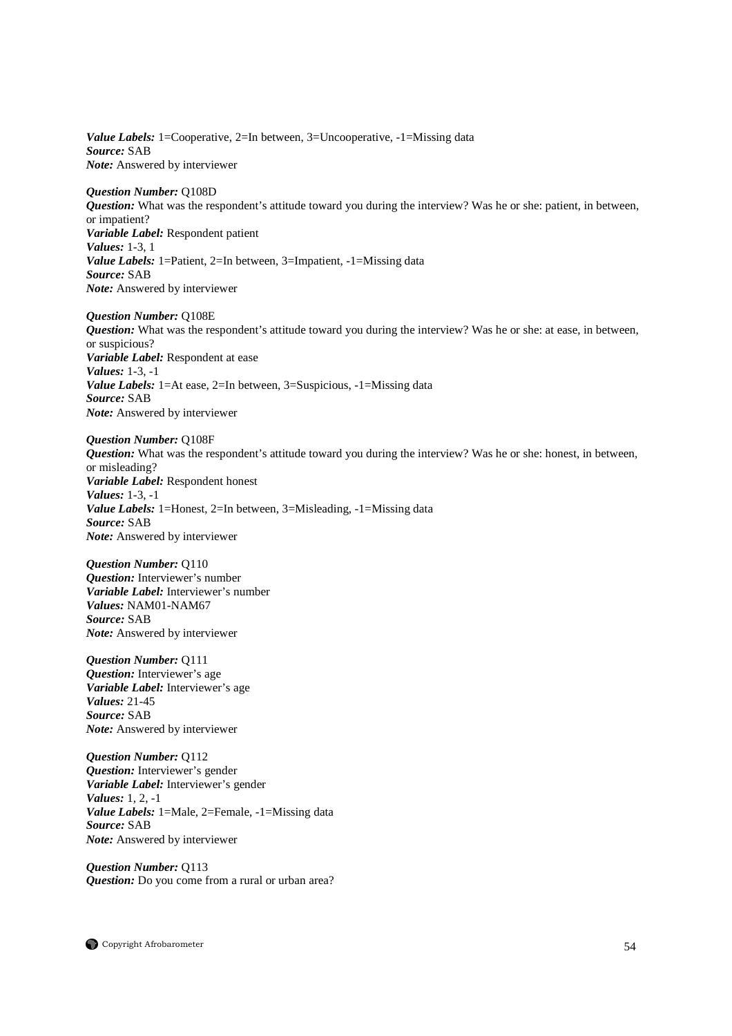*Value Labels:* 1=Cooperative, 2=In between, 3=Uncooperative, -1=Missing data *Source:* SAB *Note:* Answered by interviewer

*Question Number:* Q108D *Question:* What was the respondent's attitude toward you during the interview? Was he or she: patient, in between, or impatient? *Variable Label:* Respondent patient *Values:* 1-3, 1 *Value Labels:* 1=Patient, 2=In between, 3=Impatient, -1=Missing data *Source:* SAB *Note:* Answered by interviewer

*Question Number:* Q108E *Question:* What was the respondent's attitude toward you during the interview? Was he or she: at ease, in between, or suspicious? *Variable Label:* Respondent at ease *Values:* 1-3, -1 *Value Labels:* 1=At ease, 2=In between, 3=Suspicious, -1=Missing data *Source:* SAB *Note:* Answered by interviewer

*Question Number:* Q108F *Question:* What was the respondent's attitude toward you during the interview? Was he or she: honest, in between, or misleading? *Variable Label:* Respondent honest *Values:* 1-3, -1 *Value Labels:* 1=Honest, 2=In between, 3=Misleading, -1=Missing data *Source:* SAB *Note:* Answered by interviewer

*Question Number:* Q110 *Question:* Interviewer's number *Variable Label:* Interviewer's number *Values:* NAM01-NAM67 *Source:* SAB *Note:* Answered by interviewer

*Question Number:* Q111 *Question:* Interviewer's age *Variable Label:* Interviewer's age *Values:* 21-45 *Source:* SAB *Note:* Answered by interviewer

*Question Number:* Q112 *Question:* Interviewer's gender *Variable Label:* Interviewer's gender *Values:* 1, 2, -1 *Value Labels:* 1=Male, 2=Female, -1=Missing data *Source:* SAB *Note:* Answered by interviewer

*Question Number:* Q113 *Question:* Do you come from a rural or urban area?

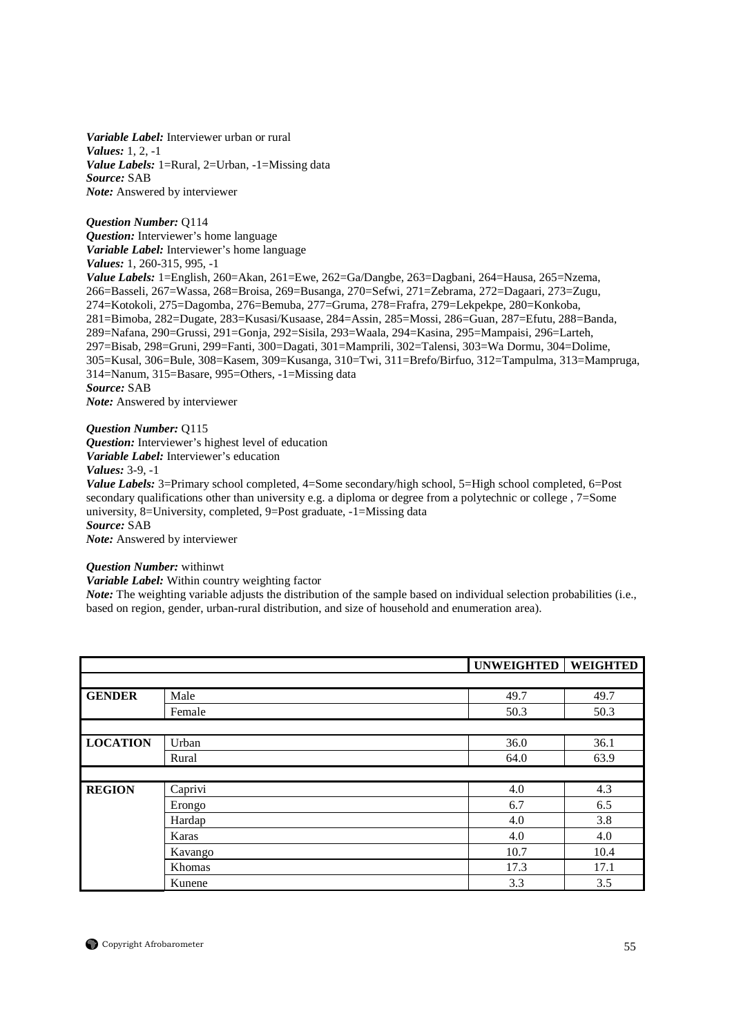*Variable Label:* Interviewer urban or rural *Values:* 1, 2, -1 *Value Labels:* 1=Rural, 2=Urban, -1=Missing data *Source:* SAB *Note:* Answered by interviewer

*Question Number:* Q114 *Question:* Interviewer's home language *Variable Label:* Interviewer's home language *Values:* 1, 260-315, 995, -1 *Value Labels:* 1=English, 260=Akan, 261=Ewe, 262=Ga/Dangbe, 263=Dagbani, 264=Hausa, 265=Nzema, 266=Basseli, 267=Wassa, 268=Broisa, 269=Busanga, 270=Sefwi, 271=Zebrama, 272=Dagaari, 273=Zugu, 274=Kotokoli, 275=Dagomba, 276=Bemuba, 277=Gruma, 278=Frafra, 279=Lekpekpe, 280=Konkoba, 281=Bimoba, 282=Dugate, 283=Kusasi/Kusaase, 284=Assin, 285=Mossi, 286=Guan, 287=Efutu, 288=Banda, 289=Nafana, 290=Grussi, 291=Gonja, 292=Sisila, 293=Waala, 294=Kasina, 295=Mampaisi, 296=Larteh, 297=Bisab, 298=Gruni, 299=Fanti, 300=Dagati, 301=Mamprili, 302=Talensi, 303=Wa Dormu, 304=Dolime, 305=Kusal, 306=Bule, 308=Kasem, 309=Kusanga, 310=Twi, 311=Brefo/Birfuo, 312=Tampulma, 313=Mampruga, 314=Nanum, 315=Basare, 995=Others, -1=Missing data *Source:* SAB *Note:* Answered by interviewer

# *Question Number:* Q115

*Question:* Interviewer's highest level of education *Variable Label:* Interviewer's education *Values:* 3-9, -1

*Value Labels:* 3=Primary school completed, 4=Some secondary/high school, 5=High school completed, 6=Post secondary qualifications other than university e.g. a diploma or degree from a polytechnic or college , 7=Some university, 8=University, completed, 9=Post graduate, -1=Missing data *Source:* SAB

*Note:* Answered by interviewer

# *Question Number:* withinwt

*Variable Label:* Within country weighting factor

*Note:* The weighting variable adjusts the distribution of the sample based on individual selection probabilities (i.e., based on region, gender, urban-rural distribution, and size of household and enumeration area).

|                 |         | UNWEIGHTED | <b>WEIGHTED</b> |
|-----------------|---------|------------|-----------------|
|                 |         |            |                 |
| <b>GENDER</b>   | Male    | 49.7       | 49.7            |
|                 | Female  | 50.3       | 50.3            |
|                 |         |            |                 |
| <b>LOCATION</b> | Urban   | 36.0       | 36.1            |
|                 | Rural   | 64.0       | 63.9            |
|                 |         |            |                 |
| <b>REGION</b>   | Caprivi | 4.0        | 4.3             |
|                 | Erongo  | 6.7        | 6.5             |
|                 | Hardap  | 4.0        | 3.8             |
|                 | Karas   | 4.0        | 4.0             |
|                 | Kavango | 10.7       | 10.4            |
|                 | Khomas  | 17.3       | 17.1            |
|                 | Kunene  | 3.3        | 3.5             |